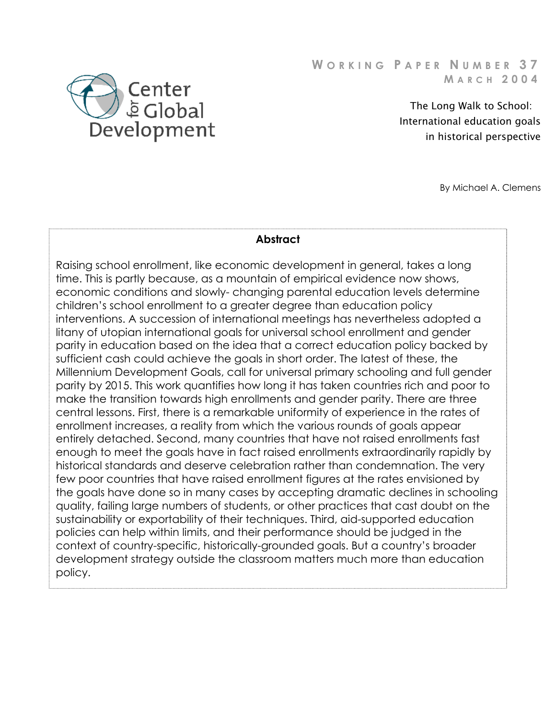

 The Long Walk to School: International education goals in historical perspective

By Michael A. Clemens

## **Abstract**

Raising school enrollment, like economic development in general, takes a long time. This is partly because, as a mountain of empirical evidence now shows, economic conditions and slowly- changing parental education levels determine children's school enrollment to a greater degree than education policy interventions. A succession of international meetings has nevertheless adopted a litany of utopian international goals for universal school enrollment and gender parity in education based on the idea that a correct education policy backed by sufficient cash could achieve the goals in short order. The latest of these, the Millennium Development Goals, call for universal primary schooling and full gender parity by 2015. This work quantifies how long it has taken countries rich and poo r to make the transition towards high enrollments and gender parity. There are three central lessons. First, there is a remarkable uniformity of experience in the rates of enrollment increases, a reality from which the various rounds of goals appear entirely detached. Second, many countries that have not raised enrollments fast enough to meet the goals have in fact raised enrollments extraordinarily rapidly b y historical standards and deserve celebration rather than condemnation. The very few poor countries that have raised enrollment figures at the rates envisioned by the goals have done so in many cases by accepting dramatic declines in scho oling quality, failing large numbers of students, or other practices that cast doubt on the sustainability or exportability of their techniques. Third, aid-supported education policies can help within limits, and their performance should be judged in the context of country-specific, historically-grounded goals. But a country's broader development strategy outside the classroom matters much more t han education policy.

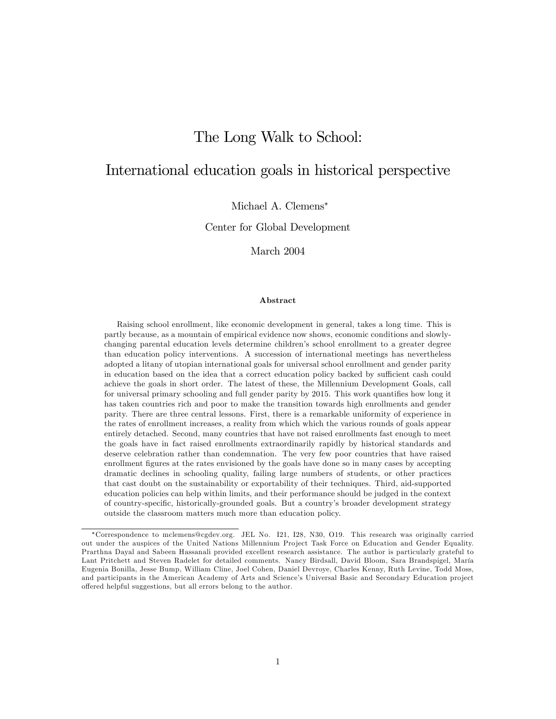# The Long Walk to School:

# International education goals in historical perspective

### Michael A. Clemens

Center for Global Development

#### March 2004

#### Abstract

Raising school enrollment, like economic development in general, takes a long time. This is partly because, as a mountain of empirical evidence now shows, economic conditions and slowlychanging parental education levels determine children's school enrollment to a greater degree than education policy interventions. A succession of international meetings has nevertheless adopted a litany of utopian international goals for universal school enrollment and gender parity in education based on the idea that a correct education policy backed by sufficient cash could achieve the goals in short order. The latest of these, the Millennium Development Goals, call for universal primary schooling and full gender parity by 2015. This work quantifies how long it has taken countries rich and poor to make the transition towards high enrollments and gender parity. There are three central lessons. First, there is a remarkable uniformity of experience in the rates of enrollment increases, a reality from which which the various rounds of goals appear entirely detached. Second, many countries that have not raised enrollments fast enough to meet the goals have in fact raised enrollments extraordinarily rapidly by historical standards and deserve celebration rather than condemnation. The very few poor countries that have raised enrollment figures at the rates envisioned by the goals have done so in many cases by accepting dramatic declines in schooling quality, failing large numbers of students, or other practices that cast doubt on the sustainability or exportability of their techniques. Third, aid-supported education policies can help within limits, and their performance should be judged in the context of country-specific, historically-grounded goals. But a country's broader development strategy outside the classroom matters much more than education policy.

Correspondence to mclemens@cgdev.org. JEL No. I21, I28, N30, O19. This research was originally carried out under the auspices of the United Nations Millennium Project Task Force on Education and Gender Equality. Prarthna Dayal and Sabeen Hassanali provided excellent research assistance. The author is particularly grateful to Lant Pritchett and Steven Radelet for detailed comments. Nancy Birdsall, David Bloom, Sara Brandspigel, María Eugenia Bonilla, Jesse Bump, William Cline, Joel Cohen, Daniel Devroye, Charles Kenny, Ruth Levine, Todd Moss, and participants in the American Academy of Arts and Science's Universal Basic and Secondary Education project offered helpful suggestions, but all errors belong to the author.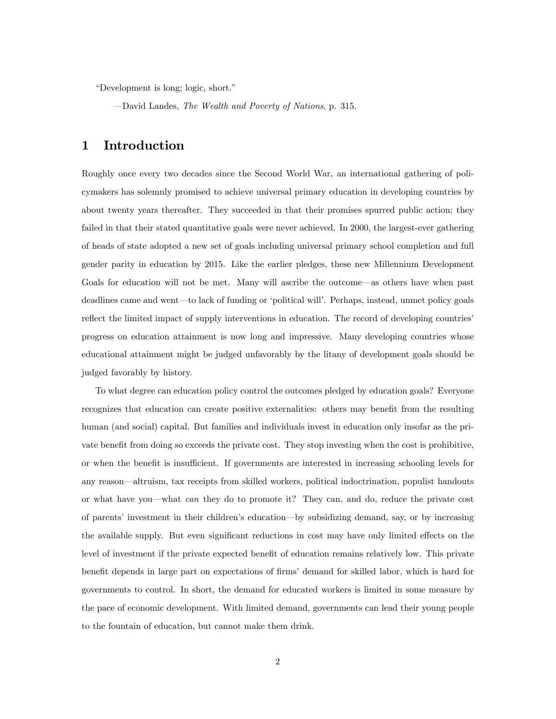"Development is long; logic, short."

—David Landes, The Wealth and Poverty of Nations, p. 315.

#### Introduction  $\mathbf 1$

Roughly once every two decades since the Second World War, an international gathering of policymakers has solemnly promised to achieve universal primary education in developing countries by about twenty years thereafter. They succeeded in that their promises spurred public action; they failed in that their stated quantitative goals were never achieved. In 2000, the largest-ever gathering of heads of state adopted a new set of goals including universal primary school completion and full gender parity in education by 2015. Like the earlier pledges, these new Millennium Development Goals for education will not be met. Many will ascribe the outcome—as others have when past deadlines came and went—to lack of funding or 'political will'. Perhaps, instead, unmet policy goals reflect the limited impact of supply interventions in education. The record of developing countries' progress on education attainment is now long and impressive. Many developing countries whose educational attainment might be judged unfavorably by the litany of development goals should be judged favorably by history.

To what degree can education policy control the outcomes pledged by education goals? Everyone recognizes that education can create positive externalities: others may benefit from the resulting human (and social) capital. But families and individuals invest in education only insofar as the private benefit from doing so exceeds the private cost. They stop investing when the cost is prohibitive, or when the benefit is insufficient. If governments are interested in increasing schooling levels for any reason—altruism, tax receipts from skilled workers, political indoctrination, populist handouts or what have you—what can they do to promote it? They can, and do, reduce the private cost of parents' investment in their children's education—by subsidizing demand, say, or by increasing the available supply. But even significant reductions in cost may have only limited effects on the level of investment if the private expected benefit of education remains relatively low. This private benefit depends in large part on expectations of firms' demand for skilled labor, which is hard for governments to control. In short, the demand for educated workers is limited in some measure by the pace of economic development. With limited demand, governments can lead their young people to the fountain of education, but cannot make them drink.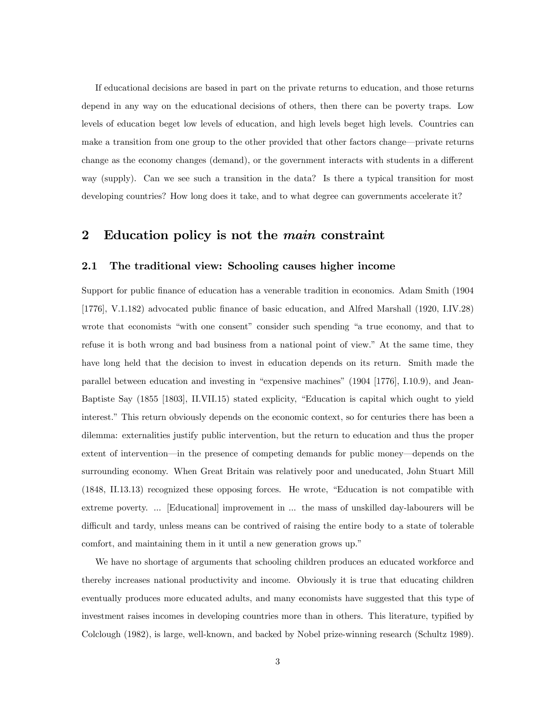If educational decisions are based in part on the private returns to education, and those returns depend in any way on the educational decisions of others, then there can be poverty traps. Low levels of education beget low levels of education, and high levels beget high levels. Countries can make a transition from one group to the other provided that other factors change—private returns change as the economy changes (demand), or the government interacts with students in a different way (supply). Can we see such a transition in the data? Is there a typical transition for most developing countries? How long does it take, and to what degree can governments accelerate it?

## 2 Education policy is not the *main* constraint

#### 2.1 The traditional view: Schooling causes higher income

Support for public Önance of education has a venerable tradition in economics. Adam Smith (1904 [1776], V.1.182) advocated public finance of basic education, and Alfred Marshall (1920, I.IV.28) wrote that economists "with one consent" consider such spending "a true economy, and that to refuse it is both wrong and bad business from a national point of view." At the same time, they have long held that the decision to invest in education depends on its return. Smith made the parallel between education and investing in "expensive machines" (1904 [1776], I.10.9), and Jean-Baptiste Say (1855 [1803], II.VII.15) stated explicity, "Education is capital which ought to yield interest." This return obviously depends on the economic context, so for centuries there has been a dilemma: externalities justify public intervention, but the return to education and thus the proper extent of intervention—in the presence of competing demands for public money—depends on the surrounding economy. When Great Britain was relatively poor and uneducated, John Stuart Mill  $(1848, H.13.13)$  recognized these opposing forces. He wrote, "Education is not compatible with extreme poverty. ... [Educational] improvement in ... the mass of unskilled day-labourers will be difficult and tardy, unless means can be contrived of raising the entire body to a state of tolerable comfort, and maintaining them in it until a new generation grows up."

We have no shortage of arguments that schooling children produces an educated workforce and thereby increases national productivity and income. Obviously it is true that educating children eventually produces more educated adults, and many economists have suggested that this type of investment raises incomes in developing countries more than in others. This literature, typified by Colclough (1982), is large, well-known, and backed by Nobel prize-winning research (Schultz 1989).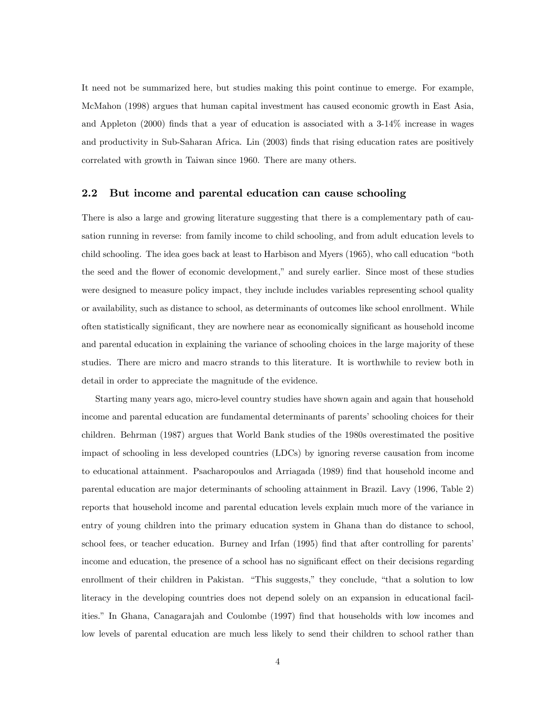It need not be summarized here, but studies making this point continue to emerge. For example, McMahon (1998) argues that human capital investment has caused economic growth in East Asia, and Appleton  $(2000)$  finds that a year of education is associated with a 3-14% increase in wages and productivity in Sub-Saharan Africa. Lin (2003) finds that rising education rates are positively correlated with growth in Taiwan since 1960. There are many others.

#### 2.2 But income and parental education can cause schooling

There is also a large and growing literature suggesting that there is a complementary path of causation running in reverse: from family income to child schooling, and from adult education levels to child schooling. The idea goes back at least to Harbison and Myers (1965), who call education "both the seed and the flower of economic development," and surely earlier. Since most of these studies were designed to measure policy impact, they include includes variables representing school quality or availability, such as distance to school, as determinants of outcomes like school enrollment. While often statistically significant, they are nowhere near as economically significant as household income and parental education in explaining the variance of schooling choices in the large majority of these studies. There are micro and macro strands to this literature. It is worthwhile to review both in detail in order to appreciate the magnitude of the evidence.

Starting many years ago, micro-level country studies have shown again and again that household income and parental education are fundamental determinants of parents' schooling choices for their children. Behrman (1987) argues that World Bank studies of the 1980s overestimated the positive impact of schooling in less developed countries (LDCs) by ignoring reverse causation from income to educational attainment. Psacharopoulos and Arriagada (1989) find that household income and parental education are major determinants of schooling attainment in Brazil. Lavy (1996, Table 2) reports that household income and parental education levels explain much more of the variance in entry of young children into the primary education system in Ghana than do distance to school, school fees, or teacher education. Burney and Irfan (1995) find that after controlling for parents' income and education, the presence of a school has no significant effect on their decisions regarding enrollment of their children in Pakistan. "This suggests," they conclude, "that a solution to low literacy in the developing countries does not depend solely on an expansion in educational facilities.î In Ghana, Canagarajah and Coulombe (1997) Önd that households with low incomes and low levels of parental education are much less likely to send their children to school rather than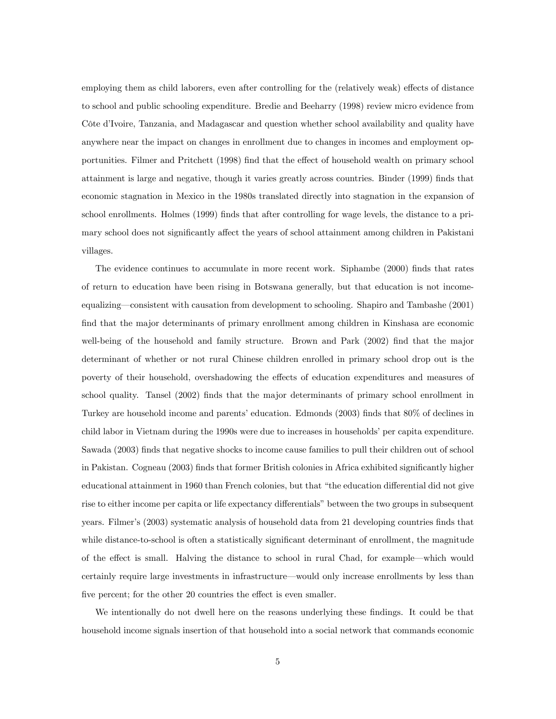employing them as child laborers, even after controlling for the (relatively weak) effects of distance to school and public schooling expenditure. Bredie and Beeharry (1998) review micro evidence from Côte d'Ivoire, Tanzania, and Madagascar and question whether school availability and quality have anywhere near the impact on changes in enrollment due to changes in incomes and employment opportunities. Filmer and Pritchett (1998) find that the effect of household wealth on primary school attainment is large and negative, though it varies greatly across countries. Binder (1999) finds that economic stagnation in Mexico in the 1980s translated directly into stagnation in the expansion of school enrollments. Holmes (1999) finds that after controlling for wage levels, the distance to a primary school does not significantly affect the years of school attainment among children in Pakistani villages.

The evidence continues to accumulate in more recent work. Siphambe (2000) finds that rates of return to education have been rising in Botswana generally, but that education is not incomeequalizing—consistent with causation from development to schooling. Shapiro and Tambashe (2001) find that the major determinants of primary enrollment among children in Kinshasa are economic well-being of the household and family structure. Brown and Park (2002) find that the major determinant of whether or not rural Chinese children enrolled in primary school drop out is the poverty of their household, overshadowing the effects of education expenditures and measures of school quality. Tansel (2002) finds that the major determinants of primary school enrollment in Turkey are household income and parents' education. Edmonds (2003) finds that 80% of declines in child labor in Vietnam during the 1990s were due to increases in households' per capita expenditure. Sawada (2003) finds that negative shocks to income cause families to pull their children out of school in Pakistan. Cogneau (2003) finds that former British colonies in Africa exhibited significantly higher educational attainment in 1960 than French colonies, but that "the education differential did not give rise to either income per capita or life expectancy differentials" between the two groups in subsequent years. Filmer's (2003) systematic analysis of household data from 21 developing countries finds that while distance-to-school is often a statistically significant determinant of enrollment, the magnitude of the effect is small. Halving the distance to school in rural Chad, for example—which would certainly require large investments in infrastructure—would only increase enrollments by less than five percent; for the other 20 countries the effect is even smaller.

We intentionally do not dwell here on the reasons underlying these findings. It could be that household income signals insertion of that household into a social network that commands economic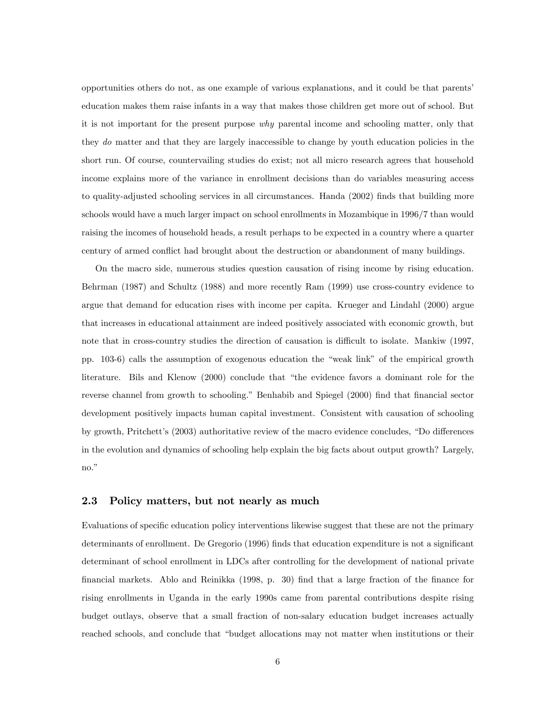opportunities others do not, as one example of various explanations, and it could be that parents' education makes them raise infants in a way that makes those children get more out of school. But it is not important for the present purpose *why* parental income and schooling matter, only that they do matter and that they are largely inaccessible to change by youth education policies in the short run. Of course, countervailing studies do exist; not all micro research agrees that household income explains more of the variance in enrollment decisions than do variables measuring access to quality-adjusted schooling services in all circumstances. Handa (2002) finds that building more schools would have a much larger impact on school enrollments in Mozambique in 1996/7 than would raising the incomes of household heads, a result perhaps to be expected in a country where a quarter century of armed conflict had brought about the destruction or abandonment of many buildings.

On the macro side, numerous studies question causation of rising income by rising education. Behrman (1987) and Schultz (1988) and more recently Ram (1999) use cross-country evidence to argue that demand for education rises with income per capita. Krueger and Lindahl (2000) argue that increases in educational attainment are indeed positively associated with economic growth, but note that in cross-country studies the direction of causation is difficult to isolate. Mankiw (1997, pp. 103-6) calls the assumption of exogenous education the "weak link" of the empirical growth literature. Bils and Klenow (2000) conclude that "the evidence favors a dominant role for the reverse channel from growth to schooling." Benhabib and Spiegel (2000) find that financial sector development positively impacts human capital investment. Consistent with causation of schooling by growth, Pritchett's (2003) authoritative review of the macro evidence concludes, "Do differences in the evolution and dynamics of schooling help explain the big facts about output growth? Largely,  $no.$ "

#### Policy matters, but not nearly as much  $\bf 2.3$

Evaluations of specific education policy interventions likewise suggest that these are not the primary determinants of enrollment. De Gregorio (1996) finds that education expenditure is not a significant determinant of school enrollment in LDCs after controlling for the development of national private financial markets. Ablo and Reinikka (1998, p. 30) find that a large fraction of the finance for rising enrollments in Uganda in the early 1990s came from parental contributions despite rising budget outlays, observe that a small fraction of non-salary education budget increases actually reached schools, and conclude that "budget allocations may not matter when institutions or their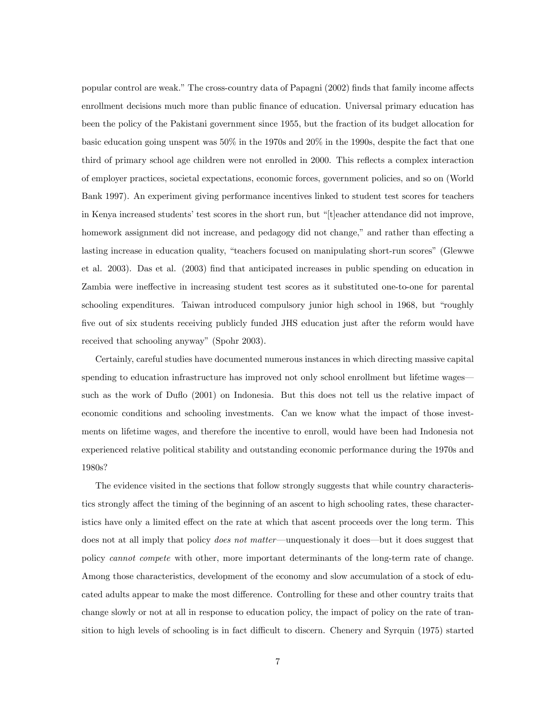popular control are weak." The cross-country data of Papagni (2002) finds that family income affects enrollment decisions much more than public finance of education. Universal primary education has been the policy of the Pakistani government since 1955, but the fraction of its budget allocation for basic education going unspent was  $50\%$  in the 1970s and  $20\%$  in the 1990s, despite the fact that one third of primary school age children were not enrolled in 2000. This reflects a complex interaction of employer practices, societal expectations, economic forces, government policies, and so on (World Bank 1997). An experiment giving performance incentives linked to student test scores for teachers in Kenya increased students' test scores in the short run, but "[t]eacher attendance did not improve, homework assignment did not increase, and pedagogy did not change," and rather than effecting a lasting increase in education quality, "teachers focused on manipulating short-run scores" (Glewwe et al. 2003). Das et al. (2003) find that anticipated increases in public spending on education in Zambia were ineffective in increasing student test scores as it substituted one-to-one for parental schooling expenditures. Taiwan introduced compulsory junior high school in 1968, but "roughly five out of six students receiving publicly funded JHS education just after the reform would have received that schooling anyway" (Spohr 2003).

Certainly, careful studies have documented numerous instances in which directing massive capital spending to education infrastructure has improved not only school enrollment but lifetime wages such as the work of Duflo (2001) on Indonesia. But this does not tell us the relative impact of economic conditions and schooling investments. Can we know what the impact of those investments on lifetime wages, and therefore the incentive to enroll, would have been had Indonesia not experienced relative political stability and outstanding economic performance during the 1970s and 1980s?

The evidence visited in the sections that follow strongly suggests that while country characteristics strongly affect the timing of the beginning of an ascent to high schooling rates, these characteristics have only a limited effect on the rate at which that ascent proceeds over the long term. This does not at all imply that policy *does not matter*—unquestionaly it does—but it does suggest that policy cannot compete with other, more important determinants of the long-term rate of change. Among those characteristics, development of the economy and slow accumulation of a stock of educated adults appear to make the most difference. Controlling for these and other country traits that change slowly or not at all in response to education policy, the impact of policy on the rate of transition to high levels of schooling is in fact difficult to discern. Chenery and Syrquin (1975) started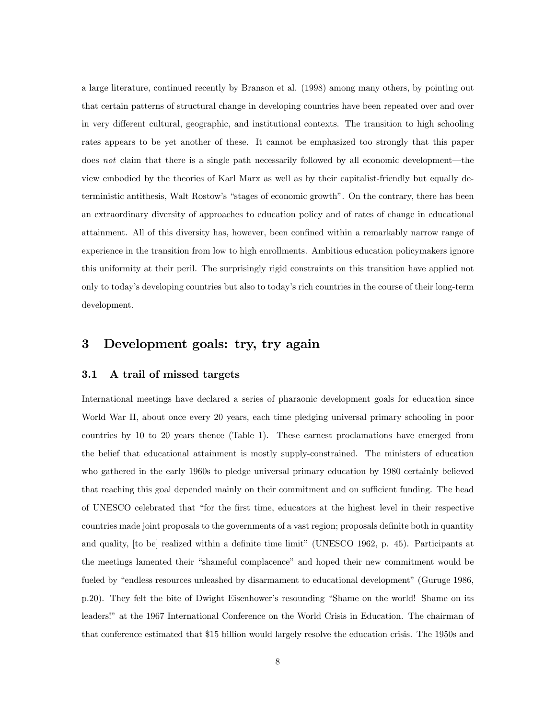a large literature, continued recently by Branson et al. (1998) among many others, by pointing out that certain patterns of structural change in developing countries have been repeated over and over in very different cultural, geographic, and institutional contexts. The transition to high schooling rates appears to be yet another of these. It cannot be emphasized too strongly that this paper does not claim that there is a single path necessarily followed by all economic development—the view embodied by the theories of Karl Marx as well as by their capitalist-friendly but equally deterministic antithesis, Walt Rostow's "stages of economic growth". On the contrary, there has been an extraordinary diversity of approaches to education policy and of rates of change in educational attainment. All of this diversity has, however, been confined within a remarkably narrow range of experience in the transition from low to high enrollments. Ambitious education policymakers ignore this uniformity at their peril. The surprisingly rigid constraints on this transition have applied not only to todayís developing countries but also to todayís rich countries in the course of their long-term development.

## 3 Development goals: try, try again

### 3.1 A trail of missed targets

International meetings have declared a series of pharaonic development goals for education since World War II, about once every 20 years, each time pledging universal primary schooling in poor countries by 10 to 20 years thence (Table 1). These earnest proclamations have emerged from the belief that educational attainment is mostly supply-constrained. The ministers of education who gathered in the early 1960s to pledge universal primary education by 1980 certainly believed that reaching this goal depended mainly on their commitment and on sufficient funding. The head of UNESCO celebrated that "for the first time, educators at the highest level in their respective countries made joint proposals to the governments of a vast region; proposals definite both in quantity and quality, [to be] realized within a definite time limit" (UNESCO 1962, p. 45). Participants at the meetings lamented their "shameful complacence" and hoped their new commitment would be fueled by "endless resources unleashed by disarmament to educational development" (Guruge 1986, p.20). They felt the bite of Dwight Eisenhower's resounding "Shame on the world! Shame on its leaders!" at the 1967 International Conference on the World Crisis in Education. The chairman of that conference estimated that \$15 billion would largely resolve the education crisis. The 1950s and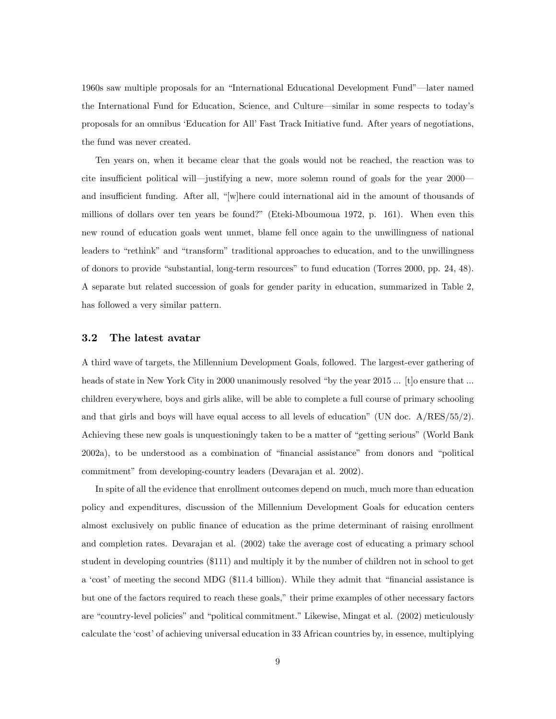1960s saw multiple proposals for an "International Educational Development Fund"—later named the International Fund for Education, Science, and Culture—similar in some respects to today's proposals for an omnibus 'Education for All' Fast Track Initiative fund. After years of negotiations, the fund was never created.

Ten years on, when it became clear that the goals would not be reached, the reaction was to cite insufficient political will—justifying a new, more solemn round of goals for the year 2000 and insufficient funding. After all, " $[w]$ here could international aid in the amount of thousands of millions of dollars over ten years be found?" (Eteki-Mboumoua 1972, p. 161). When even this new round of education goals went unmet, blame fell once again to the unwillingness of national leaders to "rethink" and "transform" traditional approaches to education, and to the unwillingness of donors to provide "substantial, long-term resources" to fund education (Torres 2000, pp. 24, 48). A separate but related succession of goals for gender parity in education, summarized in Table 2, has followed a very similar pattern.

#### 3.2 The latest avatar

A third wave of targets, the Millennium Development Goals, followed. The largest-ever gathering of heads of state in New York City in 2000 unanimously resolved "by the year 2015 ... [t]o ensure that ... children everywhere, boys and girls alike, will be able to complete a full course of primary schooling and that girls and boys will have equal access to all levels of education" (UN doc.  $A/RES/55/2$ ). Achieving these new goals is unquestioningly taken to be a matter of "getting serious" (World Bank 2002a), to be understood as a combination of "financial assistance" from donors and "political commitment" from developing-country leaders (Devarajan et al. 2002).

In spite of all the evidence that enrollment outcomes depend on much, much more than education policy and expenditures, discussion of the Millennium Development Goals for education centers almost exclusively on public Önance of education as the prime determinant of raising enrollment and completion rates. Devarajan et al. (2002) take the average cost of educating a primary school student in developing countries (\$111) and multiply it by the number of children not in school to get a 'cost' of meeting the second MDG (\$11.4 billion). While they admit that "financial assistance is but one of the factors required to reach these goals," their prime examples of other necessary factors are "country-level policies" and "political commitment." Likewise, Mingat et al. (2002) meticulously calculate the 'cost' of achieving universal education in 33 African countries by, in essence, multiplying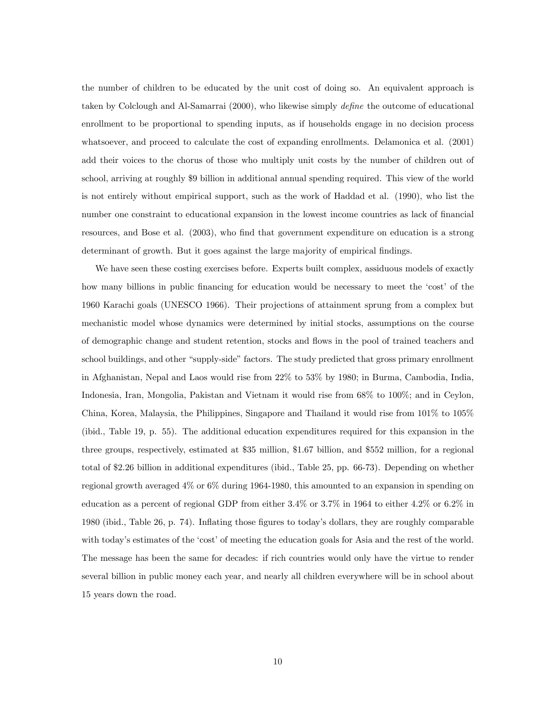the number of children to be educated by the unit cost of doing so. An equivalent approach is taken by Colclough and Al-Samarrai  $(2000)$ , who likewise simply *define* the outcome of educational enrollment to be proportional to spending inputs, as if households engage in no decision process whatsoever, and proceed to calculate the cost of expanding enrollments. Delamonica et al. (2001) add their voices to the chorus of those who multiply unit costs by the number of children out of school, arriving at roughly \$9 billion in additional annual spending required. This view of the world is not entirely without empirical support, such as the work of Haddad et al. (1990), who list the number one constraint to educational expansion in the lowest income countries as lack of financial resources, and Bose et al. (2003), who find that government expenditure on education is a strong determinant of growth. But it goes against the large majority of empirical findings.

We have seen these costing exercises before. Experts built complex, assiduous models of exactly how many billions in public financing for education would be necessary to meet the 'cost' of the 1960 Karachi goals (UNESCO 1966). Their projections of attainment sprung from a complex but mechanistic model whose dynamics were determined by initial stocks, assumptions on the course of demographic change and student retention, stocks and áows in the pool of trained teachers and school buildings, and other "supply-side" factors. The study predicted that gross primary enrollment in Afghanistan, Nepal and Laos would rise from 22% to 53% by 1980; in Burma, Cambodia, India, Indonesia, Iran, Mongolia, Pakistan and Vietnam it would rise from 68% to 100%; and in Ceylon, China, Korea, Malaysia, the Philippines, Singapore and Thailand it would rise from 101% to 105% (ibid., Table 19, p. 55). The additional education expenditures required for this expansion in the three groups, respectively, estimated at \$35 million, \$1.67 billion, and \$552 million, for a regional total of \$2.26 billion in additional expenditures (ibid., Table 25, pp. 66-73). Depending on whether regional growth averaged 4% or 6% during 1964-1980, this amounted to an expansion in spending on education as a percent of regional GDP from either 3.4% or 3.7% in 1964 to either 4.2% or 6.2% in 1980 (ibid., Table 26, p. 74). Inflating those figures to today's dollars, they are roughly comparable with today's estimates of the 'cost' of meeting the education goals for Asia and the rest of the world. The message has been the same for decades: if rich countries would only have the virtue to render several billion in public money each year, and nearly all children everywhere will be in school about 15 years down the road.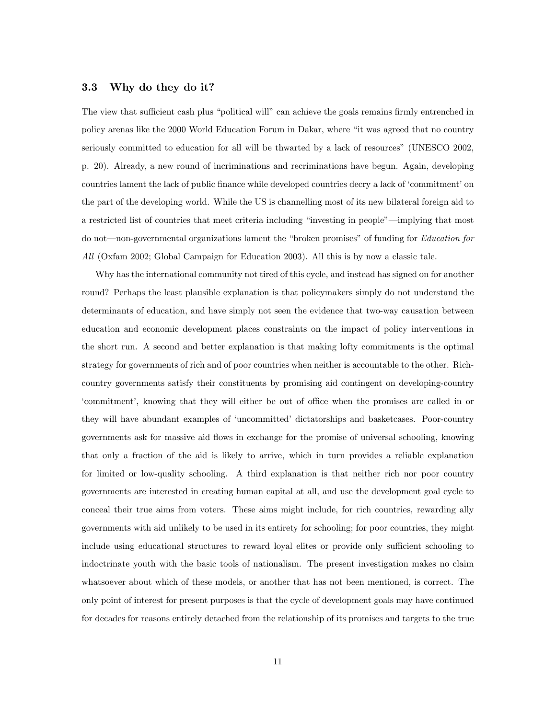#### 3.3 Why do they do it?

The view that sufficient cash plus "political will" can achieve the goals remains firmly entrenched in policy arenas like the 2000 World Education Forum in Dakar, where "it was agreed that no country seriously committed to education for all will be thwarted by a lack of resources" (UNESCO 2002, p. 20). Already, a new round of incriminations and recriminations have begun. Again, developing countries lament the lack of public finance while developed countries decry a lack of 'commitment' on the part of the developing world. While the US is channelling most of its new bilateral foreign aid to a restricted list of countries that meet criteria including "investing in people"—implying that most do not—non-governmental organizations lament the "broken promises" of funding for Education for All (Oxfam 2002; Global Campaign for Education 2003). All this is by now a classic tale.

Why has the international community not tired of this cycle, and instead has signed on for another round? Perhaps the least plausible explanation is that policymakers simply do not understand the determinants of education, and have simply not seen the evidence that two-way causation between education and economic development places constraints on the impact of policy interventions in the short run. A second and better explanation is that making lofty commitments is the optimal strategy for governments of rich and of poor countries when neither is accountable to the other. Richcountry governments satisfy their constituents by promising aid contingent on developing-country ëcommitmentí, knowing that they will either be out of o¢ ce when the promises are called in or they will have abundant examples of 'uncommitted' dictatorships and basketcases. Poor-country governments ask for massive aid flows in exchange for the promise of universal schooling, knowing that only a fraction of the aid is likely to arrive, which in turn provides a reliable explanation for limited or low-quality schooling. A third explanation is that neither rich nor poor country governments are interested in creating human capital at all, and use the development goal cycle to conceal their true aims from voters. These aims might include, for rich countries, rewarding ally governments with aid unlikely to be used in its entirety for schooling; for poor countries, they might include using educational structures to reward loyal elites or provide only sufficient schooling to indoctrinate youth with the basic tools of nationalism. The present investigation makes no claim whatsoever about which of these models, or another that has not been mentioned, is correct. The only point of interest for present purposes is that the cycle of development goals may have continued for decades for reasons entirely detached from the relationship of its promises and targets to the true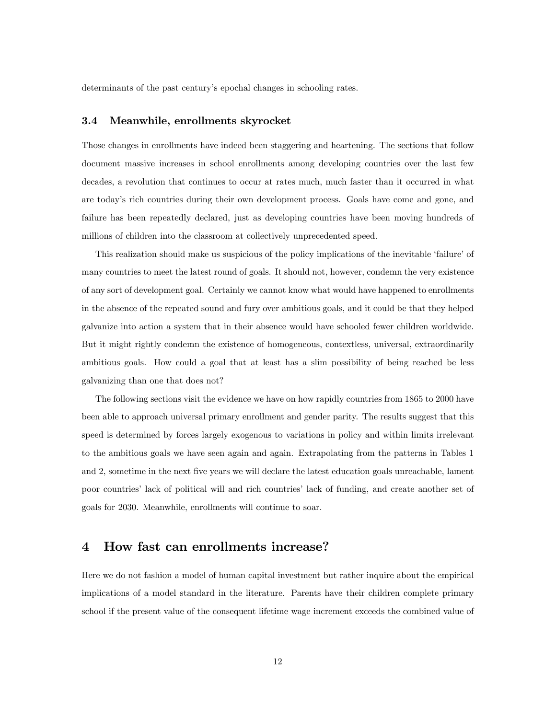determinants of the past century's epochal changes in schooling rates.

#### 3.4 Meanwhile, enrollments skyrocket

Those changes in enrollments have indeed been staggering and heartening. The sections that follow document massive increases in school enrollments among developing countries over the last few decades, a revolution that continues to occur at rates much, much faster than it occurred in what are todayís rich countries during their own development process. Goals have come and gone, and failure has been repeatedly declared, just as developing countries have been moving hundreds of millions of children into the classroom at collectively unprecedented speed.

This realization should make us suspicious of the policy implications of the inevitable 'failure' of many countries to meet the latest round of goals. It should not, however, condemn the very existence of any sort of development goal. Certainly we cannot know what would have happened to enrollments in the absence of the repeated sound and fury over ambitious goals, and it could be that they helped galvanize into action a system that in their absence would have schooled fewer children worldwide. But it might rightly condemn the existence of homogeneous, contextless, universal, extraordinarily ambitious goals. How could a goal that at least has a slim possibility of being reached be less galvanizing than one that does not?

The following sections visit the evidence we have on how rapidly countries from 1865 to 2000 have been able to approach universal primary enrollment and gender parity. The results suggest that this speed is determined by forces largely exogenous to variations in policy and within limits irrelevant to the ambitious goals we have seen again and again. Extrapolating from the patterns in Tables 1 and 2, sometime in the next Öve years we will declare the latest education goals unreachable, lament poor countries' lack of political will and rich countries' lack of funding, and create another set of goals for 2030. Meanwhile, enrollments will continue to soar.

## 4 How fast can enrollments increase?

Here we do not fashion a model of human capital investment but rather inquire about the empirical implications of a model standard in the literature. Parents have their children complete primary school if the present value of the consequent lifetime wage increment exceeds the combined value of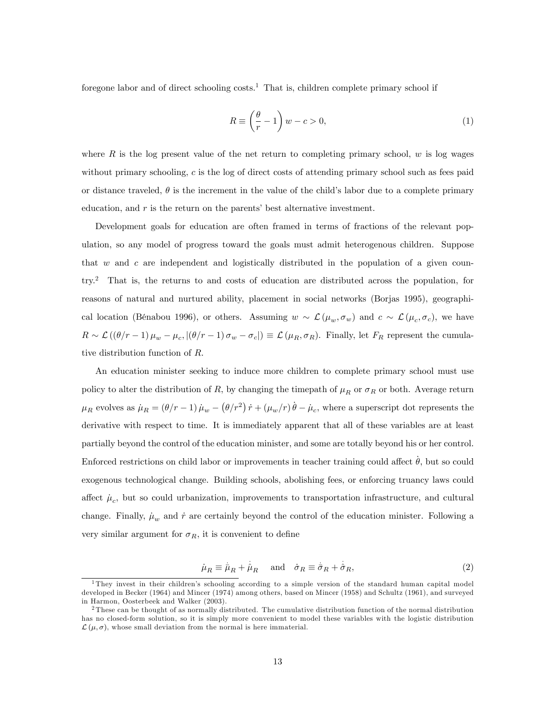foregone labor and of direct schooling  $\text{costs}$ <sup>1</sup>. That is, children complete primary school if

$$
R \equiv \left(\frac{\theta}{r} - 1\right)w - c > 0,\tag{1}
$$

where  $R$  is the log present value of the net return to completing primary school,  $w$  is log wages without primary schooling, c is the log of direct costs of attending primary school such as fees paid or distance traveled,  $\theta$  is the increment in the value of the child's labor due to a complete primary education, and  $r$  is the return on the parents' best alternative investment.

Development goals for education are often framed in terms of fractions of the relevant population, so any model of progress toward the goals must admit heterogenous children. Suppose that  $w$  and  $c$  are independent and logistically distributed in the population of a given country.<sup>2</sup> That is, the returns to and costs of education are distributed across the population, for reasons of natural and nurtured ability, placement in social networks (Borjas 1995), geographical location (Bénabou 1996), or others. Assuming  $w \sim \mathcal{L}(\mu_w, \sigma_w)$  and  $c \sim \mathcal{L}(\mu_c, \sigma_c)$ , we have  $R \sim \mathcal{L}((\theta/r - 1)\mu_w - \mu_c, |(\theta/r - 1)\sigma_w - \sigma_c|) \equiv \mathcal{L}(\mu_R, \sigma_R)$ . Finally, let  $F_R$  represent the cumulative distribution function of R.

An education minister seeking to induce more children to complete primary school must use policy to alter the distribution of R, by changing the timepath of  $\mu_R$  or  $\sigma_R$  or both. Average return  $\mu_R$  evolves as  $\mu_R = (\theta/r - 1)\mu_w - (\theta/r^2)\dot{r} + (\mu_w/r)\dot{\theta} - \mu_c$ , where a superscript dot represents the derivative with respect to time. It is immediately apparent that all of these variables are at least partially beyond the control of the education minister, and some are totally beyond his or her control. Enforced restrictions on child labor or improvements in teacher training could affect  $\theta$ , but so could exogenous technological change. Building schools, abolishing fees, or enforcing truancy laws could affect  $\mu_c$ , but so could urbanization, improvements to transportation infrastructure, and cultural change. Finally,  $\mu_w$  and  $\dot{r}$  are certainly beyond the control of the education minister. Following a very similar argument for  $\sigma_R$ , it is convenient to define

$$
\dot{\mu}_R \equiv \dot{\bar{\mu}}_R + \dot{\bar{\mu}}_R \quad \text{and} \quad \dot{\sigma}_R \equiv \dot{\bar{\sigma}}_R + \dot{\bar{\sigma}}_R,\tag{2}
$$

<sup>&</sup>lt;sup>1</sup>They invest in their children's schooling according to a simple version of the standard human capital model developed in Becker (1964) and Mincer (1974) among others, based on Mincer (1958) and Schultz (1961), and surveyed in Harmon, Oosterbeek and Walker (2003).

 $2$ These can be thought of as normally distributed. The cumulative distribution function of the normal distribution has no closed-form solution, so it is simply more convenient to model these variables with the logistic distribution  $\mathcal{L}(\mu, \sigma)$ , whose small deviation from the normal is here immaterial.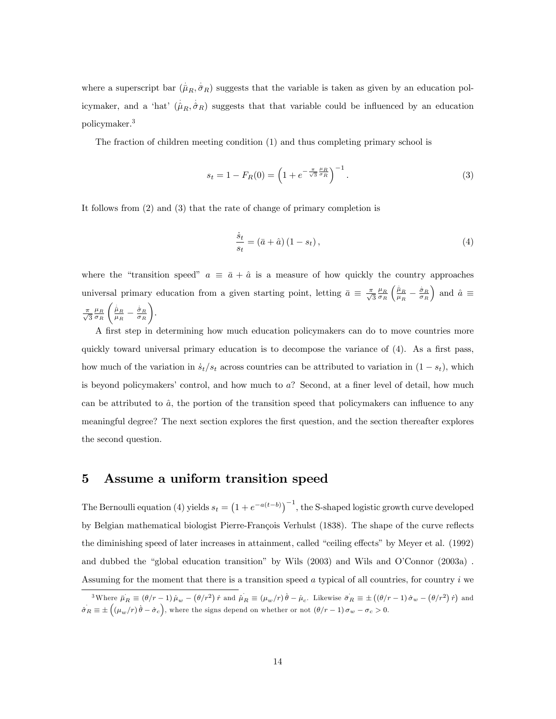where a superscript bar  $(\dot{\bar{\mu}}_R, \dot{\bar{\sigma}}_R)$  suggests that the variable is taken as given by an education policymaker, and a 'hat'  $(\hat{\mu}_R, \hat{\sigma}_R)$  suggests that that variable could be influenced by an education policymaker.<sup>3</sup>

The fraction of children meeting condition (1) and thus completing primary school is

$$
s_t = 1 - F_R(0) = \left(1 + e^{-\frac{\pi}{\sqrt{3}} \frac{\mu_R}{\sigma_R}}\right)^{-1}.
$$
 (3)

It follows from (2) and (3) that the rate of change of primary completion is

$$
\frac{\dot{s}_t}{s_t} = (\bar{a} + \hat{a}) (1 - s_t), \qquad (4)
$$

where the "transition speed"  $a \equiv \bar{a} + \hat{a}$  is a measure of how quickly the country approaches universal primary education from a given starting point, letting  $\bar{a} \equiv \frac{\pi}{\sqrt{3}}$  $\frac{\mu_R}{\sigma_R}$  $\int \frac{1}{\mu} R$  $\frac{1}{\mu_R}$  –  $\frac{\dot{\bar{\sigma}}_{R}}{\sigma_{R}}$ ) and  $\hat{a} \equiv$  $\frac{\pi}{\sqrt{3}}$  $\frac{\mu_R}{\sigma_R}$  $\int \hat{\mu}_R$  $\frac{R}{\mu_R}$  –  $\frac{\dot{\hat{\sigma}}_{R}}{\sigma_{R}}$  $\setminus$ .

A first step in determining how much education policymakers can do to move countries more quickly toward universal primary education is to decompose the variance of  $(4)$ . As a first pass, how much of the variation in  $\dot{s}_t/s_t$  across countries can be attributed to variation in  $(1 - s_t)$ , which is beyond policymakers' control, and how much to  $a$ ? Second, at a finer level of detail, how much can be attributed to  $\hat{a}$ , the portion of the transition speed that policymakers can influence to any meaningful degree? The next section explores the first question, and the section thereafter explores the second question.

## 5 Assume a uniform transition speed

The Bernoulli equation (4) yields  $s_t = (1 + e^{-a(t-b)})^{-1}$ , the S-shaped logistic growth curve developed by Belgian mathematical biologist Pierre-François Verhulst (1838). The shape of the curve reflects the diminishing speed of later increases in attainment, called "ceiling effects" by Meyer et al. (1992) and dubbed the "global education transition" by Wils  $(2003)$  and Wils and O'Connor  $(2003a)$ . Assuming for the moment that there is a transition speed  $a$  typical of all countries, for country  $i$  we

<sup>&</sup>lt;sup>3</sup>Where  $\bar{\mu}_R \equiv (\theta/r - 1) \mu_w - (\theta/r^2) \dot{r}$  and  $\mu_R \equiv (\mu_w/r) \dot{\theta} - \mu_c$ . Likewise  $\bar{\sigma}_R \equiv \pm ((\theta/r - 1) \dot{\sigma}_w - (\theta/r^2) \dot{r})$  and  $\hat{\sigma}_R \equiv \pm ((\mu_w/r) \dot{\theta} - \dot{\sigma}_c)$ , where the signs depend on whether or not  $(\theta/r - 1) \sigma_w - \sigma_c > 0$ .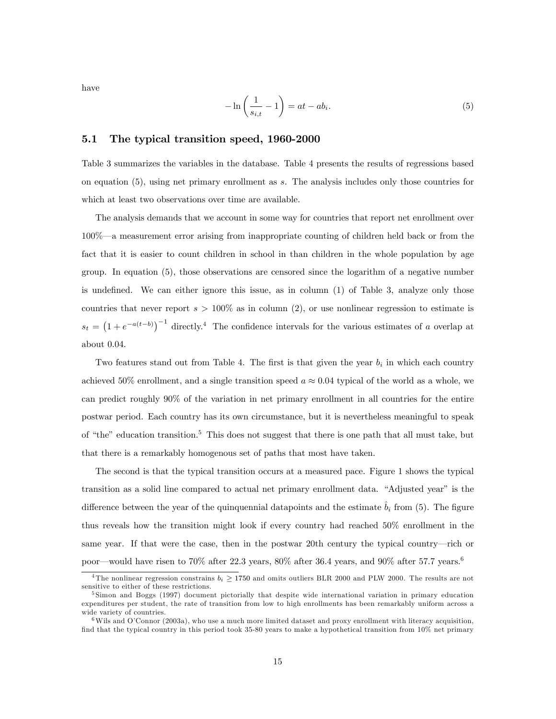have

$$
-\ln\left(\frac{1}{s_{i,t}}-1\right) = at - ab_i.
$$
\n(5)

#### 5.1 The typical transition speed, 1960-2000

Table 3 summarizes the variables in the database. Table 4 presents the results of regressions based on equation (5), using net primary enrollment as s. The analysis includes only those countries for which at least two observations over time are available.

The analysis demands that we account in some way for countries that report net enrollment over  $100\%$ —a measurement error arising from inappropriate counting of children held back or from the fact that it is easier to count children in school in than children in the whole population by age group. In equation (5), those observations are censored since the logarithm of a negative number is undefined. We can either ignore this issue, as in column  $(1)$  of Table 3, analyze only those countries that never report  $s > 100\%$  as in column (2), or use nonlinear regression to estimate is  $s_t = (1 + e^{-a(t-b)})^{-1}$  directly.<sup>4</sup> The confidence intervals for the various estimates of a overlap at about 0.04.

Two features stand out from Table 4. The first is that given the year  $b_i$  in which each country achieved 50% enrollment, and a single transition speed  $a \approx 0.04$  typical of the world as a whole, we can predict roughly 90% of the variation in net primary enrollment in all countries for the entire postwar period. Each country has its own circumstance, but it is nevertheless meaningful to speak of "the" education transition.<sup>5</sup> This does not suggest that there is one path that all must take, but that there is a remarkably homogenous set of paths that most have taken.

The second is that the typical transition occurs at a measured pace. Figure 1 shows the typical transition as a solid line compared to actual net primary enrollment data. "Adjusted year" is the difference between the year of the quinquennial datapoints and the estimate  $\hat{b}_i$  from (5). The figure thus reveals how the transition might look if every country had reached 50% enrollment in the same year. If that were the case, then in the postwar 20th century the typical country—rich or poor—would have risen to 70% after 22.3 years,  $80\%$  after 36.4 years, and 90% after 57.7 years.<sup>6</sup>

<sup>&</sup>lt;sup>4</sup>The nonlinear regression constrains  $b_i \ge 1750$  and omits outliers BLR 2000 and PLW 2000. The results are not sensitive to either of these restrictions.

<sup>5</sup> Simon and Boggs (1997) document pictorially that despite wide international variation in primary education expenditures per student, the rate of transition from low to high enrollments has been remarkably uniform across a wide variety of countries.

 $6$ Wils and O'Connor (2003a), who use a much more limited dataset and proxy enrollment with literacy acquisition, find that the typical country in this period took 35-80 years to make a hypothetical transition from 10% net primary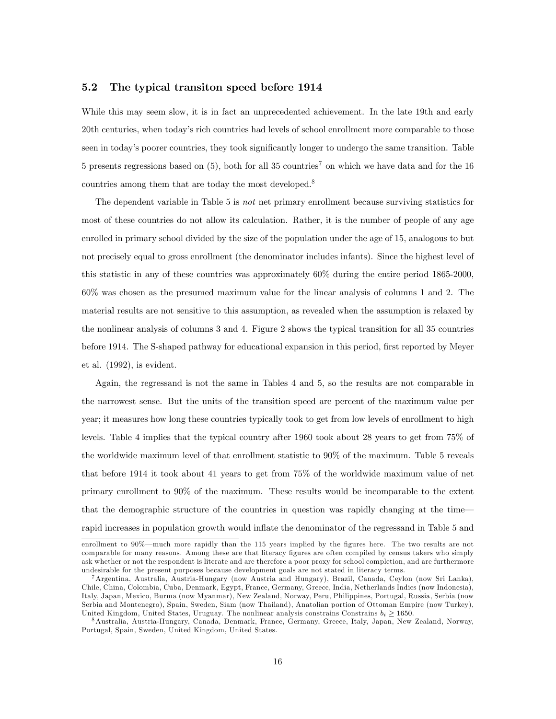### 5.2 The typical transiton speed before 1914

While this may seem slow, it is in fact an unprecedented achievement. In the late 19th and early 20th centuries, when today's rich countries had levels of school enrollment more comparable to those seen in today's poorer countries, they took significantly longer to undergo the same transition. Table 5 presents regressions based on  $(5)$ , both for all 35 countries<sup>7</sup> on which we have data and for the 16 countries among them that are today the most developed.<sup>8</sup>

The dependent variable in Table 5 is not net primary enrollment because surviving statistics for most of these countries do not allow its calculation. Rather, it is the number of people of any age enrolled in primary school divided by the size of the population under the age of 15, analogous to but not precisely equal to gross enrollment (the denominator includes infants). Since the highest level of this statistic in any of these countries was approximately 60% during the entire period 1865-2000, 60% was chosen as the presumed maximum value for the linear analysis of columns 1 and 2. The material results are not sensitive to this assumption, as revealed when the assumption is relaxed by the nonlinear analysis of columns 3 and 4. Figure 2 shows the typical transition for all 35 countries before 1914. The S-shaped pathway for educational expansion in this period, first reported by Meyer et al. (1992), is evident.

Again, the regressand is not the same in Tables 4 and 5, so the results are not comparable in the narrowest sense. But the units of the transition speed are percent of the maximum value per year; it measures how long these countries typically took to get from low levels of enrollment to high levels. Table 4 implies that the typical country after 1960 took about 28 years to get from 75% of the worldwide maximum level of that enrollment statistic to 90% of the maximum. Table 5 reveals that before 1914 it took about 41 years to get from 75% of the worldwide maximum value of net primary enrollment to 90% of the maximum. These results would be incomparable to the extent that the demographic structure of the countries in question was rapidly changing at the time rapid increases in population growth would inflate the denominator of the regressand in Table 5 and

enrollment to 90%—much more rapidly than the 115 years implied by the figures here. The two results are not comparable for many reasons. Among these are that literacy figures are often compiled by census takers who simply ask whether or not the respondent is literate and are therefore a poor proxy for school completion, and are furthermore undesirable for the present purposes because development goals are not stated in literacy terms.

<sup>7</sup>Argentina, Australia, Austria-Hungary (now Austria and Hungary), Brazil, Canada, Ceylon (now Sri Lanka), Chile, China, Colombia, Cuba, Denmark, Egypt, France, Germany, Greece, India, Netherlands Indies (now Indonesia), Italy, Japan, Mexico, Burma (now Myanmar), New Zealand, Norway, Peru, Philippines, Portugal, Russia, Serbia (now Serbia and Montenegro), Spain, Sweden, Siam (now Thailand), Anatolian portion of Ottoman Empire (now Turkey), United Kingdom, United States, Uruguay. The nonlinear analysis constrains Constrains  $b_i \geq 1650$ .

<sup>8</sup>Australia, Austria-Hungary, Canada, Denmark, France, Germany, Greece, Italy, Japan, New Zealand, Norway, Portugal, Spain, Sweden, United Kingdom, United States.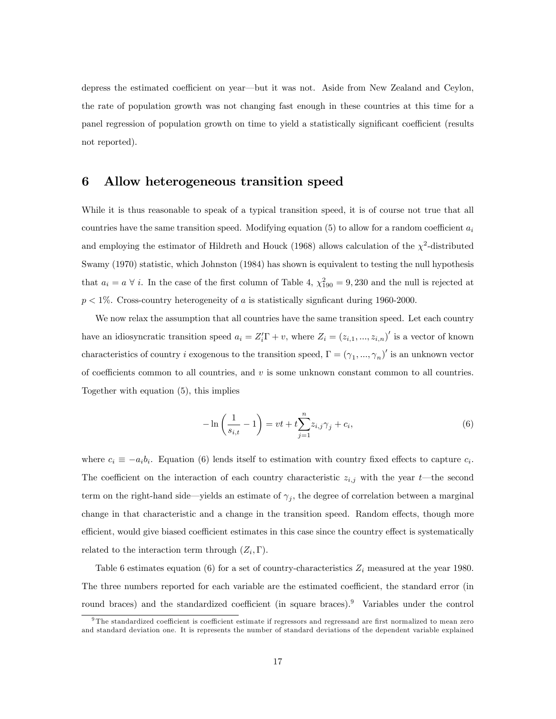depress the estimated coefficient on year—but it was not. Aside from New Zealand and Ceylon, the rate of population growth was not changing fast enough in these countries at this time for a panel regression of population growth on time to yield a statistically significant coefficient (results not reported).

## 6 Allow heterogeneous transition speed

While it is thus reasonable to speak of a typical transition speed, it is of course not true that all countries have the same transition speed. Modifying equation (5) to allow for a random coefficient  $a_i$ and employing the estimator of Hildreth and Houck (1968) allows calculation of the  $\chi^2$ -distributed Swamy (1970) statistic, which Johnston (1984) has shown is equivalent to testing the null hypothesis that  $a_i = a \forall i$ . In the case of the first column of Table 4,  $\chi_{190}^2 = 9,230$  and the null is rejected at  $p < 1\%$ . Cross-country heterogeneity of a is statistically significant during 1960-2000.

We now relax the assumption that all countries have the same transition speed. Let each country have an idiosyncratic transition speed  $a_i = Z_i'\Gamma + v$ , where  $Z_i = (z_{i,1},...,z_{i,n})'$  is a vector of known characteristics of country i exogenous to the transition speed,  $\Gamma = (\gamma_1, ..., \gamma_n)'$  is an unknown vector of coefficients common to all countries, and  $v$  is some unknown constant common to all countries. Together with equation (5), this implies

$$
-\ln\left(\frac{1}{s_{i,t}} - 1\right) = vt + t\sum_{j=1}^{n} z_{i,j}\gamma_j + c_i,
$$
\n(6)

where  $c_i \equiv -a_i b_i$ . Equation (6) lends itself to estimation with country fixed effects to capture  $c_i$ . The coefficient on the interaction of each country characteristic  $z_{i,j}$  with the year t—the second term on the right-hand side—yields an estimate of  $\gamma_j$ , the degree of correlation between a marginal change in that characteristic and a change in the transition speed. Random effects, though more efficient, would give biased coefficient estimates in this case since the country effect is systematically related to the interaction term through  $(Z_i, \Gamma)$ .

Table 6 estimates equation (6) for a set of country-characteristics  $Z_i$  measured at the year 1980. The three numbers reported for each variable are the estimated coefficient, the standard error (in round braces) and the standardized coefficient (in square braces).<sup>9</sup> Variables under the control

 $^{9}$ The standardized coefficient is coefficient estimate if regressors and regressand are first normalized to mean zero and standard deviation one. It is represents the number of standard deviations of the dependent variable explained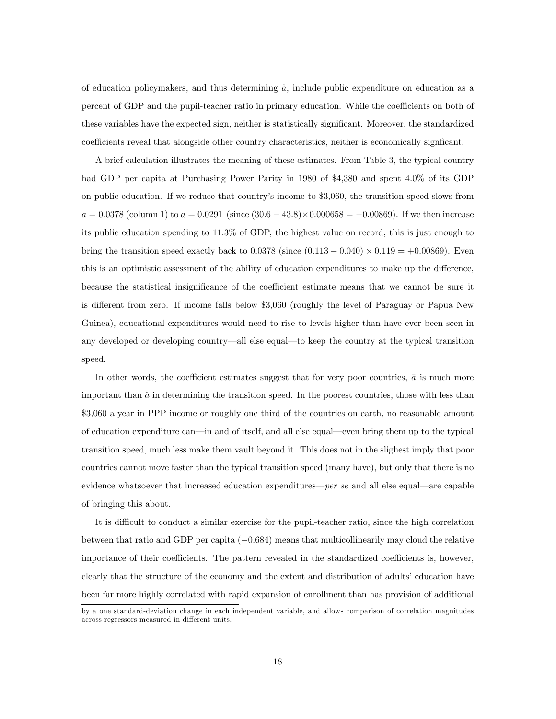of education policymakers, and thus determining  $\hat{a}$ , include public expenditure on education as a percent of GDP and the pupil-teacher ratio in primary education. While the coefficients on both of these variables have the expected sign, neither is statistically significant. Moreover, the standardized coefficients reveal that alongside other country characteristics, neither is economically significant.

A brief calculation illustrates the meaning of these estimates. From Table 3, the typical country had GDP per capita at Purchasing Power Parity in 1980 of \$4,380 and spent 4.0% of its GDP on public education. If we reduce that countryís income to \$3,060, the transition speed slows from  $a = 0.0378$  (column 1) to  $a = 0.0291$  (since  $(30.6 - 43.8) \times 0.000658 = -0.00869$ ). If we then increase its public education spending to 11.3% of GDP, the highest value on record, this is just enough to bring the transition speed exactly back to  $0.0378$  (since  $(0.113 - 0.040) \times 0.119 = +0.00869$ ). Even this is an optimistic assessment of the ability of education expenditures to make up the difference, because the statistical insignificance of the coefficient estimate means that we cannot be sure it is different from zero. If income falls below \$3,060 (roughly the level of Paraguay or Papua New Guinea), educational expenditures would need to rise to levels higher than have ever been seen in any developed or developing country—all else equal—to keep the country at the typical transition speed.

In other words, the coefficient estimates suggest that for very poor countries,  $\bar{a}$  is much more important than  $\hat{a}$  in determining the transition speed. In the poorest countries, those with less than \$3,060 a year in PPP income or roughly one third of the countries on earth, no reasonable amount of education expenditure can—in and of itself, and all else equal—even bring them up to the typical transition speed, much less make them vault beyond it. This does not in the slighest imply that poor countries cannot move faster than the typical transition speed (many have), but only that there is no evidence whatsoever that increased education expenditures—*per se* and all else equal—are capable of bringing this about.

It is difficult to conduct a similar exercise for the pupil-teacher ratio, since the high correlation between that ratio and GDP per capita  $(-0.684)$  means that multicollinearily may cloud the relative importance of their coefficients. The pattern revealed in the standardized coefficients is, however, clearly that the structure of the economy and the extent and distribution of adults' education have been far more highly correlated with rapid expansion of enrollment than has provision of additional

by a one standard-deviation change in each independent variable, and allows comparison of correlation magnitudes across regressors measured in different units.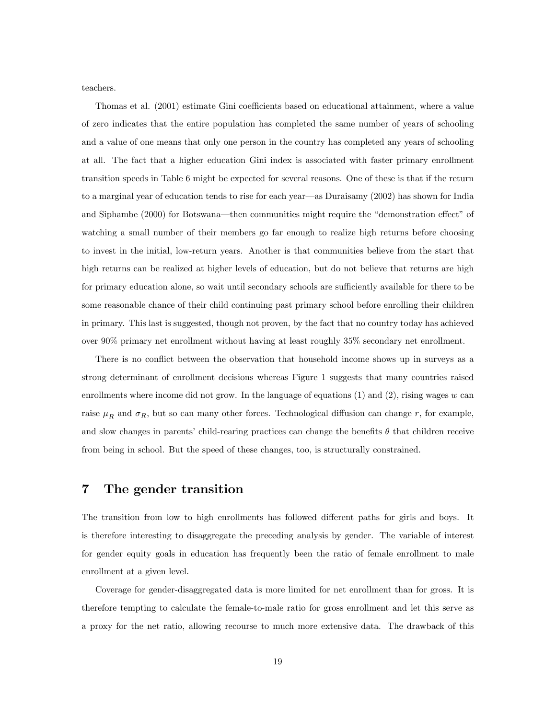teachers.

Thomas et al. (2001) estimate Gini coefficients based on educational attainment, where a value of zero indicates that the entire population has completed the same number of years of schooling and a value of one means that only one person in the country has completed any years of schooling at all. The fact that a higher education Gini index is associated with faster primary enrollment transition speeds in Table 6 might be expected for several reasons. One of these is that if the return to a marginal year of education tends to rise for each year—as Duraisamy (2002) has shown for India and Siphambe (2000) for Botswana—then communities might require the "demonstration effect" of watching a small number of their members go far enough to realize high returns before choosing to invest in the initial, low-return years. Another is that communities believe from the start that high returns can be realized at higher levels of education, but do not believe that returns are high for primary education alone, so wait until secondary schools are sufficiently available for there to be some reasonable chance of their child continuing past primary school before enrolling their children in primary. This last is suggested, though not proven, by the fact that no country today has achieved over 90% primary net enrollment without having at least roughly 35% secondary net enrollment.

There is no conflict between the observation that household income shows up in surveys as a strong determinant of enrollment decisions whereas Figure 1 suggests that many countries raised enrollments where income did not grow. In the language of equations  $(1)$  and  $(2)$ , rising wages w can raise  $\mu_R$  and  $\sigma_R$ , but so can many other forces. Technological diffusion can change r, for example, and slow changes in parents' child-rearing practices can change the benefits  $\theta$  that children receive from being in school. But the speed of these changes, too, is structurally constrained.

## 7 The gender transition

The transition from low to high enrollments has followed different paths for girls and boys. It is therefore interesting to disaggregate the preceding analysis by gender. The variable of interest for gender equity goals in education has frequently been the ratio of female enrollment to male enrollment at a given level.

Coverage for gender-disaggregated data is more limited for net enrollment than for gross. It is therefore tempting to calculate the female-to-male ratio for gross enrollment and let this serve as a proxy for the net ratio, allowing recourse to much more extensive data. The drawback of this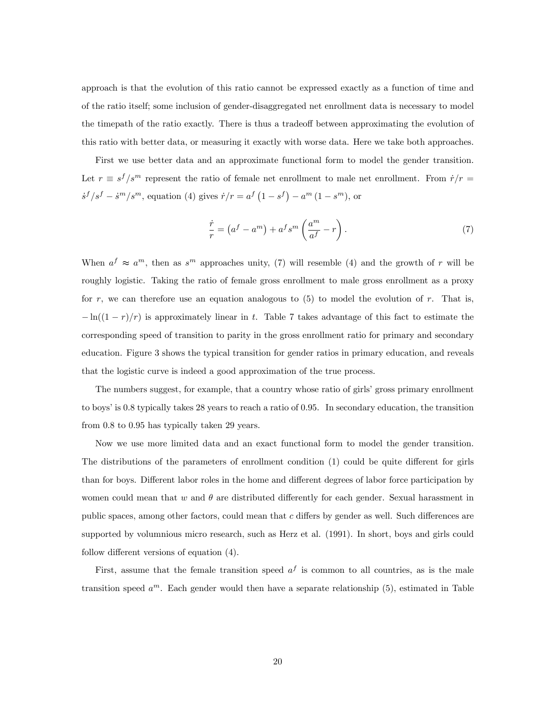approach is that the evolution of this ratio cannot be expressed exactly as a function of time and of the ratio itself; some inclusion of gender-disaggregated net enrollment data is necessary to model the timepath of the ratio exactly. There is thus a tradeoff between approximating the evolution of this ratio with better data, or measuring it exactly with worse data. Here we take both approaches.

First we use better data and an approximate functional form to model the gender transition. Let  $r \equiv s^f/s^m$  represent the ratio of female net enrollment to male net enrollment. From  $\dot{r}/r =$  $s^f/s^f - \dot{s}^m/s^m$ , equation (4) gives  $\dot{r}/r = a^f (1 - s^f) - a^m (1 - s^m)$ , or

$$
\frac{\dot{r}}{r} = \left(a^f - a^m\right) + a^f s^m \left(\frac{a^m}{a^f} - r\right). \tag{7}
$$

When  $a^f \approx a^m$ , then as  $s^m$  approaches unity, (7) will resemble (4) and the growth of r will be roughly logistic. Taking the ratio of female gross enrollment to male gross enrollment as a proxy for r, we can therefore use an equation analogous to  $(5)$  to model the evolution of r. That is,  $-\ln((1 - r)/r)$  is approximately linear in t. Table 7 takes advantage of this fact to estimate the corresponding speed of transition to parity in the gross enrollment ratio for primary and secondary education. Figure 3 shows the typical transition for gender ratios in primary education, and reveals that the logistic curve is indeed a good approximation of the true process.

The numbers suggest, for example, that a country whose ratio of girls' gross primary enrollment to boys' is  $0.8$  typically takes 28 years to reach a ratio of  $0.95$ . In secondary education, the transition from 0.8 to 0.95 has typically taken 29 years.

Now we use more limited data and an exact functional form to model the gender transition. The distributions of the parameters of enrollment condition  $(1)$  could be quite different for girls than for boys. Different labor roles in the home and different degrees of labor force participation by women could mean that w and  $\theta$  are distributed differently for each gender. Sexual harassment in public spaces, among other factors, could mean that  $c$  differs by gender as well. Such differences are supported by volumnious micro research, such as Herz et al. (1991). In short, boys and girls could follow different versions of equation  $(4)$ .

First, assume that the female transition speed  $a^f$  is common to all countries, as is the male transition speed  $a^m$ . Each gender would then have a separate relationship (5), estimated in Table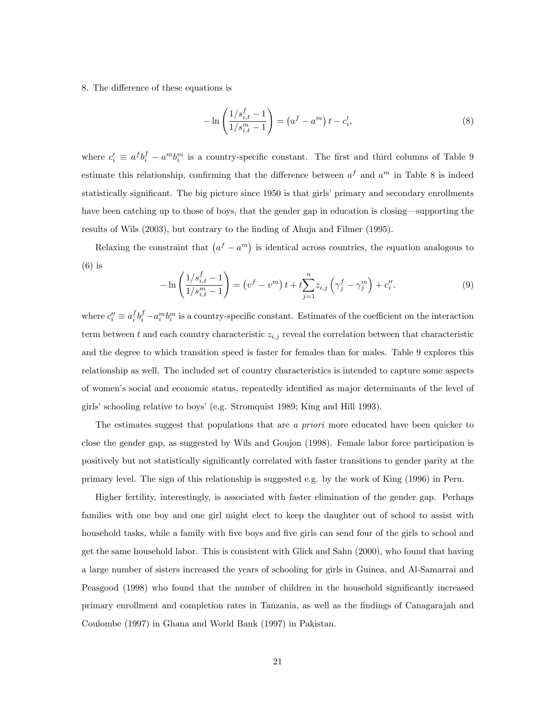#### 8. The difference of these equations is

$$
-\ln\left(\frac{1/s_{i,t}^f - 1}{1/s_{i,t}^m - 1}\right) = \left(a^f - a^m\right)t - c_i',\tag{8}
$$

where  $c_i' \equiv a^f b_i^f - a^m b_i^m$  is a country-specific constant. The first and third columns of Table 9 estimate this relationship, confirming that the difference between  $a^f$  and  $a^m$  in Table 8 is indeed statistically significant. The big picture since 1950 is that girls' primary and secondary enrollments have been catching up to those of boys, that the gender gap in education is closing—supporting the results of Wils (2003), but contrary to the finding of Ahuja and Filmer (1995).

Relaxing the constraint that  $(a^f - a^m)$  is identical across countries, the equation analogous to  $(6)$  is

$$
-\ln\left(\frac{1/s_{i,t}^f - 1}{1/s_{i,t}^m - 1}\right) = \left(v^f - v^m\right)t + t\sum_{j=1}^n z_{i,j}\left(\gamma_j^f - \gamma_j^m\right) + c_i''.
$$
\n(9)

where  $c''_i \equiv a_i^f b_i^f - a_i^m b_i^m$  is a country-specific constant. Estimates of the coefficient on the interaction term between t and each country characteristic  $z_{i,j}$  reveal the correlation between that characteristic and the degree to which transition speed is faster for females than for males. Table 9 explores this relationship as well. The included set of country characteristics is intended to capture some aspects of women's social and economic status, repeatedly identified as major determinants of the level of girls' schooling relative to boys' (e.g. Stromquist 1989; King and Hill 1993).

The estimates suggest that populations that are a priori more educated have been quicker to close the gender gap, as suggested by Wils and Goujon (1998). Female labor force participation is positively but not statistically significantly correlated with faster transitions to gender parity at the primary level. The sign of this relationship is suggested e.g. by the work of King (1996) in Peru.

Higher fertility, interestingly, is associated with faster elimination of the gender gap. Perhaps families with one boy and one girl might elect to keep the daughter out of school to assist with household tasks, while a family with five boys and five girls can send four of the girls to school and get the same household labor. This is consistent with Glick and Sahn (2000), who found that having a large number of sisters increased the years of schooling for girls in Guinea, and Al-Samarrai and Peasgood (1998) who found that the number of children in the household significantly increased primary enrollment and completion rates in Tanzania, as well as the Öndings of Canagarajah and Coulombe (1997) in Ghana and World Bank (1997) in Pakistan.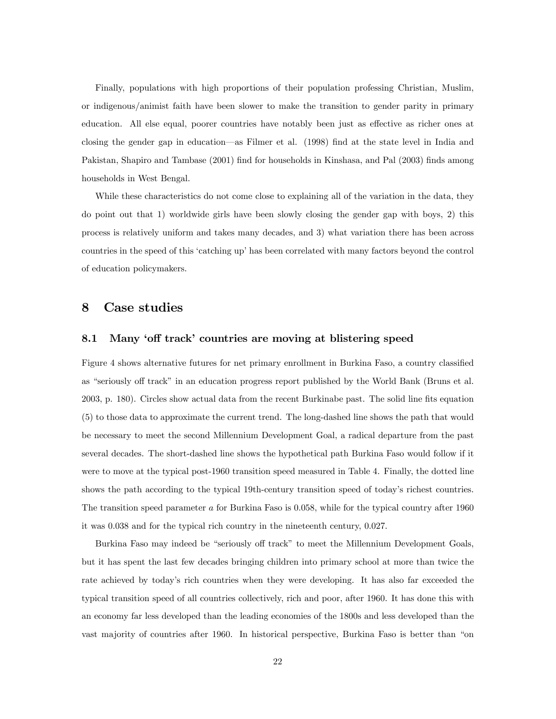Finally, populations with high proportions of their population professing Christian, Muslim, or indigenous/animist faith have been slower to make the transition to gender parity in primary education. All else equal, poorer countries have notably been just as effective as richer ones at closing the gender gap in education—as Filmer et al. (1998) find at the state level in India and Pakistan, Shapiro and Tambase (2001) find for households in Kinshasa, and Pal (2003) finds among households in West Bengal.

While these characteristics do not come close to explaining all of the variation in the data, they do point out that 1) worldwide girls have been slowly closing the gender gap with boys, 2) this process is relatively uniform and takes many decades, and 3) what variation there has been across countries in the speed of this 'catching up' has been correlated with many factors beyond the control of education policymakers.

## 8 Case studies

#### 8.1 Many 'off track' countries are moving at blistering speed

Figure 4 shows alternative futures for net primary enrollment in Burkina Faso, a country classified as "seriously off track" in an education progress report published by the World Bank (Bruns et al. 2003, p. 180). Circles show actual data from the recent Burkinabe past. The solid line fits equation (5) to those data to approximate the current trend. The long-dashed line shows the path that would be necessary to meet the second Millennium Development Goal, a radical departure from the past several decades. The short-dashed line shows the hypothetical path Burkina Faso would follow if it were to move at the typical post-1960 transition speed measured in Table 4. Finally, the dotted line shows the path according to the typical 19th-century transition speed of today's richest countries. The transition speed parameter a for Burkina Faso is 0.058, while for the typical country after 1960 it was 0.038 and for the typical rich country in the nineteenth century, 0.027.

Burkina Faso may indeed be "seriously off track" to meet the Millennium Development Goals, but it has spent the last few decades bringing children into primary school at more than twice the rate achieved by today's rich countries when they were developing. It has also far exceeded the typical transition speed of all countries collectively, rich and poor, after 1960. It has done this with an economy far less developed than the leading economies of the 1800s and less developed than the vast majority of countries after 1960. In historical perspective, Burkina Faso is better than "on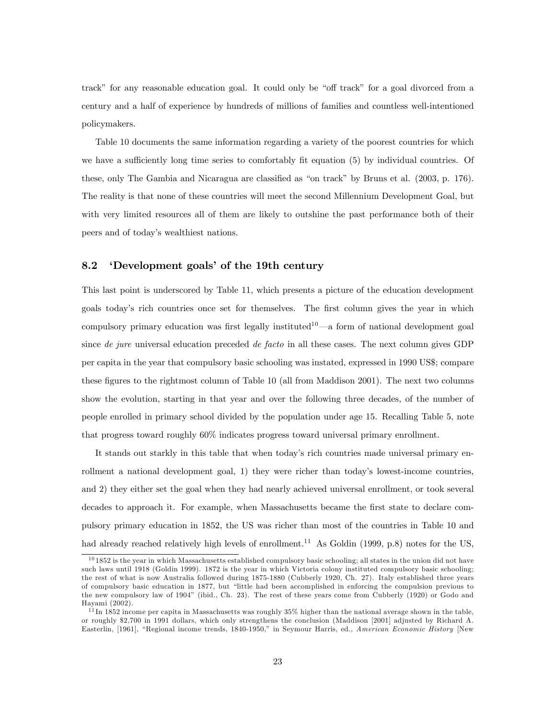track" for any reasonable education goal. It could only be "off track" for a goal divorced from a century and a half of experience by hundreds of millions of families and countless well-intentioned policymakers.

Table 10 documents the same information regarding a variety of the poorest countries for which we have a sufficiently long time series to comfortably fit equation (5) by individual countries. Of these, only The Gambia and Nicaragua are classified as "on track" by Bruns et al. (2003, p. 176). The reality is that none of these countries will meet the second Millennium Development Goal, but with very limited resources all of them are likely to outshine the past performance both of their peers and of today's wealthiest nations.

#### 8.2 'Development goals' of the 19th century

This last point is underscored by Table 11, which presents a picture of the education development goals today's rich countries once set for themselves. The first column gives the year in which compulsory primary education was first legally instituted<sup>10</sup>—a form of national development goal since *de jure* universal education preceded *de facto* in all these cases. The next column gives GDP per capita in the year that compulsory basic schooling was instated, expressed in 1990 US\$; compare these figures to the rightmost column of Table 10 (all from Maddison 2001). The next two columns show the evolution, starting in that year and over the following three decades, of the number of people enrolled in primary school divided by the population under age 15. Recalling Table 5, note that progress toward roughly 60% indicates progress toward universal primary enrollment.

It stands out starkly in this table that when today's rich countries made universal primary enrollment a national development goal, 1) they were richer than today's lowest-income countries, and 2) they either set the goal when they had nearly achieved universal enrollment, or took several decades to approach it. For example, when Massachusetts became the first state to declare compulsory primary education in 1852, the US was richer than most of the countries in Table 10 and had already reached relatively high levels of enrollment.<sup>11</sup> As Goldin (1999, p.8) notes for the US,

 $101852$  is the year in which Massachusetts established compulsory basic schooling; all states in the union did not have such laws until 1918 (Goldin 1999). 1872 is the year in which Victoria colony instituted compulsory basic schooling; the rest of what is now Australia followed during 1875-1880 (Cubberly 1920, Ch. 27). Italy established three years of compulsory basic education in 1877, but "little had been accomplished in enforcing the compulsion previous to the new compulsory law of 1904" (ibid., Ch. 23). The rest of these years come from Cubberly (1920) or Godo and Hayami (2002).

 $11$ In 1852 income per capita in Massachusetts was roughly 35% higher than the national average shown in the table. or roughly \$2,700 in 1991 dollars, which only strengthens the conclusion (Maddison [2001] adjusted by Richard A. Easterlin, [1961], "Regional income trends, 1840-1950," in Seymour Harris, ed., American Economic History [New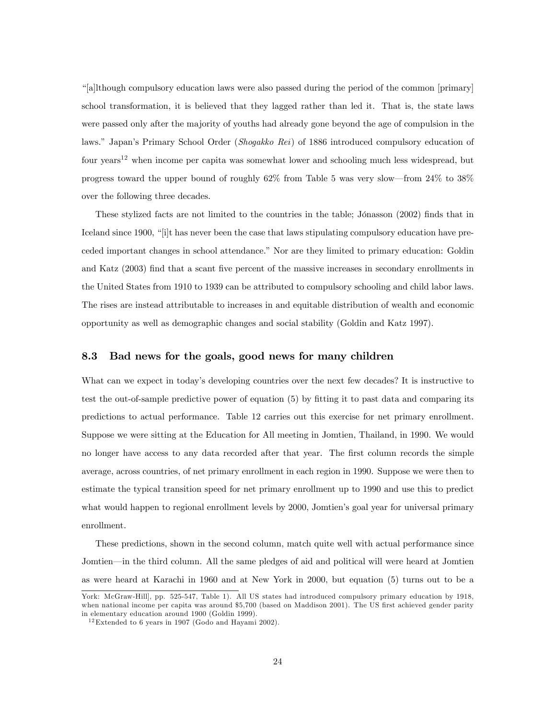ì[a]lthough compulsory education laws were also passed during the period of the common [primary] school transformation, it is believed that they lagged rather than led it. That is, the state laws were passed only after the majority of youths had already gone beyond the age of compulsion in the laws." Japan's Primary School Order (Shogakko Rei) of 1886 introduced compulsory education of four years<sup>12</sup> when income per capita was somewhat lower and schooling much less widespread, but progress toward the upper bound of roughly  $62\%$  from Table 5 was very slow—from  $24\%$  to  $38\%$ over the following three decades.

These stylized facts are not limited to the countries in the table; Jónasson (2002) finds that in Iceland since 1900, "ilt has never been the case that laws stipulating compulsory education have preceded important changes in school attendance." Nor are they limited to primary education: Goldin and Katz (2003) find that a scant five percent of the massive increases in secondary enrollments in the United States from 1910 to 1939 can be attributed to compulsory schooling and child labor laws. The rises are instead attributable to increases in and equitable distribution of wealth and economic opportunity as well as demographic changes and social stability (Goldin and Katz 1997).

#### 8.3 Bad news for the goals, good news for many children

What can we expect in today's developing countries over the next few decades? It is instructive to test the out-of-sample predictive power of equation (5) by fitting it to past data and comparing its predictions to actual performance. Table 12 carries out this exercise for net primary enrollment. Suppose we were sitting at the Education for All meeting in Jomtien, Thailand, in 1990. We would no longer have access to any data recorded after that year. The first column records the simple average, across countries, of net primary enrollment in each region in 1990. Suppose we were then to estimate the typical transition speed for net primary enrollment up to 1990 and use this to predict what would happen to regional enrollment levels by 2000, Jomtien's goal year for universal primary enrollment.

These predictions, shown in the second column, match quite well with actual performance since Jomtien—in the third column. All the same pledges of aid and political will were heard at Jomtien as were heard at Karachi in 1960 and at New York in 2000, but equation (5) turns out to be a

York: McGraw-Hill], pp. 525-547, Table 1). All US states had introduced compulsory primary education by 1918, when national income per capita was around \$5,700 (based on Maddison 2001). The US first achieved gender parity in elementary education around 1900 (Goldin 1999).

 $12$  Extended to 6 years in 1907 (Godo and Hayami 2002).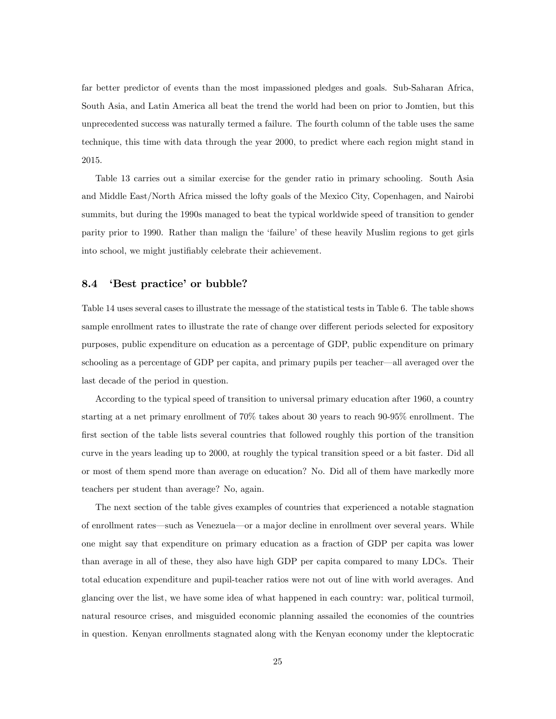far better predictor of events than the most impassioned pledges and goals. Sub-Saharan Africa, South Asia, and Latin America all beat the trend the world had been on prior to Jomtien, but this unprecedented success was naturally termed a failure. The fourth column of the table uses the same technique, this time with data through the year 2000, to predict where each region might stand in 2015.

Table 13 carries out a similar exercise for the gender ratio in primary schooling. South Asia and Middle East/North Africa missed the lofty goals of the Mexico City, Copenhagen, and Nairobi summits, but during the 1990s managed to beat the typical worldwide speed of transition to gender parity prior to 1990. Rather than malign the 'failure' of these heavily Muslim regions to get girls into school, we might justifiably celebrate their achievement.

### 8.4 'Best practice' or bubble?

Table 14 uses several cases to illustrate the message of the statistical tests in Table 6. The table shows sample enrollment rates to illustrate the rate of change over different periods selected for expository purposes, public expenditure on education as a percentage of GDP, public expenditure on primary schooling as a percentage of GDP per capita, and primary pupils per teacher—all averaged over the last decade of the period in question.

According to the typical speed of transition to universal primary education after 1960, a country starting at a net primary enrollment of 70% takes about 30 years to reach 90-95% enrollment. The first section of the table lists several countries that followed roughly this portion of the transition curve in the years leading up to 2000, at roughly the typical transition speed or a bit faster. Did all or most of them spend more than average on education? No. Did all of them have markedly more teachers per student than average? No, again.

The next section of the table gives examples of countries that experienced a notable stagnation of enrollment rates—such as Venezuela—or a major decline in enrollment over several years. While one might say that expenditure on primary education as a fraction of GDP per capita was lower than average in all of these, they also have high GDP per capita compared to many LDCs. Their total education expenditure and pupil-teacher ratios were not out of line with world averages. And glancing over the list, we have some idea of what happened in each country: war, political turmoil, natural resource crises, and misguided economic planning assailed the economies of the countries in question. Kenyan enrollments stagnated along with the Kenyan economy under the kleptocratic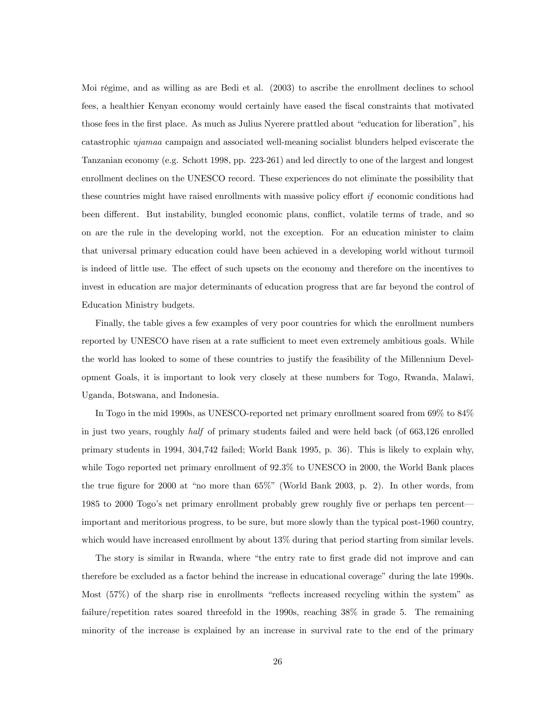Moi régime, and as willing as are Bedi et al. (2003) to ascribe the enrollment declines to school fees, a healthier Kenyan economy would certainly have eased the Öscal constraints that motivated those fees in the first place. As much as Julius Nyerere prattled about "education for liberation", his catastrophic ujamaa campaign and associated well-meaning socialist blunders helped eviscerate the Tanzanian economy (e.g. Schott 1998, pp. 223-261) and led directly to one of the largest and longest enrollment declines on the UNESCO record. These experiences do not eliminate the possibility that these countries might have raised enrollments with massive policy effort  $if$  economic conditions had been different. But instability, bungled economic plans, conflict, volatile terms of trade, and so on are the rule in the developing world, not the exception. For an education minister to claim that universal primary education could have been achieved in a developing world without turmoil is indeed of little use. The effect of such upsets on the economy and therefore on the incentives to invest in education are major determinants of education progress that are far beyond the control of Education Ministry budgets.

Finally, the table gives a few examples of very poor countries for which the enrollment numbers reported by UNESCO have risen at a rate sufficient to meet even extremely ambitious goals. While the world has looked to some of these countries to justify the feasibility of the Millennium Development Goals, it is important to look very closely at these numbers for Togo, Rwanda, Malawi, Uganda, Botswana, and Indonesia.

In Togo in the mid 1990s, as UNESCO-reported net primary enrollment soared from 69% to 84% in just two years, roughly half of primary students failed and were held back (of 663,126 enrolled primary students in 1994, 304,742 failed; World Bank 1995, p. 36). This is likely to explain why, while Togo reported net primary enrollment of  $92.3\%$  to UNESCO in 2000, the World Bank places the true figure for 2000 at "no more than  $65\%$ " (World Bank 2003, p. 2). In other words, from 1985 to 2000 Togo's net primary enrollment probably grew roughly five or perhaps ten percent important and meritorious progress, to be sure, but more slowly than the typical post-1960 country, which would have increased enrollment by about 13% during that period starting from similar levels.

The story is similar in Rwanda, where "the entry rate to first grade did not improve and can therefore be excluded as a factor behind the increase in educational coverage" during the late 1990s. Most  $(57%)$  of the sharp rise in enrollments "reflects increased recycling within the system" as failure/repetition rates soared threefold in the 1990s, reaching 38% in grade 5. The remaining minority of the increase is explained by an increase in survival rate to the end of the primary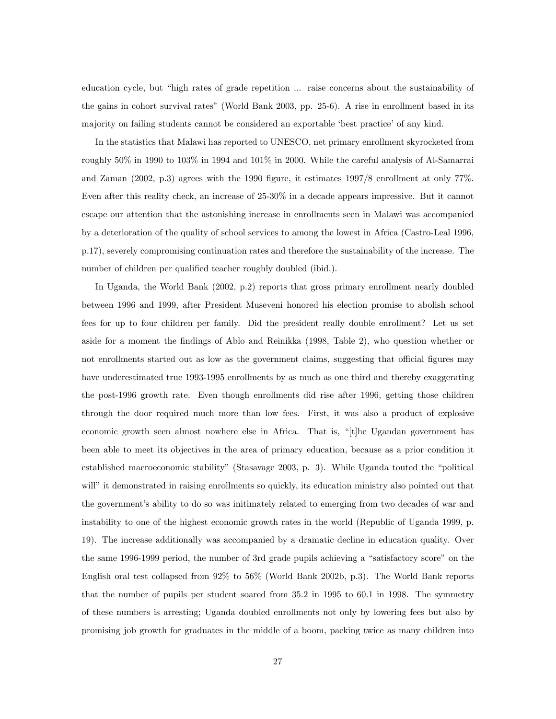education cycle, but "high rates of grade repetition ... raise concerns about the sustainability of the gains in cohort survival ratesî (World Bank 2003, pp. 25-6). A rise in enrollment based in its majority on failing students cannot be considered an exportable 'best practice' of any kind.

In the statistics that Malawi has reported to UNESCO, net primary enrollment skyrocketed from roughly 50% in 1990 to 103% in 1994 and 101% in 2000. While the careful analysis of Al-Samarrai and Zaman (2002, p.3) agrees with the 1990 figure, it estimates 1997/8 enrollment at only 77%. Even after this reality check, an increase of 25-30% in a decade appears impressive. But it cannot escape our attention that the astonishing increase in enrollments seen in Malawi was accompanied by a deterioration of the quality of school services to among the lowest in Africa (Castro-Leal 1996, p.17), severely compromising continuation rates and therefore the sustainability of the increase. The number of children per qualified teacher roughly doubled (ibid.).

In Uganda, the World Bank (2002, p.2) reports that gross primary enrollment nearly doubled between 1996 and 1999, after President Museveni honored his election promise to abolish school fees for up to four children per family. Did the president really double enrollment? Let us set aside for a moment the Öndings of Ablo and Reinikka (1998, Table 2), who question whether or not enrollments started out as low as the government claims, suggesting that official figures may have underestimated true 1993-1995 enrollments by as much as one third and thereby exaggerating the post-1996 growth rate. Even though enrollments did rise after 1996, getting those children through the door required much more than low fees. First, it was also a product of explosive economic growth seen almost nowhere else in Africa. That is, "[t]he Ugandan government has been able to meet its objectives in the area of primary education, because as a prior condition it established macroeconomic stability" (Stasavage 2003, p. 3). While Uganda touted the "political will" it demonstrated in raising enrollments so quickly, its education ministry also pointed out that the government's ability to do so was initimately related to emerging from two decades of war and instability to one of the highest economic growth rates in the world (Republic of Uganda 1999, p. 19). The increase additionally was accompanied by a dramatic decline in education quality. Over the same 1996-1999 period, the number of 3rd grade pupils achieving a "satisfactory score" on the English oral test collapsed from 92% to 56% (World Bank 2002b, p.3). The World Bank reports that the number of pupils per student soared from 35.2 in 1995 to 60.1 in 1998. The symmetry of these numbers is arresting; Uganda doubled enrollments not only by lowering fees but also by promising job growth for graduates in the middle of a boom, packing twice as many children into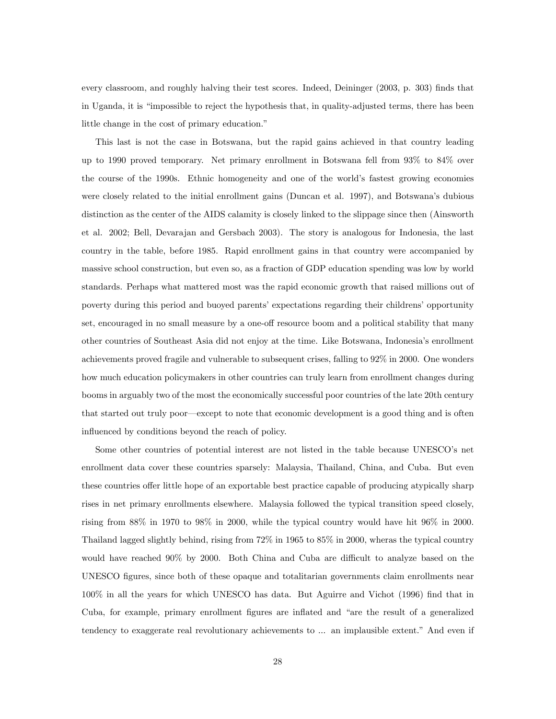every classroom, and roughly halving their test scores. Indeed, Deininger (2003, p. 303) finds that in Uganda, it is "impossible to reject the hypothesis that, in quality-adjusted terms, there has been little change in the cost of primary education."

This last is not the case in Botswana, but the rapid gains achieved in that country leading up to 1990 proved temporary. Net primary enrollment in Botswana fell from 93% to 84% over the course of the 1990s. Ethnic homogeneity and one of the world's fastest growing economies were closely related to the initial enrollment gains (Duncan et al. 1997), and Botswana's dubious distinction as the center of the AIDS calamity is closely linked to the slippage since then (Ainsworth et al. 2002; Bell, Devarajan and Gersbach 2003). The story is analogous for Indonesia, the last country in the table, before 1985. Rapid enrollment gains in that country were accompanied by massive school construction, but even so, as a fraction of GDP education spending was low by world standards. Perhaps what mattered most was the rapid economic growth that raised millions out of poverty during this period and buoyed parents' expectations regarding their childrens' opportunity set, encouraged in no small measure by a one-off resource boom and a political stability that many other countries of Southeast Asia did not enjoy at the time. Like Botswana, Indonesiaís enrollment achievements proved fragile and vulnerable to subsequent crises, falling to 92% in 2000. One wonders how much education policymakers in other countries can truly learn from enrollment changes during booms in arguably two of the most the economically successful poor countries of the late 20th century that started out truly poor—except to note that economic development is a good thing and is often influenced by conditions beyond the reach of policy.

Some other countries of potential interest are not listed in the table because UNESCO's net enrollment data cover these countries sparsely: Malaysia, Thailand, China, and Cuba. But even these countries offer little hope of an exportable best practice capable of producing atypically sharp rises in net primary enrollments elsewhere. Malaysia followed the typical transition speed closely, rising from 88% in 1970 to 98% in 2000, while the typical country would have hit 96% in 2000. Thailand lagged slightly behind, rising from 72% in 1965 to 85% in 2000, wheras the typical country would have reached  $90\%$  by 2000. Both China and Cuba are difficult to analyze based on the UNESCO figures, since both of these opaque and totalitarian governments claim enrollments near 100% in all the years for which UNESCO has data. But Aguirre and Vichot (1996) find that in Cuba, for example, primary enrollment figures are inflated and "are the result of a generalized tendency to exaggerate real revolutionary achievements to ... an implausible extent.î And even if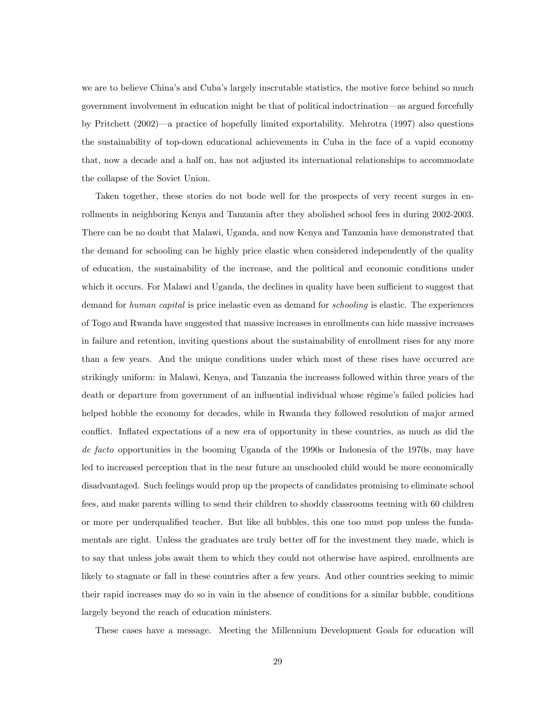we are to believe China's and Cuba's largely inscrutable statistics, the motive force behind so much government involvement in education might be that of political indoctrination—as argued forcefully by Pritchett  $(2002)$ —a practice of hopefully limited exportability. Mehrotra (1997) also questions the sustainability of top-down educational achievements in Cuba in the face of a vapid economy that, now a decade and a half on, has not adjusted its international relationships to accommodate the collapse of the Soviet Union.

Taken together, these stories do not bode well for the prospects of very recent surges in enrollments in neighboring Kenya and Tanzania after they abolished school fees in during 2002-2003. There can be no doubt that Malawi, Uganda, and now Kenya and Tanzania have demonstrated that the demand for schooling can be highly price elastic when considered independently of the quality of education, the sustainability of the increase, and the political and economic conditions under which it occurs. For Malawi and Uganda, the declines in quality have been sufficient to suggest that demand for human capital is price inelastic even as demand for *schooling* is elastic. The experiences of Togo and Rwanda have suggested that massive increases in enrollments can hide massive increases in failure and retention, inviting questions about the sustainability of enrollment rises for any more than a few years. And the unique conditions under which most of these rises have occurred are strikingly uniform: in Malawi, Kenya, and Tanzania the increases followed within three years of the death or departure from government of an influential individual whose régime's failed policies had helped hobble the economy for decades, while in Rwanda they followed resolution of major armed conflict. Inflated expectations of a new era of opportunity in these countries, as much as did the de facto opportunities in the booming Uganda of the 1990s or Indonesia of the 1970s, may have led to increased perception that in the near future an unschooled child would be more economically disadvantaged. Such feelings would prop up the propects of candidates promising to eliminate school fees, and make parents willing to send their children to shoddy classrooms teeming with 60 children or more per underqualified teacher. But like all bubbles, this one too must pop unless the fundamentals are right. Unless the graduates are truly better off for the investment they made, which is to say that unless jobs await them to which they could not otherwise have aspired, enrollments are likely to stagnate or fall in these countries after a few years. And other countries seeking to mimic their rapid increases may do so in vain in the absence of conditions for a similar bubble, conditions largely beyond the reach of education ministers.

These cases have a message. Meeting the Millennium Development Goals for education will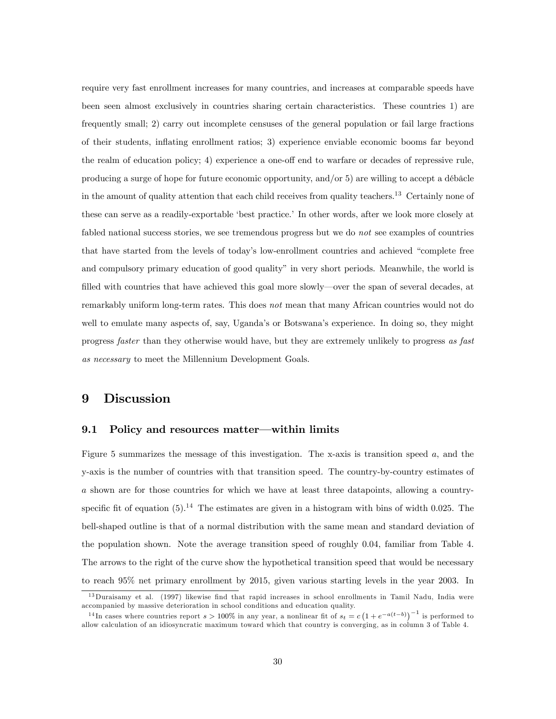require very fast enrollment increases for many countries, and increases at comparable speeds have been seen almost exclusively in countries sharing certain characteristics. These countries 1) are frequently small; 2) carry out incomplete censuses of the general population or fail large fractions of their students, ináating enrollment ratios; 3) experience enviable economic booms far beyond the realm of education policy; 4) experience a one-off end to warfare or decades of repressive rule, producing a surge of hope for future economic opportunity, and/or  $5$ ) are willing to accept a débâcle in the amount of quality attention that each child receives from quality teachers.<sup>13</sup> Certainly none of these can serve as a readily-exportable 'best practice.' In other words, after we look more closely at fabled national success stories, we see tremendous progress but we do *not* see examples of countries that have started from the levels of today's low-enrollment countries and achieved "complete free and compulsory primary education of good quality" in very short periods. Meanwhile, the world is filled with countries that have achieved this goal more slowly—over the span of several decades, at remarkably uniform long-term rates. This does not mean that many African countries would not do well to emulate many aspects of, say, Uganda's or Botswana's experience. In doing so, they might progress faster than they otherwise would have, but they are extremely unlikely to progress as fast as necessary to meet the Millennium Development Goals.

## 9 Discussion

### 9.1 Policy and resources matter—within limits

Figure 5 summarizes the message of this investigation. The x-axis is transition speed  $a$ , and the y-axis is the number of countries with that transition speed. The country-by-country estimates of a shown are for those countries for which we have at least three datapoints, allowing a countryspecific fit of equation  $(5)^{14}$  The estimates are given in a histogram with bins of width 0.025. The bell-shaped outline is that of a normal distribution with the same mean and standard deviation of the population shown. Note the average transition speed of roughly 0.04, familiar from Table 4. The arrows to the right of the curve show the hypothetical transition speed that would be necessary to reach 95% net primary enrollment by 2015, given various starting levels in the year 2003. In

<sup>&</sup>lt;sup>13</sup>Duraisamy et al. (1997) likewise find that rapid increases in school enrollments in Tamil Nadu, India were accompanied by massive deterioration in school conditions and education quality.

<sup>&</sup>lt;sup>14</sup>In cases where countries report  $s > 100\%$  in any year, a nonlinear fit of  $s_t = c(1 + e^{-a(t-b)})^{-1}$  is performed to allow calculation of an idiosyncratic maximum toward which that country is converging, as in column 3 of Table 4.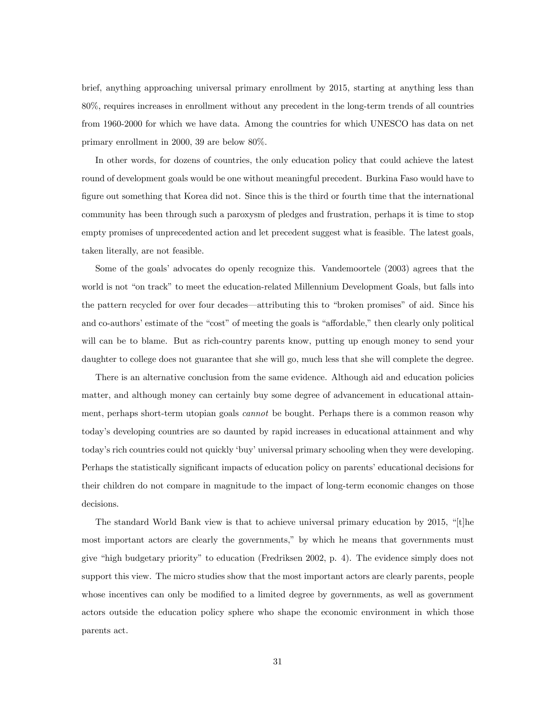brief, anything approaching universal primary enrollment by 2015, starting at anything less than 80%, requires increases in enrollment without any precedent in the long-term trends of all countries from 1960-2000 for which we have data. Among the countries for which UNESCO has data on net primary enrollment in 2000, 39 are below  $80\%$ .

In other words, for dozens of countries, the only education policy that could achieve the latest round of development goals would be one without meaningful precedent. Burkina Faso would have to figure out something that Korea did not. Since this is the third or fourth time that the international community has been through such a paroxysm of pledges and frustration, perhaps it is time to stop empty promises of unprecedented action and let precedent suggest what is feasible. The latest goals, taken literally, are not feasible.

Some of the goals' advocates do openly recognize this. Vandemoortele (2003) agrees that the world is not "on track" to meet the education-related Millennium Development Goals, but falls into the pattern recycled for over four decades—attributing this to "broken promises" of aid. Since his and co-authors' estimate of the "cost" of meeting the goals is "affordable," then clearly only political will can be to blame. But as rich-country parents know, putting up enough money to send your daughter to college does not guarantee that she will go, much less that she will complete the degree.

There is an alternative conclusion from the same evidence. Although aid and education policies matter, and although money can certainly buy some degree of advancement in educational attainment, perhaps short-term utopian goals *cannot* be bought. Perhaps there is a common reason why today's developing countries are so daunted by rapid increases in educational attainment and why today's rich countries could not quickly 'buy' universal primary schooling when they were developing. Perhaps the statistically significant impacts of education policy on parents' educational decisions for their children do not compare in magnitude to the impact of long-term economic changes on those decisions.

The standard World Bank view is that to achieve universal primary education by 2015, "[t] he most important actors are clearly the governments," by which he means that governments must give "high budgetary priority" to education (Fredriksen 2002, p. 4). The evidence simply does not support this view. The micro studies show that the most important actors are clearly parents, people whose incentives can only be modified to a limited degree by governments, as well as government actors outside the education policy sphere who shape the economic environment in which those parents act.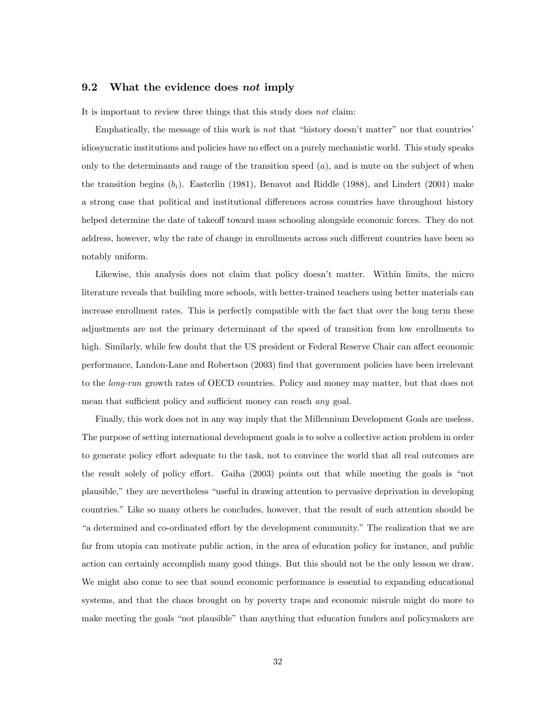### 9.2 What the evidence does not imply

It is important to review three things that this study does not claim:

Emphatically, the message of this work is not that "history doesn't matter" nor that countries' idiosyncratic institutions and policies have no effect on a purely mechanistic world. This study speaks only to the determinants and range of the transition speed  $(a)$ , and is mute on the subject of when the transition begins  $(b_i)$ . Easterlin (1981), Benavot and Riddle (1988), and Lindert (2001) make a strong case that political and institutional differences across countries have throughout history helped determine the date of takeoff toward mass schooling alongside economic forces. They do not address, however, why the rate of change in enrollments across such different countries have been so notably uniform.

Likewise, this analysis does not claim that policy doesn't matter. Within limits, the micro literature reveals that building more schools, with better-trained teachers using better materials can increase enrollment rates. This is perfectly compatible with the fact that over the long term these adjustments are not the primary determinant of the speed of transition from low enrollments to high. Similarly, while few doubt that the US president or Federal Reserve Chair can affect economic performance, Landon-Lane and Robertson (2003) Önd that government policies have been irrelevant to the *long-run* growth rates of OECD countries. Policy and money may matter, but that does not mean that sufficient policy and sufficient money can reach any goal.

Finally, this work does not in any way imply that the Millennium Development Goals are useless. The purpose of setting international development goals is to solve a collective action problem in order to generate policy effort adequate to the task, not to convince the world that all real outcomes are the result solely of policy effort. Gaiha (2003) points out that while meeting the goals is "not plausible," they are nevertheless "useful in drawing attention to pervasive deprivation in developing countries.î Like so many others he concludes, however, that the result of such attention should be <sup>a</sup> determined and co-ordinated effort by the development community." The realization that we are far from utopia can motivate public action, in the area of education policy for instance, and public action can certainly accomplish many good things. But this should not be the only lesson we draw. We might also come to see that sound economic performance is essential to expanding educational systems, and that the chaos brought on by poverty traps and economic misrule might do more to make meeting the goals "not plausible" than anything that education funders and policymakers are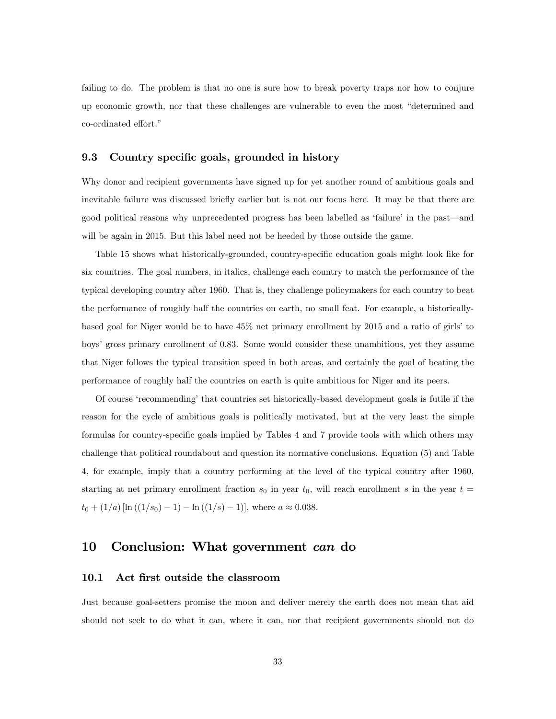failing to do. The problem is that no one is sure how to break poverty traps nor how to conjure up economic growth, nor that these challenges are vulnerable to even the most "determined and co-ordinated effort."

#### $9.3$ Country specific goals, grounded in history

Why donor and recipient governments have signed up for yet another round of ambitious goals and inevitable failure was discussed briefly earlier but is not our focus here. It may be that there are good political reasons why unprecedented progress has been labelled as 'failure' in the past—and will be again in 2015. But this label need not be heeded by those outside the game.

Table 15 shows what historically-grounded, country-specific education goals might look like for six countries. The goal numbers, in italics, challenge each country to match the performance of the typical developing country after 1960. That is, they challenge policymakers for each country to beat the performance of roughly half the countries on earth, no small feat. For example, a historicallybased goal for Niger would be to have 45% net primary enrollment by 2015 and a ratio of girls' to boys' gross primary enrollment of 0.83. Some would consider these unambitious, yet they assume that Niger follows the typical transition speed in both areas, and certainly the goal of beating the performance of roughly half the countries on earth is quite ambitious for Niger and its peers.

Of course 'recommending' that countries set historically-based development goals is futile if the reason for the cycle of ambitious goals is politically motivated, but at the very least the simple formulas for country-specific goals implied by Tables 4 and 7 provide tools with which others may challenge that political roundabout and question its normative conclusions. Equation (5) and Table 4, for example, imply that a country performing at the level of the typical country after 1960, starting at net primary enrollment fraction  $s_0$  in year  $t_0$ , will reach enrollment s in the year  $t =$  $t_0 + (1/a) [\ln ((1/s_0) - 1) - \ln ((1/s) - 1)],$  where  $a \approx 0.038$ .

#### 10 Conclusion: What government can do

#### 10.1 Act first outside the classroom

Just because goal-setters promise the moon and deliver merely the earth does not mean that aid should not seek to do what it can, where it can, nor that recipient governments should not do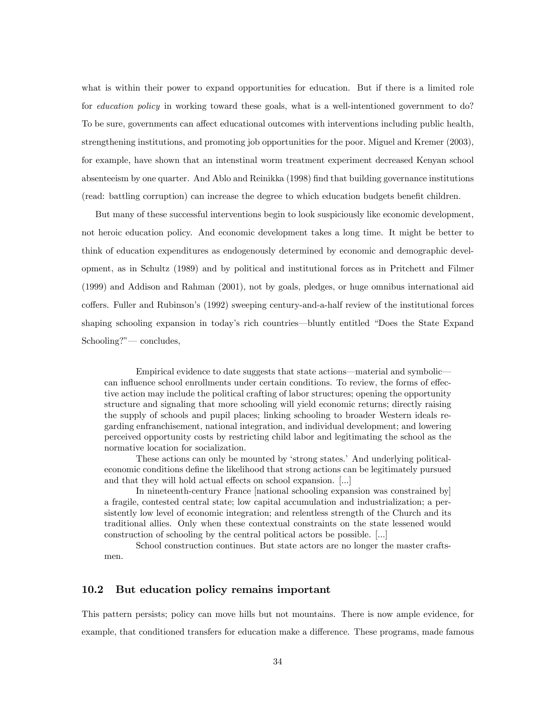what is within their power to expand opportunities for education. But if there is a limited role for *education policy* in working toward these goals, what is a well-intentioned government to do? To be sure, governments can affect educational outcomes with interventions including public health, strengthening institutions, and promoting job opportunities for the poor. Miguel and Kremer (2003), for example, have shown that an intenstinal worm treatment experiment decreased Kenyan school absenteeism by one quarter. And Ablo and Reinikka (1998) find that building governance institutions (read: battling corruption) can increase the degree to which education budgets benefit children.

But many of these successful interventions begin to look suspiciously like economic development, not heroic education policy. And economic development takes a long time. It might be better to think of education expenditures as endogenously determined by economic and demographic development, as in Schultz (1989) and by political and institutional forces as in Pritchett and Filmer  $(1999)$  and Addison and Rahman  $(2001)$ , not by goals, pledges, or huge omnibus international aid coffers. Fuller and Rubinson's (1992) sweeping century-and-a-half review of the institutional forces shaping schooling expansion in today's rich countries—bluntly entitled "Does the State Expand"  $Schooling?''—concludes,$ 

Empirical evidence to date suggests that state actions—material and symbolic can influence school enrollments under certain conditions. To review, the forms of effective action may include the political crafting of labor structures; opening the opportunity structure and signaling that more schooling will yield economic returns; directly raising the supply of schools and pupil places; linking schooling to broader Western ideals regarding enfranchisement, national integration, and individual development; and lowering perceived opportunity costs by restricting child labor and legitimating the school as the normative location for socialization.

These actions can only be mounted by 'strong states.' And underlying politicaleconomic conditions define the likelihood that strong actions can be legitimately pursued and that they will hold actual effects on school expansion. [...]

In nineteenth-century France [national schooling expansion was constrained by] a fragile, contested central state; low capital accumulation and industrialization; a persistently low level of economic integration; and relentless strength of the Church and its traditional allies. Only when these contextual constraints on the state lessened would construction of schooling by the central political actors be possible. [...]

School construction continues. But state actors are no longer the master craftsmen.

#### 10.2 But education policy remains important

This pattern persists; policy can move hills but not mountains. There is now ample evidence, for example, that conditioned transfers for education make a difference. These programs, made famous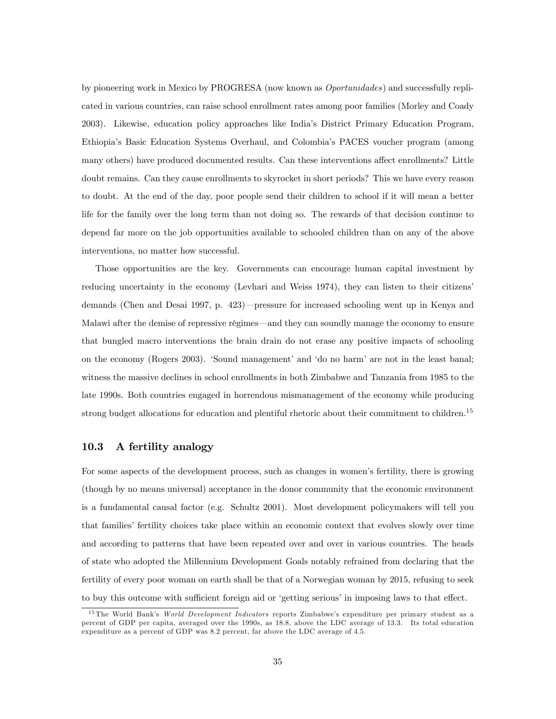by pioneering work in Mexico by PROGRESA (now known as Oportunidades) and successfully replicated in various countries, can raise school enrollment rates among poor families (Morley and Coady 2003). Likewise, education policy approaches like Indiaís District Primary Education Program, Ethiopiaís Basic Education Systems Overhaul, and Colombiaís PACES voucher program (among many others) have produced documented results. Can these interventions affect enrollments? Little doubt remains. Can they cause enrollments to skyrocket in short periods? This we have every reason to doubt. At the end of the day, poor people send their children to school if it will mean a better life for the family over the long term than not doing so. The rewards of that decision continue to depend far more on the job opportunities available to schooled children than on any of the above interventions, no matter how successful.

Those opportunities are the key. Governments can encourage human capital investment by reducing uncertainty in the economy (Levhari and Weiss 1974), they can listen to their citizens' demands (Chen and Desai 1997, p. 423)—pressure for increased schooling went up in Kenya and Malawi after the demise of repressive régimes—and they can soundly manage the economy to ensure that bungled macro interventions the brain drain do not erase any positive impacts of schooling on the economy (Rogers 2003). 'Sound management' and 'do no harm' are not in the least banal; witness the massive declines in school enrollments in both Zimbabwe and Tanzania from 1985 to the late 1990s. Both countries engaged in horrendous mismanagement of the economy while producing strong budget allocations for education and plentiful rhetoric about their commitment to children.<sup>15</sup>

### 10.3 A fertility analogy

For some aspects of the development process, such as changes in women's fertility, there is growing (though by no means universal) acceptance in the donor community that the economic environment is a fundamental causal factor (e.g. Schultz 2001). Most development policymakers will tell you that familiesí fertility choices take place within an economic context that evolves slowly over time and according to patterns that have been repeated over and over in various countries. The heads of state who adopted the Millennium Development Goals notably refrained from declaring that the fertility of every poor woman on earth shall be that of a Norwegian woman by 2015, refusing to seek to buy this outcome with sufficient foreign aid or 'getting serious' in imposing laws to that effect.

<sup>&</sup>lt;sup>15</sup> The World Bank's World Development Indicators reports Zimbabwe's expenditure per primary student as a percent of GDP per capita, averaged over the 1990s, as 18.8, above the LDC average of 13.3. Its total education expenditure as a percent of GDP was 8.2 percent, far above the LDC average of 4.5.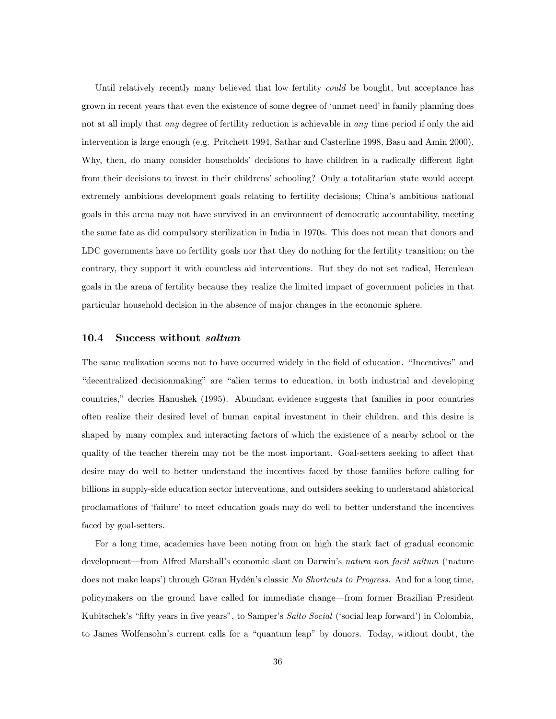Until relatively recently many believed that low fertility *could* be bought, but acceptance has grown in recent years that even the existence of some degree of 'unmet need' in family planning does not at all imply that *any* degree of fertility reduction is achievable in *any* time period if only the aid intervention is large enough (e.g. Pritchett 1994, Sathar and Casterline 1998, Basu and Amin 2000). Why, then, do many consider households' decisions to have children in a radically different light from their decisions to invest in their childrens' schooling? Only a totalitarian state would accept extremely ambitious development goals relating to fertility decisions; Chinaís ambitious national goals in this arena may not have survived in an environment of democratic accountability, meeting the same fate as did compulsory sterilization in India in 1970s. This does not mean that donors and LDC governments have no fertility goals nor that they do nothing for the fertility transition; on the contrary, they support it with countless aid interventions. But they do not set radical, Herculean goals in the arena of fertility because they realize the limited impact of government policies in that particular household decision in the absence of major changes in the economic sphere.

### 10.4 Success without saltum

The same realization seems not to have occurred widely in the field of education. "Incentives" and ìdecentralized decisionmakingî are ìalien terms to education, in both industrial and developing countries," decries Hanushek (1995). Abundant evidence suggests that families in poor countries often realize their desired level of human capital investment in their children, and this desire is shaped by many complex and interacting factors of which the existence of a nearby school or the quality of the teacher therein may not be the most important. Goal-setters seeking to affect that desire may do well to better understand the incentives faced by those families before calling for billions in supply-side education sector interventions, and outsiders seeking to understand ahistorical proclamations of 'failure' to meet education goals may do well to better understand the incentives faced by goal-setters.

For a long time, academics have been noting from on high the stark fact of gradual economic development—from Alfred Marshall's economic slant on Darwin's natura non facit saltum ('nature does not make leaps') through Göran Hydén's classic No Shortcuts to Progress. And for a long time, policymakers on the ground have called for immediate change—from former Brazilian President Kubitschek's "fifty years in five years", to Samper's Salto Social ('social leap forward') in Colombia, to James Wolfensohn's current calls for a "quantum leap" by donors. Today, without doubt, the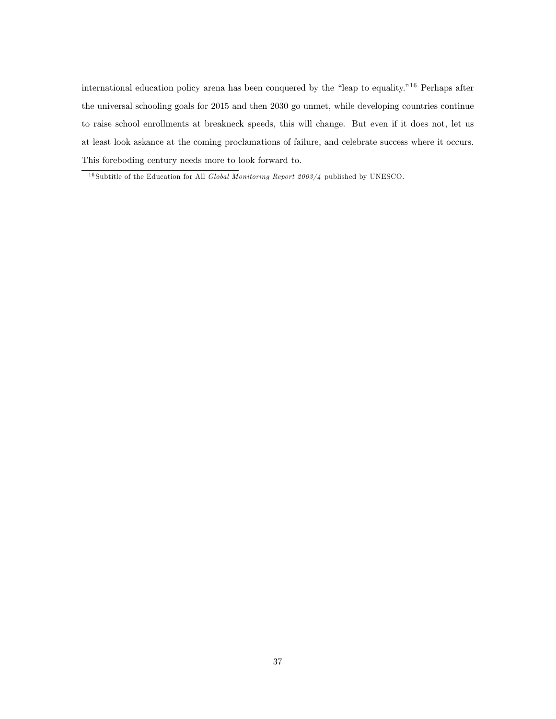international education policy arena has been conquered by the "leap to equality."<sup>16</sup> Perhaps after the universal schooling goals for 2015 and then 2030 go unmet, while developing countries continue to raise school enrollments at breakneck speeds, this will change. But even if it does not, let us at least look askance at the coming proclamations of failure, and celebrate success where it occurs. This foreboding century needs more to look forward to.

 $\frac{16}{16}$ Subtitle of the Education for All *Global Monitoring Report 2003/4* published by UNESCO.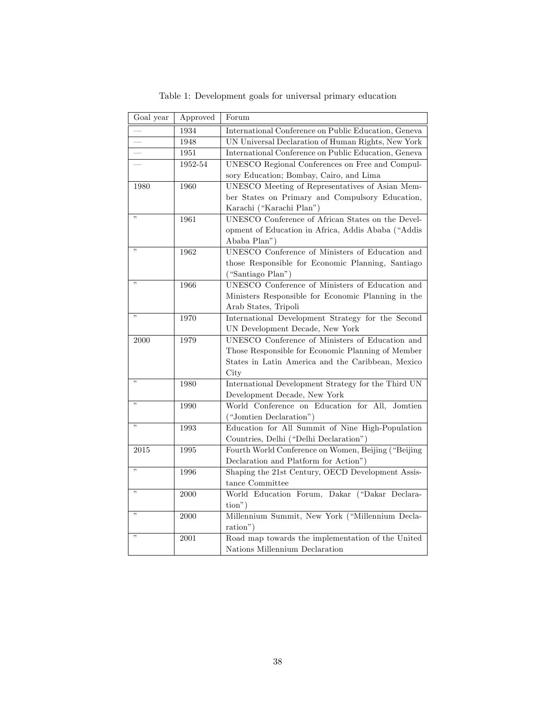| Goal year | Approved | Forum                                                |
|-----------|----------|------------------------------------------------------|
|           | 1934     | International Conference on Public Education, Geneva |
|           | 1948     | UN Universal Declaration of Human Rights, New York   |
|           | 1951     | International Conference on Public Education, Geneva |
|           | 1952-54  | UNESCO Regional Conferences on Free and Compul-      |
|           |          | sory Education; Bombay, Cairo, and Lima              |
| 1980      | 1960     | UNESCO Meeting of Representatives of Asian Mem-      |
|           |          | ber States on Primary and Compulsory Education,      |
|           |          | Karachi ("Karachi Plan")                             |
| "         | 1961     | UNESCO Conference of African States on the Devel-    |
|           |          | opment of Education in Africa, Addis Ababa ("Addis   |
|           |          | Ababa Plan")                                         |
| , 2       | 1962     | UNESCO Conference of Ministers of Education and      |
|           |          | those Responsible for Economic Planning, Santiago    |
|           |          | ("Santiago Plan")                                    |
| $\,$      | 1966     | UNESCO Conference of Ministers of Education and      |
|           |          | Ministers Responsible for Economic Planning in the   |
|           |          | Arab States, Tripoli                                 |
| ,         | 1970     | International Development Strategy for the Second    |
|           |          | UN Development Decade, New York                      |
| 2000      | 1979     | UNESCO Conference of Ministers of Education and      |
|           |          | Those Responsible for Economic Planning of Member    |
|           |          | States in Latin America and the Caribbean, Mexico    |
|           |          | City                                                 |
| ,         | 1980     | International Development Strategy for the Third UN  |
|           |          | Development Decade, New York                         |
| ,         | 1990     | World Conference on Education for All, Jomtien       |
|           |          | ("Jomtien Declaration")                              |
| $\,$      | 1993     | Education for All Summit of Nine High-Population     |
|           |          | Countries, Delhi ("Delhi Declaration")               |
| 2015      | 1995     | Fourth World Conference on Women, Beijing ("Beijing  |
|           |          | Declaration and Platform for Action")                |
| ,         | 1996     | Shaping the 21st Century, OECD Development Assis-    |
|           |          | tance Committee                                      |
| , 2       | 2000     | World Education Forum, Dakar ("Dakar Declara-        |
|           |          | $\text{tion}$ ")                                     |
| ,         | 2000     | Millennium Summit, New York ("Millennium Decla-      |
|           |          | ration")                                             |
| ,         | 2001     | Road map towards the implementation of the United    |
|           |          | Nations Millennium Declaration                       |

Table 1: Development goals for universal primary education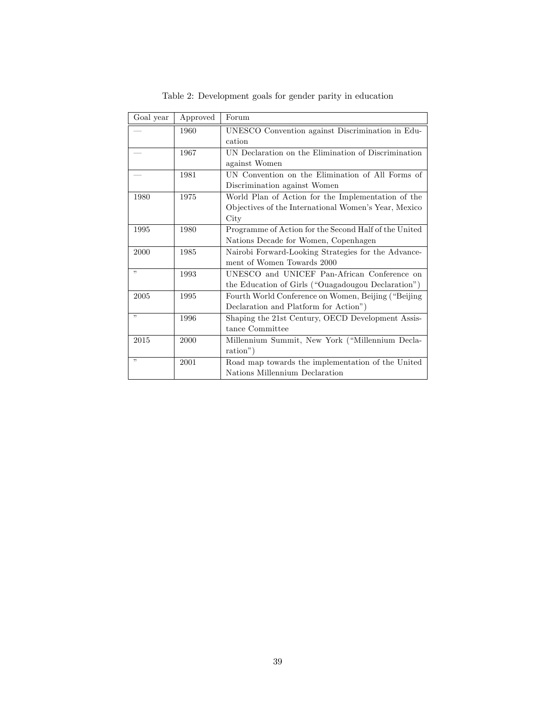| Goal year | Approved | Forum                                                 |
|-----------|----------|-------------------------------------------------------|
|           | 1960     | UNESCO Convention against Discrimination in Edu-      |
|           |          | cation                                                |
|           | 1967     | UN Declaration on the Elimination of Discrimination   |
|           |          | against Women                                         |
|           | 1981     | UN Convention on the Elimination of All Forms of      |
|           |          | Discrimination against Women                          |
| 1980      | 1975     | World Plan of Action for the Implementation of the    |
|           |          | Objectives of the International Women's Year, Mexico  |
|           |          | City                                                  |
| 1995      | 1980     | Programme of Action for the Second Half of the United |
|           |          | Nations Decade for Women, Copenhagen                  |
| 2000      | 1985     | Nairobi Forward-Looking Strategies for the Advance-   |
|           |          | ment of Women Towards 2000                            |
| "         | 1993     | UNESCO and UNICEF Pan-African Conference on           |
|           |          | the Education of Girls ("Ouagadougou Declaration")    |
| 2005      | 1995     | Fourth World Conference on Women, Beijing ("Beijing   |
|           |          | Declaration and Platform for Action")                 |
| "         | 1996     | Shaping the 21st Century, OECD Development Assis-     |
|           |          | tance Committee                                       |
| 2015      | 2000     | Millennium Summit, New York ("Millennium Decla-       |
|           |          | ration")                                              |
| "         | 2001     | Road map towards the implementation of the United     |
|           |          | Nations Millennium Declaration                        |

Table 2: Development goals for gender parity in education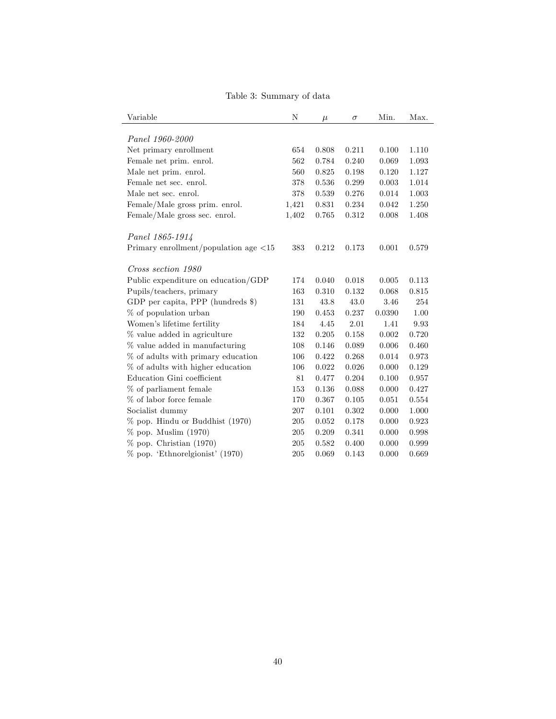|  |  | Table 3: Summary of data |  |  |
|--|--|--------------------------|--|--|
|--|--|--------------------------|--|--|

| Variable                                 | N     | $\mu$ | $\sigma$ | Min.   | Max.  |
|------------------------------------------|-------|-------|----------|--------|-------|
| Panel 1960-2000                          |       |       |          |        |       |
| Net primary enrollment                   | 654   | 0.808 | 0.211    | 0.100  | 1.110 |
| Female net prim. enrol.                  | 562   | 0.784 | 0.240    | 0.069  | 1.093 |
| Male net prim. enrol.                    | 560   | 0.825 | 0.198    | 0.120  | 1.127 |
| Female net sec. enrol.                   | 378   | 0.536 | 0.299    | 0.003  | 1.014 |
| Male net sec. enrol.                     | 378   | 0.539 | 0.276    | 0.014  | 1.003 |
| Female/Male gross prim. enrol.           | 1,421 | 0.831 | 0.234    | 0.042  | 1.250 |
| Female/Male gross sec. enrol.            | 1,402 | 0.765 | 0.312    | 0.008  | 1.408 |
| Panel 1865-1914                          |       |       |          |        |       |
| Primary enrollment/population age $<$ 15 | 383   | 0.212 | 0.173    | 0.001  | 0.579 |
| Cross section 1980                       |       |       |          |        |       |
| Public expenditure on education/GDP      | 174   | 0.040 | 0.018    | 0.005  | 0.113 |
| Pupils/teachers, primary                 | 163   | 0.310 | 0.132    | 0.068  | 0.815 |
| GDP per capita, PPP (hundreds $\$ )      | 131   | 43.8  | 43.0     | 3.46   | 254   |
| % of population urban                    | 190   | 0.453 | 0.237    | 0.0390 | 1.00  |
| Women's lifetime fertility               | 184   | 4.45  | 2.01     | 1.41   | 9.93  |
| % value added in agriculture             | 132   | 0.205 | 0.158    | 0.002  | 0.720 |
| % value added in manufacturing           | 108   | 0.146 | 0.089    | 0.006  | 0.460 |
| % of adults with primary education       | 106   | 0.422 | 0.268    | 0.014  | 0.973 |
| % of adults with higher education        | 106   | 0.022 | 0.026    | 0.000  | 0.129 |
| Education Gini coefficient               | 81    | 0.477 | 0.204    | 0.100  | 0.957 |
| % of parliament female                   | 153   | 0.136 | 0.088    | 0.000  | 0.427 |
| % of labor force female                  | 170   | 0.367 | 0.105    | 0.051  | 0.554 |
| Socialist dummy                          | 207   | 0.101 | 0.302    | 0.000  | 1.000 |
| % pop. Hindu or Buddhist (1970)          | 205   | 0.052 | 0.178    | 0.000  | 0.923 |
| % pop. Muslim (1970)                     | 205   | 0.209 | 0.341    | 0.000  | 0.998 |
| % pop. Christian (1970)                  | 205   | 0.582 | 0.400    | 0.000  | 0.999 |
| % pop. 'Ethnorelgionist' (1970)          | 205   | 0.069 | 0.143    | 0.000  | 0.669 |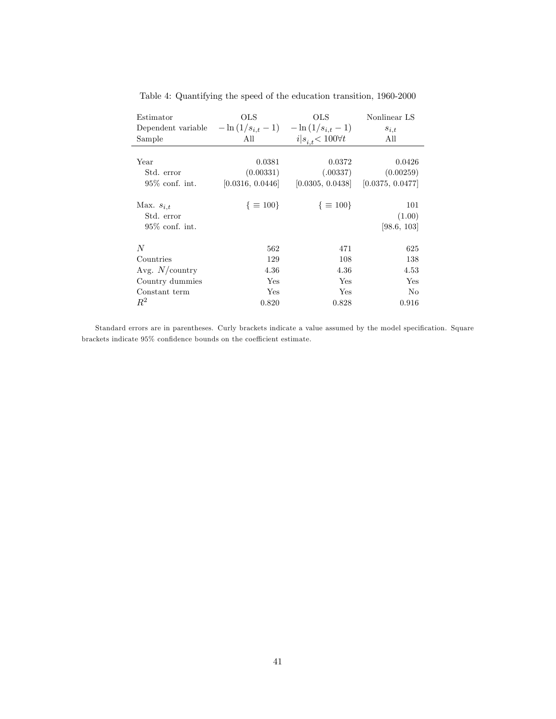| Estimator          | <b>OLS</b>       | <b>OLS</b>                                 | Nonlinear LS     |
|--------------------|------------------|--------------------------------------------|------------------|
| Dependent variable |                  | $-\ln(1/s_{i,t} - 1) - \ln(1/s_{i,t} - 1)$ | $s_{i,t}$        |
| Sample             | All              | $i s_{i,t}$ < 100 $\forall t$              | All              |
|                    |                  |                                            |                  |
| Year               | 0.0381           | 0.0372                                     | 0.0426           |
| Std. error         | (0.00331)        | (.00337)                                   | (0.00259)        |
| $95\%$ conf. int.  | [0.0316, 0.0446] | [0.0305, 0.0438]                           | [0.0375, 0.0477] |
|                    |                  |                                            |                  |
| Max. $s_{i,t}$     | $\{\equiv 100\}$ | $\{\equiv 100\}$                           | 101              |
| Std. error         |                  |                                            | (1.00)           |
| $95\%$ conf. int.  |                  |                                            | [98.6, 103]      |
|                    |                  |                                            |                  |
| N                  | 562              | 471                                        | 625              |
| Countries          | 129              | 108                                        | 138              |
| Avg. $N$ /country  | 4.36             | 4.36                                       | 4.53             |
| Country dummies    | Yes              | Yes                                        | Yes              |
| Constant term      | Yes              | Yes                                        | No               |
| $R^2$              | 0.820            | 0.828                                      | 0.916            |

Table 4: Quantifying the speed of the education transition, 1960-2000

Standard errors are in parentheses. Curly brackets indicate a value assumed by the model specification. Square brackets indicate  $95\%$  confidence bounds on the coefficient estimate.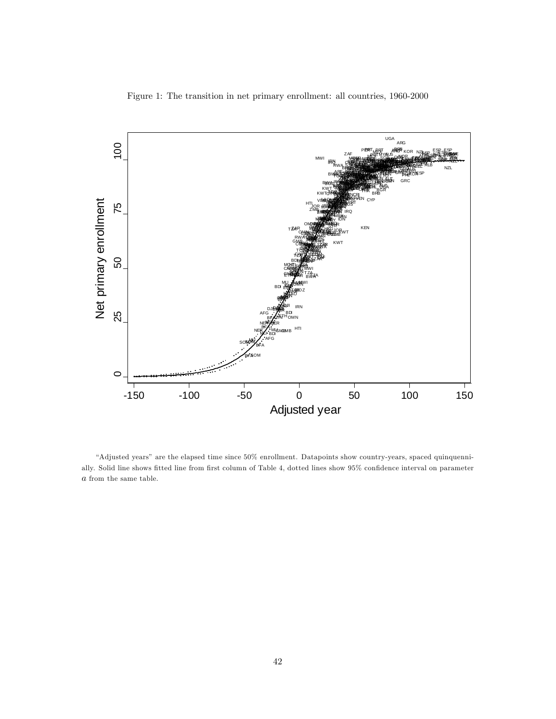

Figure 1: The transition in net primary enrollment: all countries, 1960-2000

ìAdjusted yearsî are the elapsed time since 50% enrollment. Datapoints show country-years, spaced quinquennially. Solid line shows fitted line from first column of Table 4, dotted lines show 95% confidence interval on parameter  $\boldsymbol{a}$  from the same table.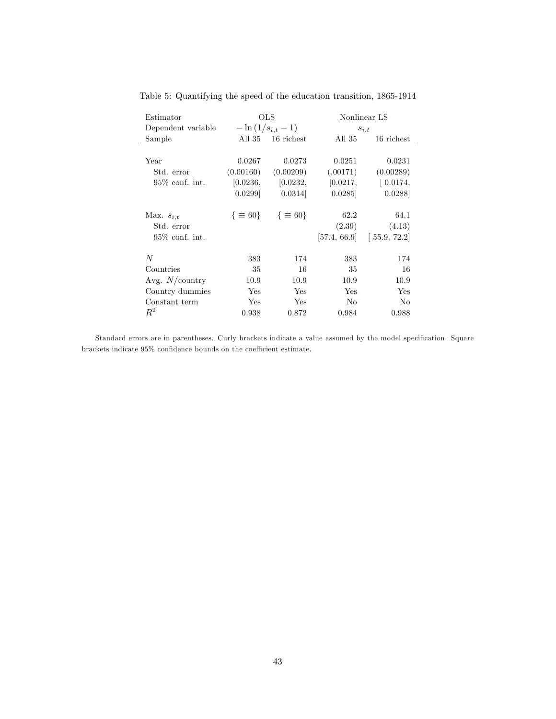| Estimator          | <b>OLS</b>            |                                 |            | Nonlinear LS                  |
|--------------------|-----------------------|---------------------------------|------------|-------------------------------|
| Dependent variable | $-\ln(1/s_{i,t} - 1)$ |                                 |            | $s_{i,t}$                     |
| Sample             | All 35                | 16 richest                      | All 35     | 16 richest                    |
|                    |                       |                                 |            |                               |
| Year               | 0.0267                | 0.0273                          | 0.0251     | 0.0231                        |
| Std. error         | (0.00160)             | (0.00209)                       | (.00171)   | (0.00289)                     |
| $95\%$ conf. int.  | [0.0236,              | [0.0232,                        | [0.0217,   | [0.0174,                      |
|                    | 0.0299                | 0.0314                          | 0.0285     | 0.0288                        |
| Max. $s_{i,t}$     |                       | $\{\equiv 60\}$ $\{\equiv 60\}$ | 62.2       | 64.1                          |
| Std. error         |                       |                                 | (2.39)     | (4.13)                        |
| $95\%$ conf. int.  |                       |                                 |            | $[57.4, 66.9]$ $[55.9, 72.2]$ |
|                    |                       |                                 |            |                               |
| N                  | 383                   | 174                             | 383        | 174                           |
| Countries          | 35                    | 16                              | 35         | 16                            |
| Avg. $N$ /country  | 10.9                  | 10.9                            | 10.9       | 10.9                          |
| Country dummies    | Yes                   | Yes                             | <b>Yes</b> | Yes                           |
| Constant term      | Yes                   | Yes                             | No.        | N <sub>0</sub>                |
| $R^2$              | 0.938                 | 0.872                           | 0.984      | 0.988                         |

Table 5: Quantifying the speed of the education transition, 1865-1914

Standard errors are in parentheses. Curly brackets indicate a value assumed by the model specification. Square brackets indicate  $95\%$  confidence bounds on the coefficient estimate.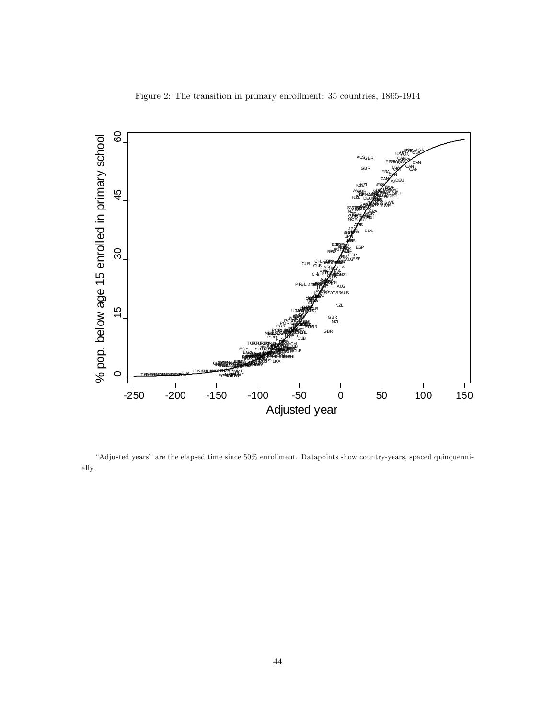



ìAdjusted yearsî are the elapsed time since 50% enrollment. Datapoints show country-years, spaced quinquennially.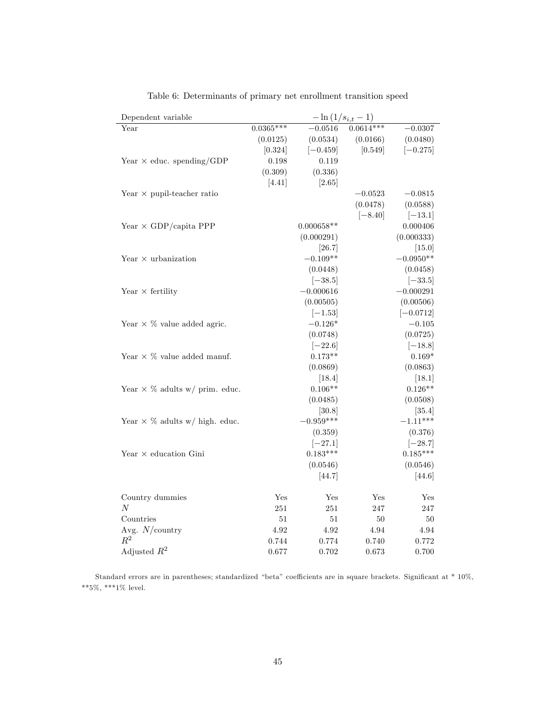| Dependent variable                    | $-\ln(1/s_{i,t} - 1)$ |              |             |             |  |
|---------------------------------------|-----------------------|--------------|-------------|-------------|--|
| Year                                  | $0.0365***$           | $-0.0516$    | $0.0614***$ | $-0.0307$   |  |
|                                       | (0.0125)              | (0.0534)     | (0.0166)    | (0.0480)    |  |
|                                       | [0.324]               | $[-0.459]$   | [0.549]     | $[-0.275]$  |  |
| Year $\times$ educ. spending/GDP      | 0.198                 | 0.119        |             |             |  |
|                                       | (0.309)               | (0.336)      |             |             |  |
|                                       | $[4.41]$              | [2.65]       |             |             |  |
| Year $\times$ pupil-teacher ratio     |                       |              | $-0.0523$   | $-0.0815$   |  |
|                                       |                       |              | (0.0478)    | (0.0588)    |  |
|                                       |                       |              | $[-8.40]$   | $[-13.1]$   |  |
| Year $\times$ GDP/capita PPP          |                       | $0.000658**$ |             | 0.000406    |  |
|                                       |                       | (0.000291)   |             | (0.000333)  |  |
|                                       |                       | [26.7]       |             | [15.0]      |  |
| Year $\times$ urbanization            |                       | $-0.109**$   |             | $-0.0950**$ |  |
|                                       |                       | (0.0448)     |             | (0.0458)    |  |
|                                       |                       | $[-38.5]$    |             | $[-33.5]$   |  |
| Year $\times$ fertility               |                       | $-0.000616$  |             | $-0.000291$ |  |
|                                       |                       | (0.00505)    |             | (0.00506)   |  |
|                                       |                       | $[-1.53]$    |             | $[-0.0712]$ |  |
| Year $\times$ % value added agric.    |                       | $-0.126*$    |             | $-0.105$    |  |
|                                       |                       | (0.0748)     |             | (0.0725)    |  |
|                                       |                       | $[-22.6]$    |             | $[-18.8]$   |  |
| Year $\times$ % value added manuf.    |                       | $0.173**$    |             | $0.169*$    |  |
|                                       |                       | (0.0869)     |             | (0.0863)    |  |
|                                       |                       | $[18.4]$     |             | [18.1]      |  |
| Year $\times$ % adults w/ prim. educ. |                       | $0.106**$    |             | $0.126**$   |  |
|                                       |                       | (0.0485)     |             | (0.0508)    |  |
|                                       |                       | [30.8]       |             | [35.4]      |  |
| Year $\times$ % adults w/ high. educ. |                       | $-0.959***$  |             | $-1.11***$  |  |
|                                       |                       | (0.359)      |             | (0.376)     |  |
|                                       |                       | $[-27.1]$    |             | $[-28.7]$   |  |
| Year × education Gini                 |                       | $0.183***$   |             | $0.185***$  |  |
|                                       |                       | (0.0546)     |             | (0.0546)    |  |
|                                       |                       | [44.7]       |             | [44.6]      |  |
| Country dummies                       | Yes                   | Yes          | Yes         | Yes         |  |
| $\overline{N}$                        | 251                   | 251          | 247         | 247         |  |
| Countries                             | 51                    | 51           | 50          | 50          |  |
| Avg. $N$ /country                     | 4.92                  | 4.92         | 4.94        | 4.94        |  |
| $R^2$                                 | 0.744                 | 0.774        | 0.740       | 0.772       |  |
| Adjusted $R^2$                        | 0.677                 | 0.702        | 0.673       | 0.700       |  |

Table 6: Determinants of primary net enrollment transition speed

Standard errors are in parentheses; standardized "beta" coefficients are in square brackets. Significant at  $*$  10%,  $^{**}5\%,$   $^{***}1\%$  level.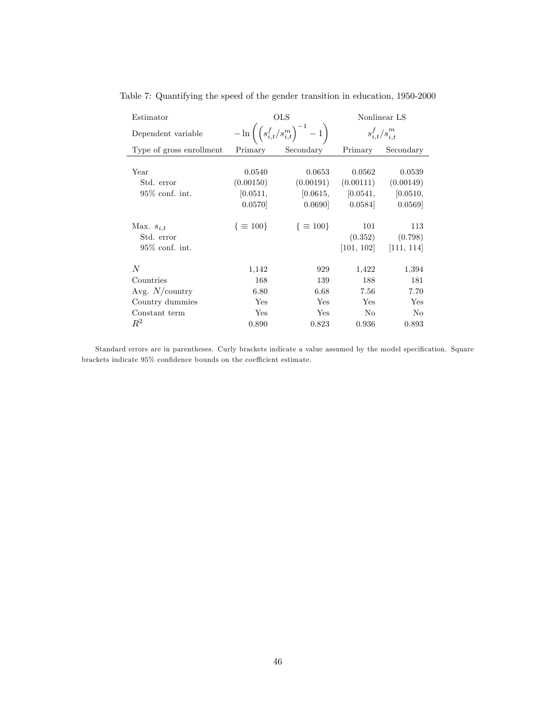| Estimator                                         |                                           | $_{\rm OLS}$                                               | Nonlinear LS                                            |                                           |  |
|---------------------------------------------------|-------------------------------------------|------------------------------------------------------------|---------------------------------------------------------|-------------------------------------------|--|
| Dependent variable                                |                                           | $-\ln\left(\left(s_{i,t}^f/s_{i,t}^m\right)^{-1}-1\right)$ |                                                         | $s_{i,t}^f / s_{i,t}^m$                   |  |
| Type of gross enrollment                          | Primary                                   | Secondary                                                  | Primary                                                 | Secondary                                 |  |
| Year<br>Std. error<br>$95\%$ conf. int.           | 0.0540<br>(0.00150)<br>[0.0511,<br>0.0570 | 0.0653<br>(0.00191)<br>0.0690                              | 0.0562<br>(0.00111)<br>$[0.0615, \t [0.0541,$<br>0.0584 | 0.0539<br>(0.00149)<br>[0.0510,<br>0.0569 |  |
| Max. $s_{i,t}$<br>Std. error<br>$95\%$ conf. int. | $\{\equiv 100\}$                          | $\{\equiv 100\}$                                           | 101<br>(0.352)<br>[101, 102]                            | 113<br>(0.798)<br>[111, 114]              |  |
| N<br>Countries<br>Avg. $N$ /country               | 1,142<br>168<br>6.80                      | 929<br>139<br>6.68                                         | 1,422<br>188<br>7.56                                    | 1,394<br>181<br>7.70                      |  |
| Country dummies<br>Constant term<br>$\,R^2$       | Yes<br>Yes                                | Yes<br>Yes                                                 | Yes<br>N <sub>o</sub>                                   | Yes<br>No                                 |  |
|                                                   | 0.890                                     | 0.823                                                      | 0.936                                                   | 0.893                                     |  |

# Table 7: Quantifying the speed of the gender transition in education, 1950-2000

Standard errors are in parentheses. Curly brackets indicate a value assumed by the model specification. Square brackets indicate  $95\%$  confidence bounds on the coefficient estimate.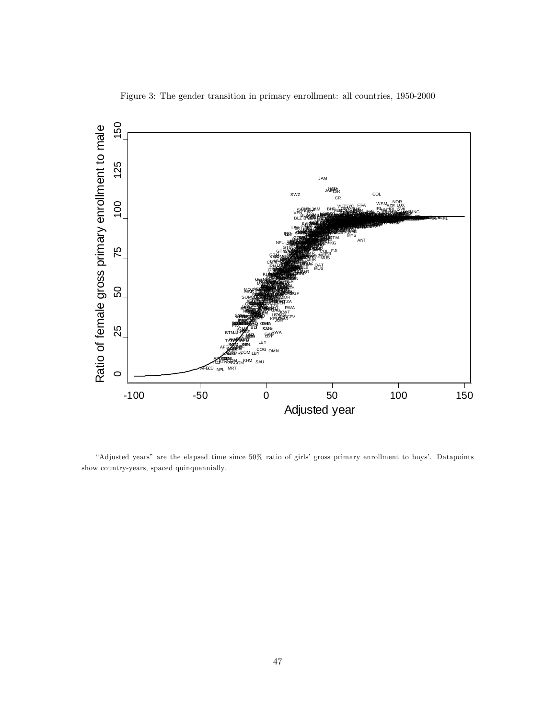

Figure 3: The gender transition in primary enrollment: all countries, 1950-2000

ìAdjusted yearsî are the elapsed time since 50% ratio of girlsí gross primary enrollment to boysí. Datapoints show country-years, spaced quinquennially.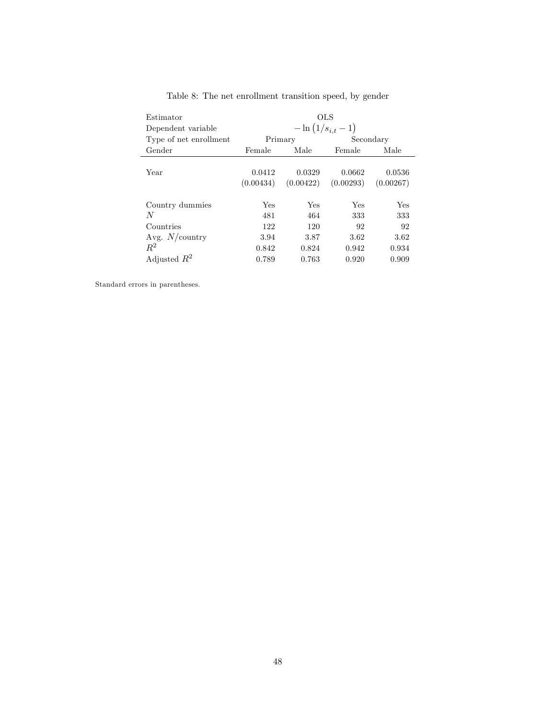| Estimator<br>Dependent variable | <b>OLS</b><br>$-\ln (1/s_{i,t} - 1)$ |                     |                     |                     |  |
|---------------------------------|--------------------------------------|---------------------|---------------------|---------------------|--|
| Type of net enrollment          | Primary                              |                     |                     | Secondary           |  |
| Gender                          | Female                               | Male                | Female              | Male                |  |
| Year                            | 0.0412<br>(0.00434)                  | 0.0329<br>(0.00422) | 0.0662<br>(0.00293) | 0.0536<br>(0.00267) |  |
| Country dummies                 | Yes                                  | Yes.                | Yes                 | Yes                 |  |
| N                               | 481                                  | 464                 | 333                 | 333                 |  |
| Countries                       | 122                                  | 120                 | 92                  | 92                  |  |
| Avg. $N$ /country               | 3.94                                 | 3.87                | 3.62                | 3.62                |  |
| $R^2$                           | 0.842                                | 0.824               | 0.942               | 0.934               |  |
| Adjusted $R^2$                  | 0.789                                | 0.763               | 0.920               | 0.909               |  |

Table 8: The net enrollment transition speed, by gender

Standard errors in parentheses.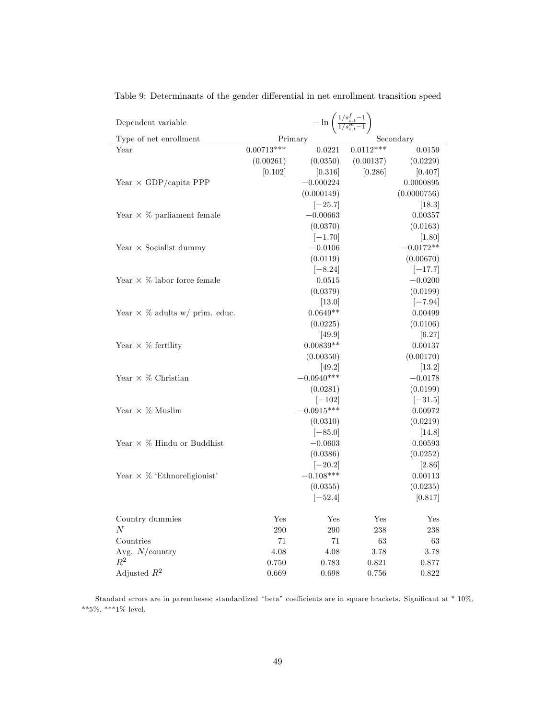| Dependent variable                    | $-\ln\left(\frac{1/s_{i,t}^f-1}{1/s_{i,t}^m-1}\right)$ |              |             |             |  |  |
|---------------------------------------|--------------------------------------------------------|--------------|-------------|-------------|--|--|
| Type of net enrollment                |                                                        | Primary      | Secondary   |             |  |  |
| Year                                  | $0.00713***$                                           | 0.0221       | $0.0112***$ | 0.0159      |  |  |
|                                       | (0.00261)                                              | (0.0350)     | (0.00137)   | (0.0229)    |  |  |
|                                       | [0.102]                                                | [0.316]      | [0.286]     | [0.407]     |  |  |
| Year $\times$ GDP/capita PPP          |                                                        | $-0.000224$  |             | 0.0000895   |  |  |
|                                       |                                                        | (0.000149)   |             | (0.0000756) |  |  |
|                                       |                                                        | $[-25.7]$    |             | $[18.3]$    |  |  |
| Year $\times$ % parliament female     |                                                        | $-0.00663$   |             | 0.00357     |  |  |
|                                       |                                                        | (0.0370)     |             | (0.0163)    |  |  |
|                                       |                                                        | $[-1.70]$    |             | $[1.80]$    |  |  |
| Year $\times$ Socialist dummy         |                                                        | $-0.0106$    |             | $-0.0172**$ |  |  |
|                                       |                                                        | (0.0119)     |             | (0.00670)   |  |  |
|                                       |                                                        | $[-8.24]$    |             | $[-17.7]$   |  |  |
| Year $\times$ % labor force female    |                                                        | 0.0515       |             | $-0.0200$   |  |  |
|                                       |                                                        | (0.0379)     |             | (0.0199)    |  |  |
|                                       |                                                        | [13.0]       |             | $[-7.94]$   |  |  |
| Year $\times$ % adults w/ prim. educ. |                                                        | $0.0649**$   |             | 0.00499     |  |  |
|                                       |                                                        | (0.0225)     |             | (0.0106)    |  |  |
|                                       |                                                        | [49.9]       |             | [6.27]      |  |  |
| Year $\times$ % fertility             |                                                        | $0.00839**$  |             | 0.00137     |  |  |
|                                       |                                                        | (0.00350)    |             | (0.00170)   |  |  |
|                                       |                                                        | [49.2]       |             | [13.2]      |  |  |
| Year $\times$ % Christian             |                                                        | $-0.0940***$ |             | $-0.0178$   |  |  |
|                                       |                                                        | (0.0281)     |             | (0.0199)    |  |  |
|                                       |                                                        | $[-102]$     |             | $[-31.5]$   |  |  |
| Year $\times$ % Muslim                |                                                        | $-0.0915***$ |             | 0.00972     |  |  |
|                                       |                                                        | (0.0310)     |             | (0.0219)    |  |  |
|                                       |                                                        | $[-85.0]$    |             | [14.8]      |  |  |
| Year $\times$ % Hindu or Buddhist     |                                                        | $-0.0603$    |             | 0.00593     |  |  |
|                                       |                                                        | (0.0386)     |             | (0.0252)    |  |  |
|                                       |                                                        | $[-20.2]$    |             | [2.86]      |  |  |
| Year $\times$ % 'Ethnoreligionist'    |                                                        | $-0.108***$  |             | 0.00113     |  |  |
|                                       |                                                        | (0.0355)     |             | (0.0235)    |  |  |
|                                       |                                                        | $[-52.4]$    |             | [0.817]     |  |  |
| Country dummies                       | Yes                                                    | Yes          | Yes         | Yes         |  |  |
| $\overline{N}$                        | 290                                                    | 290          | 238         | 238         |  |  |
| Countries                             | 71                                                     | 71           | 63          | 63          |  |  |
| Avg. $N$ /country                     | 4.08                                                   | 4.08         | 3.78        | 3.78        |  |  |
| $R^2$                                 | 0.750                                                  | 0.783        | 0.821       | 0.877       |  |  |
| Adjusted $R^2$                        | 0.669                                                  | 0.698        | 0.756       | 0.822       |  |  |

Table 9: Determinants of the gender differential in net enrollment transition speed

Standard errors are in parentheses; standardized "beta" coefficients are in square brackets. Significant at  $*$  10%, \*\*5%, \*\*\*1% level.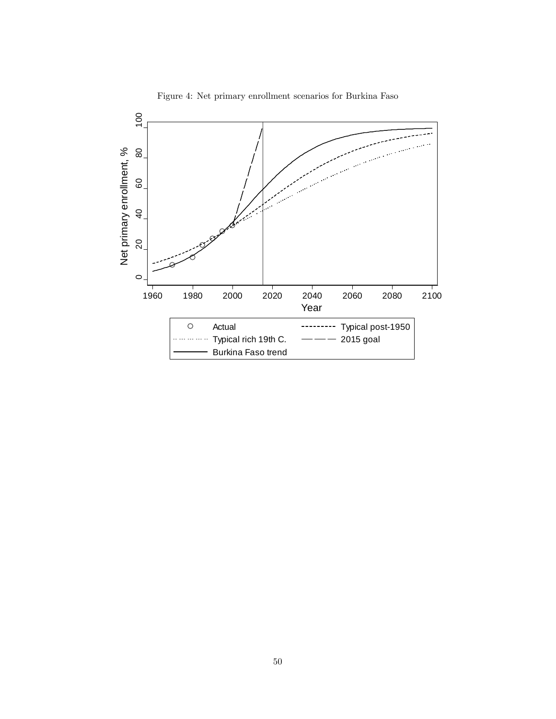

Figure 4: Net primary enrollment scenarios for Burkina Faso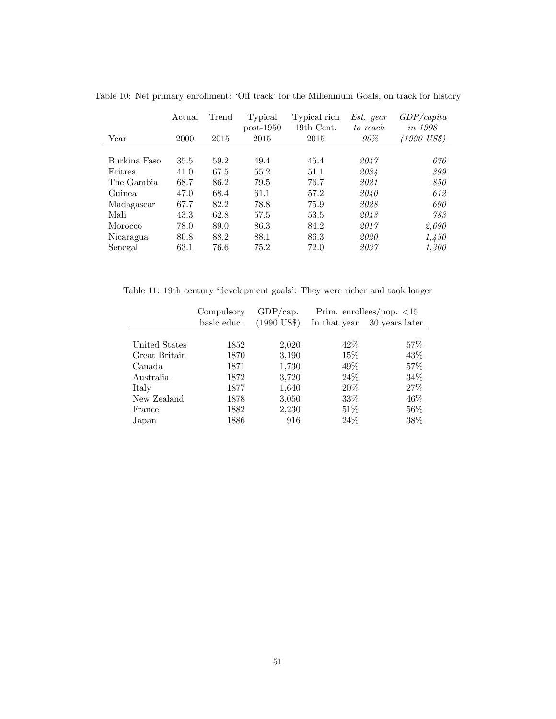|                | Actual | Trend | Typical     | Typical rich | Est. year | GDP/capita     |
|----------------|--------|-------|-------------|--------------|-----------|----------------|
|                |        |       | $post-1950$ | 19th Cent.   | to reach  | <i>in 1998</i> |
| Year           | 2000   | 2015  | 2015        | 2015         | $90\%$    | (1990 US\$)    |
|                |        |       |             |              |           |                |
| Burkina Faso   | 35.5   | 59.2  | 49.4        | 45.4         | 2047      | 676            |
| <b>Eritrea</b> | 41.0   | 67.5  | 55.2        | 51.1         | 2034      | 399            |
| The Gambia     | 68.7   | 86.2  | 79.5        | 76.7         | 2021      | 850            |
| Guinea         | 47.0   | 68.4  | 61.1        | 57.2         | 2040      | 612            |
| Madagascar     | 67.7   | 82.2  | 78.8        | 75.9         | 2028      | 690            |
| Mali           | 43.3   | 62.8  | 57.5        | 53.5         | 2043      | 783            |
| Morocco        | 78.0   | 89.0  | 86.3        | 84.2         | 2017      | 2,690          |
| Nicaragua      | 80.8   | 88.2  | 88.1        | 86.3         | 2020      | 1,450          |
| Senegal        | 63.1   | 76.6  | 75.2        | 72.0         | 2037      | 1,300          |

Table 10: Net primary enrollment: 'Off track' for the Millennium Goals, on track for history

Table 11: 19th century 'development goals': They were richer and took longer

|               | Compulsory  | GDP/cap.              | Prim. enrollees/pop. $\langle 15$ |                |
|---------------|-------------|-----------------------|-----------------------------------|----------------|
|               | basic educ. | $(1990 \text{ US}\$)$ | In that year                      | 30 years later |
|               |             |                       |                                   |                |
| United States | 1852        | 2,020                 | $42\%$                            | 57\%           |
| Great Britain | 1870        | 3,190                 | $15\%$                            | 43\%           |
| Canada.       | 1871        | 1,730                 | $49\%$                            | 57\%           |
| Australia     | 1872        | 3,720                 | $24\%$                            | 34\%           |
| Italy         | 1877        | 1,640                 | $20\%$                            | 27\%           |
| New Zealand   | 1878        | 3,050                 | 33\%                              | $46\%$         |
| France        | 1882        | 2,230                 | 51%                               | 56%            |
| Japan         | 1886        | 916                   | 24%                               | 38\%           |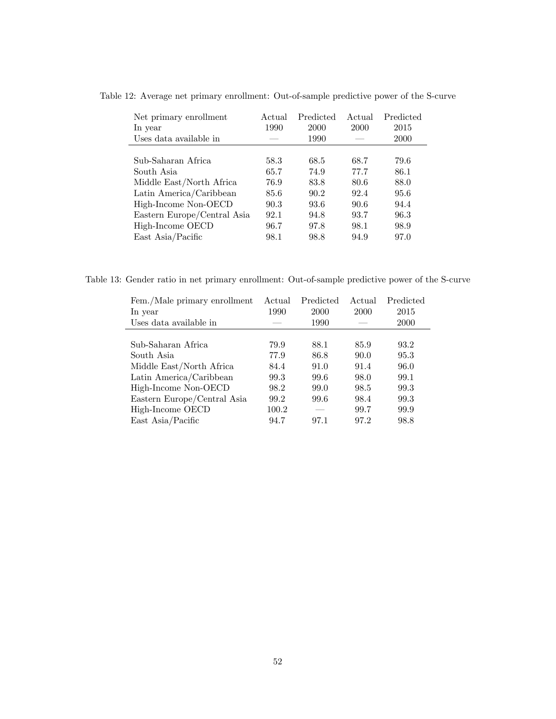| Net primary enrollment      | Actual | Predicted | Actual | Predicted |
|-----------------------------|--------|-----------|--------|-----------|
| In year                     | 1990   | 2000      | 2000   | 2015      |
| Uses data available in      |        | 1990      |        | 2000      |
|                             |        |           |        |           |
| Sub-Saharan Africa          | 58.3   | 68.5      | 68.7   | 79.6      |
| South Asia                  | 65.7   | 74.9      | 77.7   | 86.1      |
| Middle East/North Africa    | 76.9   | 83.8      | 80.6   | 88.0      |
| Latin America/Caribbean     | 85.6   | 90.2      | 92.4   | 95.6      |
| High-Income Non-OECD        | 90.3   | 93.6      | 90.6   | 94.4      |
| Eastern Europe/Central Asia | 92.1   | 94.8      | 93.7   | 96.3      |
| High-Income OECD            | 96.7   | 97.8      | 98.1   | 98.9      |
| East Asia/Pacific           | 98.1   | 98.8      | 94.9   | 97.0      |

Table 12: Average net primary enrollment: Out-of-sample predictive power of the S-curve

Table 13: Gender ratio in net primary enrollment: Out-of-sample predictive power of the S-curve

| Fem./Male primary enrollment | Actual | Predicted | Actual | Predicted |
|------------------------------|--------|-----------|--------|-----------|
| In year                      | 1990   | 2000      | 2000   | 2015      |
| Uses data available in       |        | 1990      |        | 2000      |
|                              |        |           |        |           |
| Sub-Saharan Africa           | 79.9   | 88.1      | 85.9   | 93.2      |
| South Asia                   | 77.9   | 86.8      | 90.0   | 95.3      |
| Middle East/North Africa     | 84.4   | 91.0      | 91.4   | 96.0      |
| Latin America/Caribbean      | 99.3   | 99.6      | 98.0   | 99.1      |
| High-Income Non-OECD         | 98.2   | 99.0      | 98.5   | 99.3      |
| Eastern Europe/Central Asia  | 99.2   | 99.6      | 98.4   | 99.3      |
| High-Income OECD             | 100.2  |           | 99.7   | 99.9      |
| East Asia/Pacific            | 94.7   | 97.1      | 97.2   | 98.8      |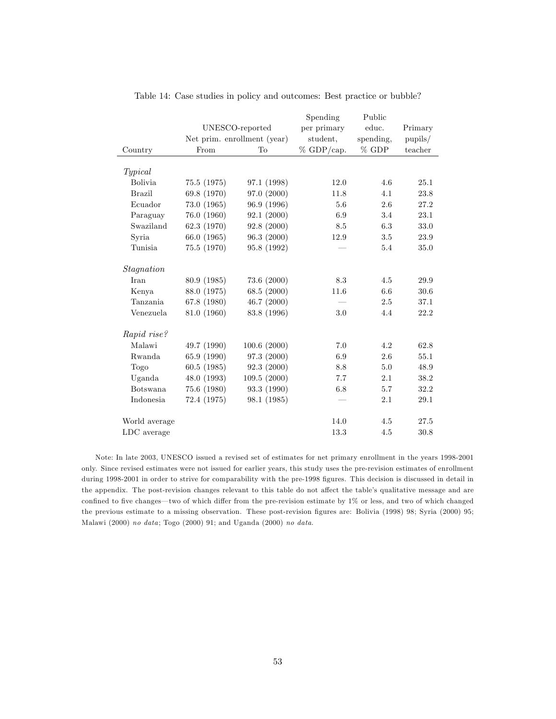|                           |                             |             | Spending    | Public    |         |
|---------------------------|-----------------------------|-------------|-------------|-----------|---------|
|                           | UNESCO-reported             |             | per primary | educ.     | Primary |
|                           | Net prim. enrollment (year) |             | student,    | spending, | pupils/ |
| Country                   | From                        | To          | % GDP/cap.  | $\%$ GDP  | teacher |
|                           |                             |             |             |           |         |
| Typical<br><b>Bolivia</b> |                             |             | 12.0        |           | 25.1    |
|                           | 75.5 (1975)                 | 97.1 (1998) |             | 4.6       |         |
| <b>Brazil</b>             | 69.8 (1970)                 | 97.0 (2000) | 11.8        | 4.1       | 23.8    |
| Ecuador                   | 73.0 (1965)                 | 96.9 (1996) | 5.6         | 2.6       | 27.2    |
| Paraguay                  | 76.0 (1960)                 | 92.1 (2000) | 6.9         | 3.4       | 23.1    |
| Swaziland                 | 62.3 (1970)                 | 92.8 (2000) | 8.5         | 6.3       | 33.0    |
| Syria                     | 66.0 (1965)                 | 96.3 (2000) | 12.9        | 3.5       | 23.9    |
| Tunisia                   | 75.5 (1970)                 | 95.8 (1992) |             | 5.4       | 35.0    |
| Stagnation                |                             |             |             |           |         |
| Iran                      | 80.9 (1985)                 | 73.6 (2000) | 8.3         | 4.5       | 29.9    |
| Kenya                     | 88.0 (1975)                 | 68.5 (2000) | 11.6        | 6.6       | 30.6    |
| Tanzania                  | 67.8 (1980)                 | 46.7(2000)  |             | 2.5       | 37.1    |
| Venezuela                 | 81.0 (1960)                 | 83.8 (1996) | 3.0         | 4.4       | 22.2    |
| Rapid rise?               |                             |             |             |           |         |
| Malawi                    | 49.7 (1990)                 | 100.6(2000) | 7.0         | 4.2       | 62.8    |
| Rwanda                    | 65.9 (1990)                 | 97.3 (2000) | 6.9         | 2.6       | 55.1    |
| Togo                      | 60.5(1985)                  | 92.3 (2000) | 8.8         | 5.0       | 48.9    |
| Uganda                    | 48.0(1993)                  | 109.5(2000) | 7.7         | 2.1       | 38.2    |
| Botswana                  | 75.6 (1980)                 | 93.3 (1990) | 6.8         | 5.7       | 32.2    |
| Indonesia                 | 72.4 (1975)                 | 98.1 (1985) |             | 2.1       | 29.1    |
|                           |                             |             |             |           |         |
| World average             |                             |             | 14.0        | 4.5       | 27.5    |
| LDC average               |                             |             | 13.3        | 4.5       | 30.8    |

Table 14: Case studies in policy and outcomes: Best practice or bubble?

Note: In late 2003, UNESCO issued a revised set of estimates for net primary enrollment in the years 1998-2001 only. Since revised estimates were not issued for earlier years, this study uses the pre-revision estimates of enrollment during 1998-2001 in order to strive for comparability with the pre-1998 figures. This decision is discussed in detail in the appendix. The post-revision changes relevant to this table do not affect the table's qualitative message and are confined to five changes—two of which differ from the pre-revision estimate by  $1\%$  or less, and two of which changed the previous estimate to a missing observation. These post-revision figures are: Bolivia (1998) 98; Syria (2000) 95; Malawi (2000) no data; Togo (2000) 91; and Uganda (2000) no data.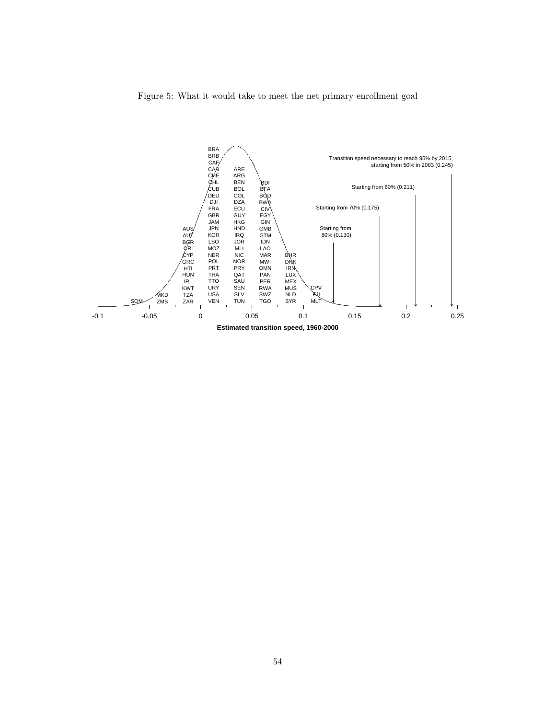

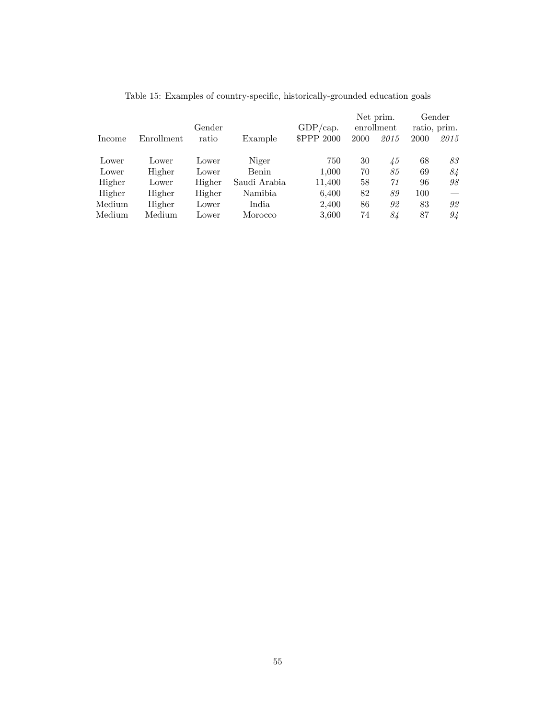|        |            |        |              |                   | Net prim.  |      | Gender       |      |
|--------|------------|--------|--------------|-------------------|------------|------|--------------|------|
|        |            | Gender |              | GDP/cap.          | enrollment |      | ratio, prim. |      |
| Income | Enrollment | ratio  | Example      | <b>\$PPP 2000</b> | 2000       | 2015 | 2000         | 2015 |
|        |            |        |              |                   |            |      |              |      |
| Lower  | Lower      | Lower  | Niger        | 750               | 30         | 45   | 68           | 83   |
| Lower  | Higher     | Lower  | Benin        | 1,000             | 70         | 85   | 69           | 84   |
| Higher | Lower      | Higher | Saudi Arabia | 11,400            | 58         | 71   | 96           | 98   |
| Higher | Higher     | Higher | Namibia      | 6,400             | 82         | 89   | 100          |      |
| Medium | Higher     | Lower  | India        | 2,400             | 86         | 92   | 83           | 92   |
| Medium | Medium     | Lower  | Morocco      | 3.600             | 74         | 84   | 87           | 94   |

Table 15: Examples of country-specific, historically-grounded education goals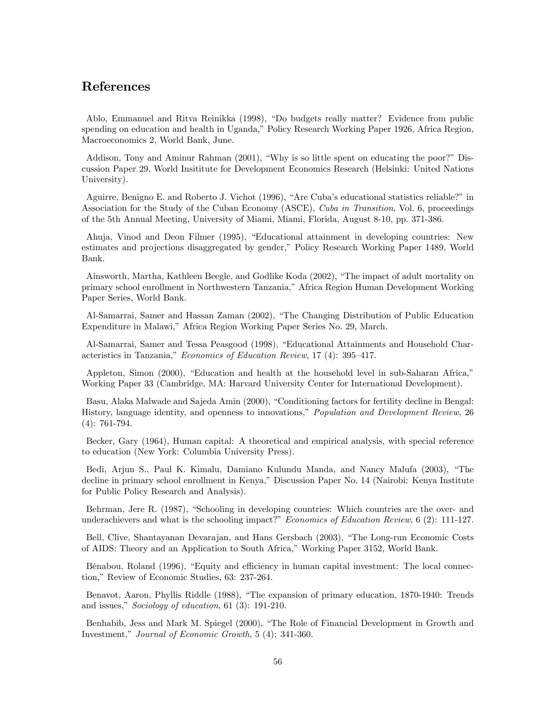# **References**

Ablo, Emmanuel and Ritva Reinikka (1998), "Do budgets really matter? Evidence from public spending on education and health in Uganda," Policy Research Working Paper 1926, Africa Region, Macroeconomics 2, World Bank, June.

Addison, Tony and Aminur Rahman (2001), "Why is so little spent on educating the poor?" Discussion Paper 29, World Insititute for Development Economics Research (Helsinki: United Nations University).

Aguirre, Benigno E. and Roberto J. Vichot (1996), "Are Cuba's educational statistics reliable?" in Association for the Study of the Cuban Economy (ASCE), Cuba in Transition, Vol. 6, proceedings of the 5th Annual Meeting, University of Miami, Miami, Florida, August 8-10, pp. 371-386.

Ahuja, Vinod and Deon Filmer (1995), "Educational attainment in developing countries: New estimates and projections disaggregated by gender," Policy Research Working Paper 1489, World Bank.

Ainsworth, Martha, Kathleen Beegle, and Godlike Koda (2002), "The impact of adult mortality on primary school enrollment in Northwestern Tanzania," Africa Region Human Development Working Paper Series, World Bank.

Al-Samarrai, Samer and Hassan Zaman (2002), "The Changing Distribution of Public Education Expenditure in Malawi," Africa Region Working Paper Series No. 29, March.

Al-Samarrai, Samer and Tessa Peasgood (1998), "Educational Attainments and Household Characteristics in Tanzania," Economics of Education Review, 17 (4): 395-417.

Appleton, Simon (2000), "Education and health at the household level in sub-Saharan Africa," Working Paper 33 (Cambridge, MA: Harvard University Center for International Development).

Basu, Alaka Malwade and Sajeda Amin (2000), "Conditioning factors for fertility decline in Bengal: History, language identity, and openness to innovations," *Population and Development Review*, 26  $(4): 761-794.$ 

Becker, Gary (1964), Human capital: A theoretical and empirical analysis, with special reference to education (New York: Columbia University Press).

Bedi, Arjun S., Paul K. Kimalu, Damiano Kulundu Manda, and Nancy Malufa (2003), "The decline in primary school enrollment in Kenya," Discussion Paper No. 14 (Nairobi: Kenya Institute for Public Policy Research and Analysis).

Behrman, Jere R. (1987), "Schooling in developing countries: Which countries are the over- and underachievers and what is the schooling impact?" Economics of Education Review,  $6(2)$ : 111-127.

Bell, Clive, Shantayanan Devarajan, and Hans Gersbach (2003), "The Long-run Economic Costs of AIDS: Theory and an Application to South Africa," Working Paper 3152, World Bank.

Bénabou, Roland (1996), "Equity and efficiency in human capital investment: The local connection," Review of Economic Studies, 63: 237-264.

Benavot, Aaron, Phyllis Riddle (1988), "The expansion of primary education, 1870-1940: Trends and issues," Sociology of education, 61 (3): 191-210.

Benhabib, Jess and Mark M. Spiegel (2000), "The Role of Financial Development in Growth and Investment," Journal of Economic Growth, 5 (4): 341-360.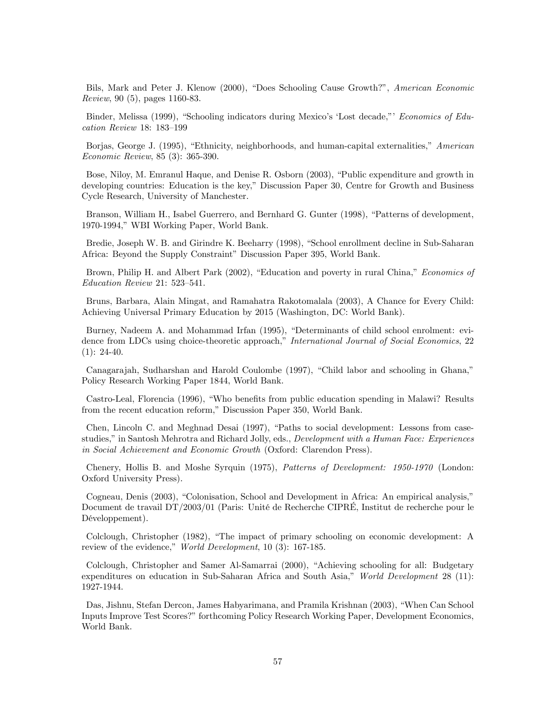Bils, Mark and Peter J. Klenow (2000), "Does Schooling Cause Growth?", American Economic Review, 90 (5), pages 1160-83.

Binder, Melissa (1999), "Schooling indicators during Mexico's 'Lost decade," Economics of Education Review  $18: 183-199$ 

Borjas, George J. (1995), "Ethnicity, neighborhoods, and human-capital externalities," American *Economic Review*, 85 (3): 365-390.

Bose, Niloy, M. Emranul Haque, and Denise R. Osborn (2003), "Public expenditure and growth in developing countries: Education is the key," Discussion Paper 30, Centre for Growth and Business Cycle Research, University of Manchester.

Branson, William H., Isabel Guerrero, and Bernhard G. Gunter (1998), "Patterns of development, 1970-1994," WBI Working Paper, World Bank.

Bredie, Joseph W. B. and Girindre K. Beeharry (1998), "School enrollment decline in Sub-Saharan Africa: Beyond the Supply Constraint" Discussion Paper 395, World Bank.

Brown, Philip H. and Albert Park (2002), "Education and poverty in rural China," Economics of Education Review 21: 523-541.

Bruns, Barbara, Alain Mingat, and Ramahatra Rakotomalala (2003), A Chance for Every Child: Achieving Universal Primary Education by 2015 (Washington, DC: World Bank).

Burney, Nadeem A. and Mohammad Irfan (1995), "Determinants of child school enrolment: evidence from LDCs using choice-theoretic approach," International Journal of Social Economics, 22  $(1): 24-40.$ 

Canagarajah, Sudharshan and Harold Coulombe (1997), "Child labor and schooling in Ghana," Policy Research Working Paper 1844, World Bank.

Castro-Leal, Florencia (1996), "Who benefits from public education spending in Malawi? Results from the recent education reform," Discussion Paper 350, World Bank.

Chen, Lincoln C. and Meghnad Desai (1997), "Paths to social development: Lessons from casestudies," in Santosh Mehrotra and Richard Jolly, eds., Development with a Human Face: Experiences in Social Achievement and Economic Growth (Oxford: Clarendon Press).

Chenery, Hollis B. and Moshe Syrquin (1975), Patterns of Development: 1950-1970 (London: Oxford University Press).

Cogneau, Denis (2003), "Colonisation, School and Development in Africa: An empirical analysis," Document de travail DT/2003/01 (Paris: Unité de Recherche CIPRÉ, Institut de recherche pour le Développement).

Colclough, Christopher (1982), "The impact of primary schooling on economic development: A review of the evidence," World Development, 10 (3): 167-185.

Colclough, Christopher and Samer Al-Samarrai (2000), "Achieving schooling for all: Budgetary expenditures on education in Sub-Saharan Africa and South Asia," World Development 28 (11): 1927-1944.

Das, Jishnu, Stefan Dercon, James Habyarimana, and Pramila Krishnan (2003), "When Can School Inputs Improve Test Scores?" forthcoming Policy Research Working Paper, Development Economics, World Bank.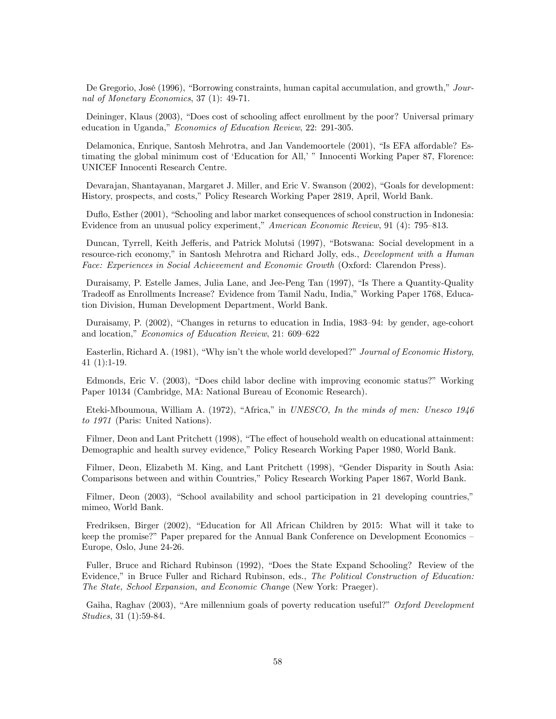De Gregorio, José (1996), "Borrowing constraints, human capital accumulation, and growth," Journal of Monetary Economics, 37 (1): 49-71.

Deininger, Klaus (2003), "Does cost of schooling affect enrollment by the poor? Universal primary education in Uganda," Economics of Education Review, 22: 291-305.

Delamonica, Enrique, Santosh Mehrotra, and Jan Vandemoortele (2001), "Is EFA affordable? Estimating the global minimum cost of 'Education for All,' " Innocenti Working Paper 87, Florence: UNICEF Innocenti Research Centre.

Devarajan, Shantayanan, Margaret J. Miller, and Eric V. Swanson (2002), "Goals for development: History, prospects, and costs," Policy Research Working Paper 2819, April, World Bank.

Duflo, Esther (2001), "Schooling and labor market consequences of school construction in Indonesia: Evidence from an unusual policy experiment," American Economic Review, 91 (4): 795-813.

Duncan, Tyrrell, Keith Jefferis, and Patrick Molutsi (1997), "Botswana: Social development in a resource-rich economy," in Santosh Mehrotra and Richard Jolly, eds., *Development with a Human Face: Experiences in Social Achievement and Economic Growth* (Oxford: Clarendon Press).

Duraisamy, P. Estelle James, Julia Lane, and Jee-Peng Tan (1997), "Is There a Quantity-Quality Tradeoff as Enrollments Increase? Evidence from Tamil Nadu, India," Working Paper 1768, Education Division, Human Development Department, World Bank.

Duraisamy, P. (2002), "Changes in returns to education in India, 1983–94: by gender, age-cohort and location," Economics of Education Review, 21: 609-622

Easterlin, Richard A. (1981), "Why isn't the whole world developed?" Journal of Economic History,  $41(1):1-19.$ 

Edmonds, Eric V. (2003), "Does child labor decline with improving economic status?" Working Paper 10134 (Cambridge, MA: National Bureau of Economic Research).

Eteki-Mboumoua, William A. (1972), "Africa," in UNESCO, In the minds of men: Unesco 1946 to 1971 (Paris: United Nations).

Filmer, Deon and Lant Pritchett (1998), "The effect of household wealth on educational attainment: Demographic and health survey evidence," Policy Research Working Paper 1980, World Bank.

Filmer, Deon, Elizabeth M. King, and Lant Pritchett (1998), "Gender Disparity in South Asia: Comparisons between and within Countries," Policy Research Working Paper 1867, World Bank.

Filmer, Deon (2003), "School availability and school participation in 21 developing countries," mimeo, World Bank.

Fredriksen, Birger (2002), "Education for All African Children by 2015: What will it take to keep the promise?" Paper prepared for the Annual Bank Conference on Development Economics Europe, Oslo, June 24-26.

Fuller, Bruce and Richard Rubinson (1992), "Does the State Expand Schooling? Review of the Evidence," in Bruce Fuller and Richard Rubinson, eds., The Political Construction of Education: The State, School Expansion, and Economic Change (New York: Praeger).

Gaiha, Raghav (2003), "Are millennium goals of poverty reducation useful?" Oxford Development *Studies*, 31 (1):59-84.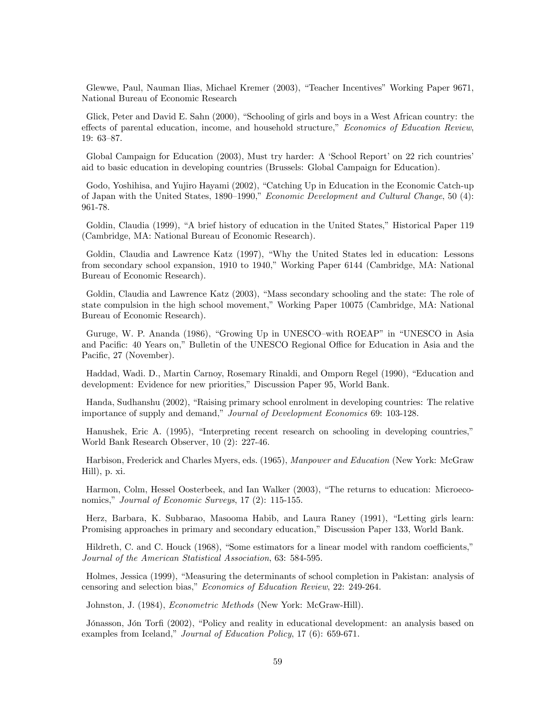Glewwe, Paul, Nauman Ilias, Michael Kremer (2003), "Teacher Incentives" Working Paper 9671, National Bureau of Economic Research

Glick, Peter and David E. Sahn (2000), "Schooling of girls and boys in a West African country: the effects of parental education, income, and household structure," Economics of Education Review, 19: 63-87.

Global Campaign for Education (2003), Must try harder: A 'School Report' on 22 rich countries' aid to basic education in developing countries (Brussels: Global Campaign for Education).

Godo, Yoshihisa, and Yujiro Hayami (2002), "Catching Up in Education in the Economic Catch-up of Japan with the United States, 1890–1990," Economic Development and Cultural Change, 50 (4): 961-78.

Goldin, Claudia (1999), "A brief history of education in the United States," Historical Paper 119 (Cambridge, MA: National Bureau of Economic Research).

Goldin, Claudia and Lawrence Katz (1997), "Why the United States led in education: Lessons from secondary school expansion, 1910 to 1940," Working Paper 6144 (Cambridge, MA: National Bureau of Economic Research).

Goldin, Claudia and Lawrence Katz (2003), "Mass secondary schooling and the state: The role of state compulsion in the high school movement," Working Paper 10075 (Cambridge, MA: National Bureau of Economic Research).

Guruge, W. P. Ananda (1986), "Growing Up in UNESCO-with ROEAP" in "UNESCO in Asia and Pacific: 40 Years on," Bulletin of the UNESCO Regional Office for Education in Asia and the Pacific, 27 (November).

Haddad, Wadi. D., Martin Carnoy, Rosemary Rinaldi, and Omporn Regel (1990), "Education and development: Evidence for new priorities," Discussion Paper 95, World Bank.

Handa, Sudhanshu (2002), "Raising primary school enrolment in developing countries: The relative importance of supply and demand," Journal of Development Economics 69: 103-128.

Hanushek, Eric A. (1995), "Interpreting recent research on schooling in developing countries," World Bank Research Observer, 10 (2): 227-46.

Harbison, Frederick and Charles Myers, eds. (1965), Manpower and Education (New York: McGraw Hill), p. xi.

Harmon, Colm, Hessel Oosterbeek, and Ian Walker (2003), "The returns to education: Microeconomics," Journal of Economic Surveys, 17 (2): 115-155.

Herz, Barbara, K. Subbarao, Masooma Habib, and Laura Raney (1991), "Letting girls learn: Promising approaches in primary and secondary education," Discussion Paper 133, World Bank.

Hildreth, C. and C. Houck (1968), "Some estimators for a linear model with random coefficients," Journal of the American Statistical Association, 63: 584-595.

Holmes, Jessica (1999), "Measuring the determinants of school completion in Pakistan: analysis of censoring and selection bias," *Economics of Education Review*, 22: 249-264.

Johnston, J. (1984), *Econometric Methods* (New York: McGraw-Hill).

Jónasson, Jón Torfi (2002), "Policy and reality in educational development: an analysis based on examples from Iceland," Journal of Education Policy, 17 (6): 659-671.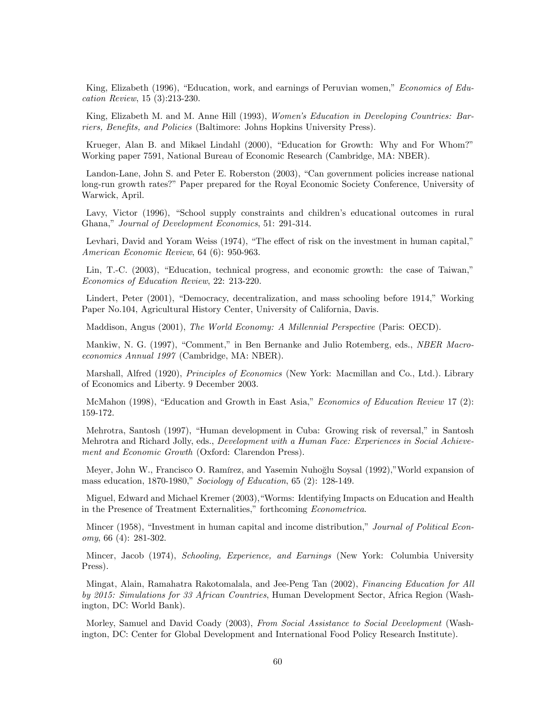King, Elizabeth (1996), "Education, work, and earnings of Peruvian women," *Economics of Edu*cation Review,  $15(3):213-230$ .

King, Elizabeth M. and M. Anne Hill (1993), Women's Education in Developing Countries: Barriers, Benefits, and Policies (Baltimore: Johns Hopkins University Press).

Krueger, Alan B. and Mikael Lindahl (2000), "Education for Growth: Why and For Whom?" Working paper 7591, National Bureau of Economic Research (Cambridge, MA: NBER).

Landon-Lane, John S. and Peter E. Roberston (2003), "Can government policies increase national long-run growth rates?" Paper prepared for the Royal Economic Society Conference, University of Warwick, April.

Lavy, Victor (1996), "School supply constraints and children's educational outcomes in rural Ghana," Journal of Development Economics, 51: 291-314.

Levhari, David and Yoram Weiss (1974), "The effect of risk on the investment in human capital," American Economic Review, 64 (6): 950-963.

Lin, T.-C. (2003), "Education, technical progress, and economic growth: the case of Taiwan," Economics of Education Review, 22: 213-220.

Lindert, Peter (2001), "Democracy, decentralization, and mass schooling before 1914," Working Paper No.104, Agricultural History Center, University of California, Davis.

Maddison, Angus (2001), The World Economy: A Millennial Perspective (Paris: OECD).

Mankiw, N. G. (1997), "Comment," in Ben Bernanke and Julio Rotemberg, eds., NBER Macroeconomics Annual 1997 (Cambridge, MA: NBER).

Marshall, Alfred (1920), Principles of Economics (New York: Macmillan and Co., Ltd.). Library of Economics and Liberty. 9 December 2003.

McMahon (1998), "Education and Growth in East Asia," *Economics of Education Review* 17 (2): 159-172.

Mehrotra, Santosh (1997), "Human development in Cuba: Growing risk of reversal," in Santosh Mehrotra and Richard Jolly, eds., *Development with a Human Face: Experiences in Social Achieve*ment and Economic Growth (Oxford: Clarendon Press).

Meyer, John W., Francisco O. Ramírez, and Yasemin Nuhoğlu Soysal (1992)," World expansion of mass education, 1870-1980," Sociology of Education, 65 (2): 128-149.

Miguel, Edward and Michael Kremer (2003), "Worms: Identifying Impacts on Education and Health in the Presence of Treatment Externalities," forthcoming Econometrica.

Mincer (1958), "Investment in human capital and income distribution," Journal of Political Economy, 66 (4): 281-302.

Mincer, Jacob (1974), Schooling, Experience, and Earnings (New York: Columbia University Press).

Mingat, Alain, Ramahatra Rakotomalala, and Jee-Peng Tan (2002), Financing Education for All by 2015: Simulations for 33 African Countries, Human Development Sector, Africa Region (Washington, DC: World Bank).

Morley, Samuel and David Coady (2003), From Social Assistance to Social Development (Washington, DC: Center for Global Development and International Food Policy Research Institute).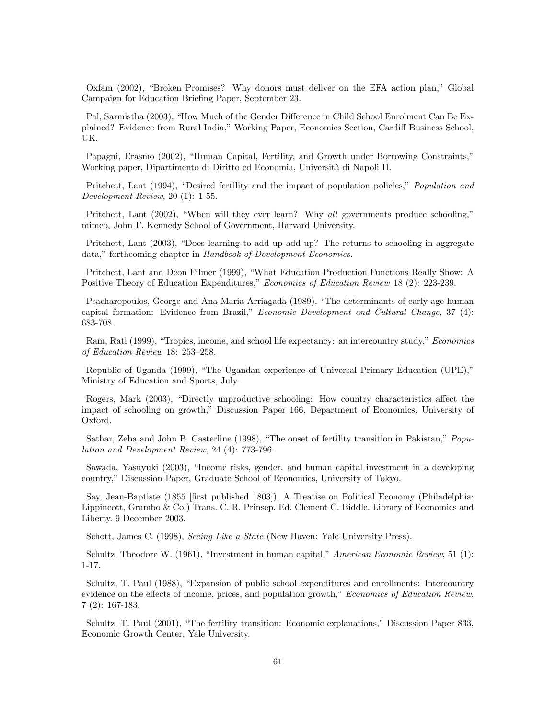Oxfam (2002), "Broken Promises? Why donors must deliver on the EFA action plan," Global Campaign for Education Briefing Paper, September 23.

Pal, Sarmistha (2003), "How Much of the Gender Difference in Child School Enrolment Can Be Explained? Evidence from Rural India," Working Paper, Economics Section, Cardiff Business School, UK.

Papagni, Erasmo (2002), "Human Capital, Fertility, and Growth under Borrowing Constraints," Working paper, Dipartimento di Diritto ed Economia, Università di Napoli II.

Pritchett, Lant (1994), "Desired fertility and the impact of population policies," *Population and* Development Review,  $20(1)$ : 1-55.

Pritchett, Lant (2002), "When will they ever learn? Why all governments produce schooling," mimeo, John F. Kennedy School of Government, Harvard University.

Pritchett, Lant (2003), "Does learning to add up add up? The returns to schooling in aggregate data," forthcoming chapter in Handbook of Development Economics.

Pritchett, Lant and Deon Filmer (1999). "What Education Production Functions Really Show: A Positive Theory of Education Expenditures," Economics of Education Review 18 (2): 223-239.

Psacharopoulos, George and Ana Maria Arriagada (1989), "The determinants of early age human capital formation: Evidence from Brazil," Economic Development and Cultural Change, 37 (4): 683-708.

Ram, Rati (1999), "Tropics, income, and school life expectancy: an intercountry study," Economics of Education Review 18: 253-258.

Republic of Uganda (1999), "The Ugandan experience of Universal Primary Education (UPE)," Ministry of Education and Sports, July.

Rogers, Mark (2003), "Directly unproductive schooling: How country characteristics affect the impact of schooling on growth," Discussion Paper 166, Department of Economics, University of Oxford.

Sathar, Zeba and John B. Casterline (1998), "The onset of fertility transition in Pakistan," Population and Development Review, 24 (4): 773-796.

Sawada, Yasuyuki (2003), "Income risks, gender, and human capital investment in a developing country," Discussion Paper, Graduate School of Economics, University of Tokyo.

Say, Jean-Baptiste (1855 [first published 1803]), A Treatise on Political Economy (Philadelphia: Lippincott, Grambo & Co.) Trans. C. R. Prinsep. Ed. Clement C. Biddle. Library of Economics and Liberty. 9 December 2003.

Schott, James C. (1998), Seeing Like a State (New Haven: Yale University Press).

Schultz, Theodore W. (1961), "Investment in human capital," American Economic Review, 51 (1):  $1-17.$ 

Schultz, T. Paul (1988), "Expansion of public school expenditures and enrollments: Intercountry evidence on the effects of income, prices, and population growth," Economics of Education Review,  $7(2): 167-183.$ 

Schultz, T. Paul (2001), "The fertility transition: Economic explanations," Discussion Paper 833, Economic Growth Center, Yale University.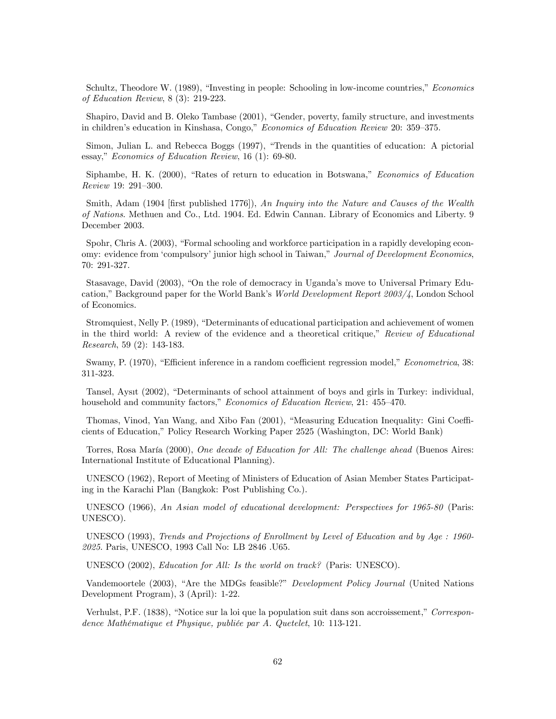Schultz, Theodore W. (1989), "Investing in people: Schooling in low-income countries," Economics of Education Review,  $8(3)$ : 219-223.

Shapiro, David and B. Oleko Tambase (2001), "Gender, poverty, family structure, and investments in children's education in Kinshasa, Congo," *Economics of Education Review* 20: 359–375.

Simon, Julian L. and Rebecca Boggs (1997), "Trends in the quantities of education: A pictorial essay," Economics of Education Review, 16 (1): 69-80.

Siphambe, H. K. (2000), "Rates of return to education in Botswana," Economics of Education Review 19: 291-300.

Smith, Adam (1904 [first published 1776]), An Inquiry into the Nature and Causes of the Wealth of Nations. Methuen and Co., Ltd. 1904. Ed. Edwin Cannan. Library of Economics and Liberty. 9 December 2003.

Spohr, Chris A. (2003), "Formal schooling and workforce participation in a rapidly developing economy: evidence from 'compulsory' junior high school in Taiwan," Journal of Development Economics,  $70: 291-327.$ 

Stasavage, David (2003), "On the role of democracy in Uganda's move to Universal Primary Education," Background paper for the World Bank's World Development Report 2003/4, London School of Economics.

Stromquiest, Nelly P. (1989), "Determinants of educational participation and achievement of women in the third world: A review of the evidence and a theoretical critique," Review of Educational *Research*, 59 (2): 143-183.

Swamy, P. (1970), "Efficient inference in a random coefficient regression model," *Econometrica*, 38: 311-323.

Tansel, Aysit (2002), "Determinants of school attainment of boys and girls in Turkey: individual, household and community factors," *Economics of Education Review*, 21: 455-470.

Thomas, Vinod, Yan Wang, and Xibo Fan (2001), "Measuring Education Inequality: Gini Coefficients of Education," Policy Research Working Paper 2525 (Washington, DC: World Bank)

Torres, Rosa María (2000), One decade of Education for All: The challenge ahead (Buenos Aires: International Institute of Educational Planning).

UNESCO (1962), Report of Meeting of Ministers of Education of Asian Member States Participating in the Karachi Plan (Bangkok: Post Publishing Co.).

UNESCO (1966), An Asian model of educational development: Perspectives for  $1965-80$  (Paris: UNESCO).

UNESCO (1993), Trends and Projections of Enrollment by Level of Education and by  $Aqe:1960-$ 2025. Paris, UNESCO, 1993 Call No: LB 2846 .U65.

UNESCO  $(2002)$ , *Education for All: Is the world on track?* (Paris: UNESCO).

Vandemoortele (2003), "Are the MDGs feasible?" Development Policy Journal (United Nations Development Program), 3 (April): 1-22.

Verhulst, P.F. (1838), "Notice sur la loi que la population suit dans son accroissement," Correspondence Mathématique et Physique, publiée par A. Quetelet, 10: 113-121.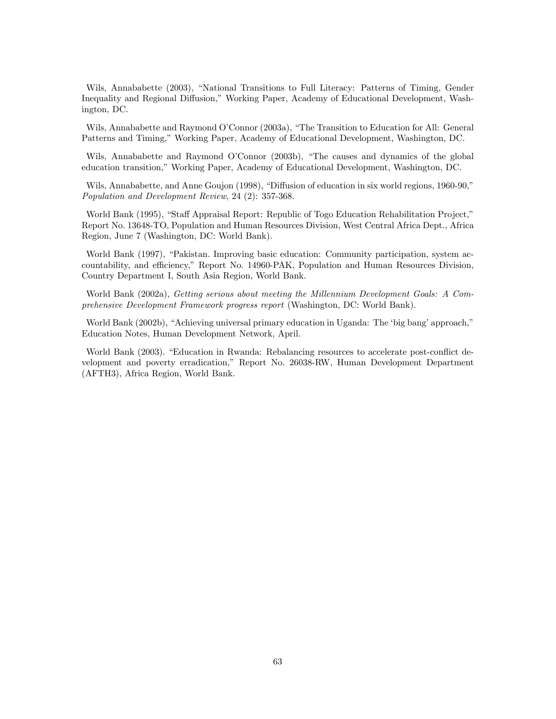Wils, Annababette (2003), "National Transitions to Full Literacy: Patterns of Timing, Gender Inequality and Regional Diffusion," Working Paper, Academy of Educational Development, Washington, DC.

Wils, Annababette and Raymond O'Connor (2003a), "The Transition to Education for All: General Patterns and Timing," Working Paper, Academy of Educational Development, Washington, DC.

Wils, Annababette and Raymond O'Connor (2003b), "The causes and dynamics of the global education transition," Working Paper, Academy of Educational Development, Washington, DC.

Wils, Annababette, and Anne Goujon (1998), "Diffusion of education in six world regions, 1960-90," Population and Development Review, 24 (2): 357-368.

World Bank (1995), "Staff Appraisal Report: Republic of Togo Education Rehabilitation Project," Report No. 13648-TO, Population and Human Resources Division, West Central Africa Dept., Africa Region, June 7 (Washington, DC: World Bank).

World Bank (1997), "Pakistan. Improving basic education: Community participation, system accountability, and efficiency," Report No. 14960-PAK, Population and Human Resources Division, Country Department I, South Asia Region, World Bank.

World Bank (2002a), Getting serious about meeting the Millennium Development Goals: A Comprehensive Development Framework progress report (Washington, DC: World Bank).

World Bank (2002b), "Achieving universal primary education in Uganda: The 'big bang' approach," Education Notes, Human Development Network, April.

World Bank (2003). "Education in Rwanda: Rebalancing resources to accelerate post-conflict development and poverty erradication," Report No. 26038-RW, Human Development Department (AFTH3), Africa Region, World Bank.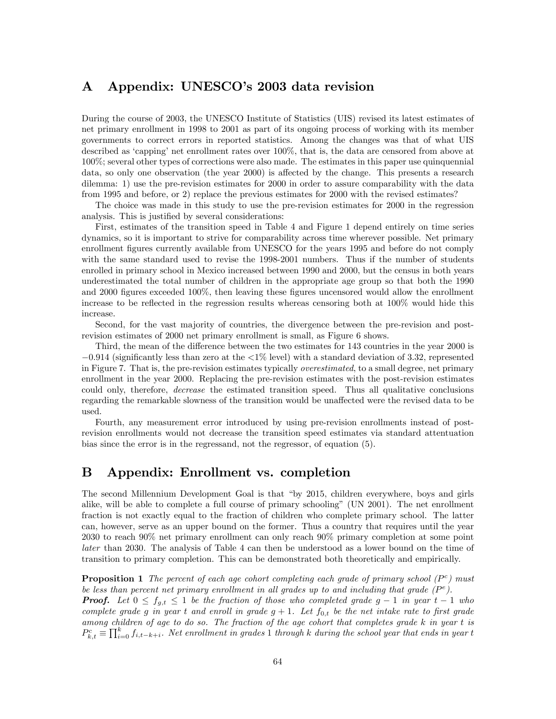# A Appendix: UNESCO's 2003 data revision

During the course of 2003, the UNESCO Institute of Statistics (UIS) revised its latest estimates of net primary enrollment in 1998 to 2001 as part of its ongoing process of working with its member governments to correct errors in reported statistics. Among the changes was that of what UIS described as 'capping' net enrollment rates over  $100\%$ , that is, the data are censored from above at 100%; several other types of corrections were also made. The estimates in this paper use quinquennial data, so only one observation (the year 2000) is affected by the change. This presents a research dilemma: 1) use the pre-revision estimates for 2000 in order to assure comparability with the data from 1995 and before, or 2) replace the previous estimates for 2000 with the revised estimates?

The choice was made in this study to use the pre-revision estimates for 2000 in the regression analysis. This is justified by several considerations:

First, estimates of the transition speed in Table 4 and Figure 1 depend entirely on time series dynamics, so it is important to strive for comparability across time wherever possible. Net primary enrollment figures currently available from UNESCO for the years 1995 and before do not comply with the same standard used to revise the 1998-2001 numbers. Thus if the number of students enrolled in primary school in Mexico increased between 1990 and 2000, but the census in both years underestimated the total number of children in the appropriate age group so that both the 1990 and  $2000$  figures exceeded  $100\%$ , then leaving these figures uncensored would allow the enrollment increase to be reflected in the regression results whereas censoring both at  $100\%$  would hide this increase.

Second, for the vast majority of countries, the divergence between the pre-revision and postrevision estimates of 2000 net primary enrollment is small, as Figure 6 shows.

Third, the mean of the difference between the two estimates for 143 countries in the year 2000 is  $-0.914$  (significantly less than zero at the  $\langle 1\%$  level) with a standard deviation of 3.32, represented in Figure 7. That is, the pre-revision estimates typically *overestimated*, to a small degree, net primary enrollment in the year 2000. Replacing the pre-revision estimates with the post-revision estimates could only, therefore, *decrease* the estimated transition speed. Thus all qualitative conclusions regarding the remarkable slowness of the transition would be unaffected were the revised data to be used.

Fourth, any measurement error introduced by using pre-revision enrollments instead of postrevision enrollments would not decrease the transition speed estimates via standard attentuation bias since the error is in the regressand, not the regressor, of equation (5).

## B Appendix: Enrollment vs. completion

The second Millennium Development Goal is that "by 2015, children everywhere, boys and girls alike, will be able to complete a full course of primary schoolingî (UN 2001). The net enrollment fraction is not exactly equal to the fraction of children who complete primary school. The latter can, however, serve as an upper bound on the former. Thus a country that requires until the year 2030 to reach 90% net primary enrollment can only reach 90% primary completion at some point later than 2030. The analysis of Table 4 can then be understood as a lower bound on the time of transition to primary completion. This can be demonstrated both theoretically and empirically.

**Proposition 1** The percent of each age cohort completing each grade of primary school  $(P<sup>c</sup>)$  must be less than percent net primary enrollment in all grades up to and including that grade  $(P^e)$ .

**Proof.** Let  $0 \le f_{g,t} \le 1$  be the fraction of those who completed grade  $g-1$  in year  $t-1$  who complete grade g in year t and enroll in grade  $g + 1$ . Let  $f_{0,t}$  be the net intake rate to first grade among children of age to do so. The fraction of the age cohort that completes grade k in year t is  $P_{k,t}^c \equiv \prod_{i=0}^k f_{i,t-k+i}$ . Net enrollment in grades 1 through k during the school year that ends in year t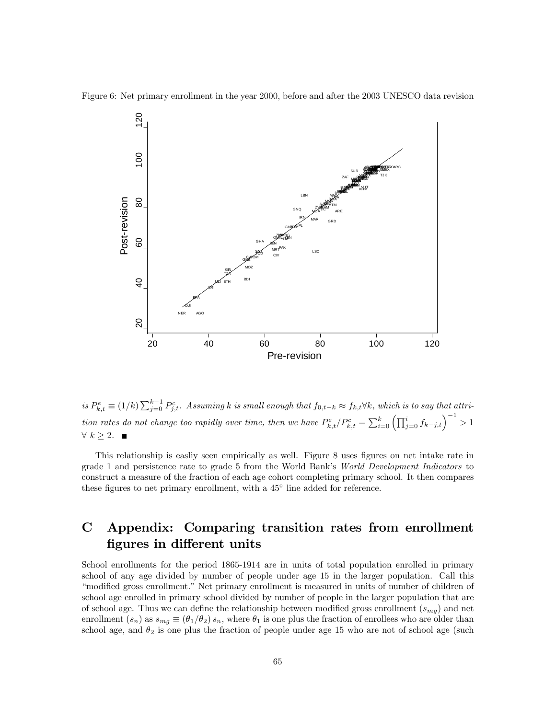

Figure 6: Net primary enrollment in the year 2000, before and after the 2003 UNESCO data revision

is  $P_{k,t}^e \equiv (1/k) \sum_{j=0}^{k-1} P_{j,t}^c$ . Assuming k is small enough that  $f_{0,t-k} \approx f_{k,t} \forall k$ , which is to say that attrition rates do not change too rapidly over time, then we have  $P_{k,t}^e/P_{k,t}^c = \sum_{i=0}^k \left(\prod_{j=0}^i f_{k-j,t}\right)^{-1} > 1$  $\forall k \geq 2.$ 

This relationship is easliv seen empirically as well. Figure 8 uses figures on net intake rate in grade 1 and persistence rate to grade 5 from the World Bank's World Development Indicators to construct a measure of the fraction of each age cohort completing primary school. It then compares these figures to net primary enrollment, with a 45<sup>°</sup> line added for reference.

# C Appendix: Comparing transition rates from enrollment figures in different units

School enrollments for the period 1865-1914 are in units of total population enrolled in primary school of any age divided by number of people under age 15 in the larger population. Call this "modified gross enrollment." Net primary enrollment is measured in units of number of children of school age enrolled in primary school divided by number of people in the larger population that are of school age. Thus we can define the relationship between modified gross enrollment  $(s_{mg})$  and net enrollment  $(s_n)$  as  $s_{mg} \equiv (\theta_1/\theta_2) s_n$ , where  $\theta_1$  is one plus the fraction of enrollees who are older than school age, and  $\theta_2$  is one plus the fraction of people under age 15 who are not of school age (such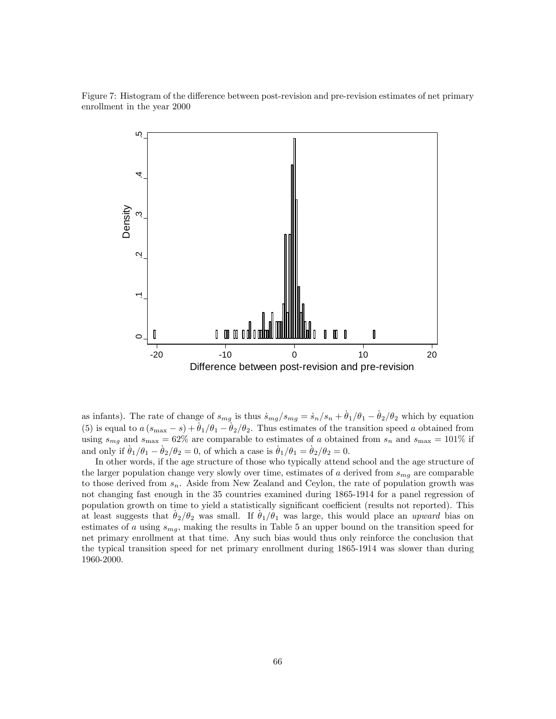Figure 7: Histogram of the difference between post-revision and pre-revision estimates of net primary enrollment in the year 2000



as infants). The rate of change of  $s_{mg}$  is thus  $\dot{s}_{mg}/s_{mg} = \dot{s}_n / s_n + \dot{\theta}_1 / \theta_1 - \dot{\theta}_2 / \theta_2$  which by equation (5) is equal to  $a (s_{\text{max}} - s) + \dot{\theta}_1/\theta_1 - \dot{\theta}_2/\theta_2$ . Thus estimates of the transition speed a obtained from using  $s_{mg}$  and  $s_{\text{max}} = 62\%$  are comparable to estimates of a obtained from  $s_n$  and  $s_{\text{max}} = 101\%$  if and only if  $\dot{\theta}_1/\theta_1 - \dot{\theta}_2/\theta_2 = 0$ , of which a case is  $\dot{\theta}_1/\theta_1 = \dot{\theta}_2/\theta_2 = 0$ .

In other words, if the age structure of those who typically attend school and the age structure of the larger population change very slowly over time, estimates of a derived from  $s_{mg}$  are comparable to those derived from  $s_n$ . Aside from New Zealand and Ceylon, the rate of population growth was not changing fast enough in the 35 countries examined during 1865-1914 for a panel regression of population growth on time to yield a statistically significant coefficient (results not reported). This at least suggests that  $\hat{\theta}_2/\theta_2$  was small. If  $\hat{\theta}_1/\theta_1$  was large, this would place an upward bias on estimates of a using  $s_{mq}$ , making the results in Table 5 an upper bound on the transition speed for net primary enrollment at that time. Any such bias would thus only reinforce the conclusion that the typical transition speed for net primary enrollment during 1865-1914 was slower than during 1960-2000.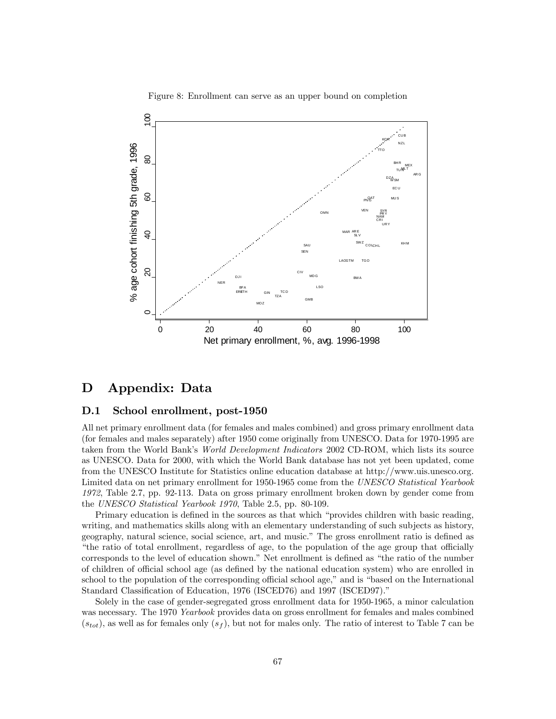

Figure 8: Enrollment can serve as an upper bound on completion

# D Appendix: Data

### D.1 School enrollment, post-1950

All net primary enrollment data (for females and males combined) and gross primary enrollment data (for females and males separately) after 1950 come originally from UNESCO. Data for 1970-1995 are taken from the World Bank's World Development Indicators 2002 CD-ROM, which lists its source as UNESCO. Data for 2000, with which the World Bank database has not yet been updated, come from the UNESCO Institute for Statistics online education database at http://www.uis.unesco.org. Limited data on net primary enrollment for 1950-1965 come from the UNESCO Statistical Yearbook 1972, Table 2.7, pp. 92-113. Data on gross primary enrollment broken down by gender come from the UNESCO Statistical Yearbook 1970, Table 2.5, pp. 80-109.

Primary education is defined in the sources as that which "provides children with basic reading, writing, and mathematics skills along with an elementary understanding of such subjects as history, geography, natural science, social science, art, and music." The gross enrollment ratio is defined as ìthe ratio of total enrollment, regardless of age, to the population of the age group that o¢ cially corresponds to the level of education shown." Net enrollment is defined as "the ratio of the number of children of official school age (as defined by the national education system) who are enrolled in school to the population of the corresponding official school age," and is "based on the International Standard Classification of Education, 1976 (ISCED76) and 1997 (ISCED97).<sup>n</sup>

Solely in the case of gender-segregated gross enrollment data for 1950-1965, a minor calculation was necessary. The 1970 Yearbook provides data on gross enrollment for females and males combined  $(s_{tot})$ , as well as for females only  $(s_f)$ , but not for males only. The ratio of interest to Table 7 can be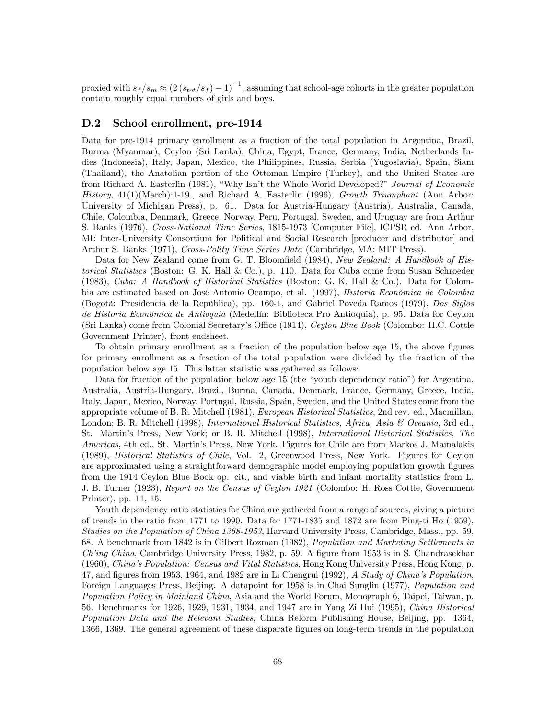proxied with  $s_f/s_m \approx (2(s_{tot}/s_f)-1)^{-1}$ , assuming that school-age cohorts in the greater population contain roughly equal numbers of girls and boys.

#### $\mathbf{D.2}$ School enrollment, pre-1914

Data for pre-1914 primary enrollment as a fraction of the total population in Argentina, Brazil, Burma (Myanmar), Ceylon (Sri Lanka), China, Egypt, France, Germany, India, Netherlands Indies (Indonesia), Italy, Japan, Mexico, the Philippines, Russia, Serbia (Yugoslavia), Spain, Siam (Thailand), the Anatolian portion of the Ottoman Empire (Turkey), and the United States are from Richard A. Easterlin (1981), "Why Isn't the Whole World Developed?" Journal of Economic *History*, 41(1)(March):1-19., and Richard A. Easterlin (1996), *Growth Triumphant* (Ann Arbor: University of Michigan Press), p. 61. Data for Austria-Hungary (Austria), Australia, Canada, Chile, Colombia, Denmark, Greece, Norway, Peru, Portugal, Sweden, and Uruguay are from Arthur S. Banks (1976), Cross-National Time Series, 1815-1973 [Computer File], ICPSR ed. Ann Arbor, MI: Inter-University Consortium for Political and Social Research [producer and distributor] and Arthur S. Banks (1971), Cross-Polity Time Series Data (Cambridge, MA: MIT Press).

Data for New Zealand come from G. T. Bloomfield (1984), New Zealand: A Handbook of Historical Statistics (Boston: G. K. Hall & Co.), p. 110. Data for Cuba come from Susan Schroeder (1983), Cuba: A Handbook of Historical Statistics (Boston: G. K. Hall & Co.). Data for Colombia are estimated based on José Antonio Ocampo, et al. (1997), *Historia Económica de Colombia* (Bogotá: Presidencia de la República), pp. 160-1, and Gabriel Poveda Ramos (1979), Dos Siglos de Historia Económica de Antioquia (Medellín: Biblioteca Pro Antioquia), p. 95. Data for Ceylon (Sri Lanka) come from Colonial Secretary's Office (1914), Ceylon Blue Book (Colombo: H.C. Cottle Government Printer), front endsheet.

To obtain primary enrollment as a fraction of the population below age 15, the above figures for primary enrollment as a fraction of the total population were divided by the fraction of the population below age 15. This latter statistic was gathered as follows:

Data for fraction of the population below age 15 (the "youth dependency ratio") for Argentina, Australia, Austria-Hungary, Brazil, Burma, Canada, Denmark, France, Germany, Greece, India, Italy, Japan, Mexico, Norway, Portugal, Russia, Spain, Sweden, and the United States come from the appropriate volume of B. R. Mitchell (1981), *European Historical Statistics*, 2nd rev. ed., Macmillan, London; B. R. Mitchell (1998), International Historical Statistics, Africa, Asia & Oceania, 3rd ed., St. Martin's Press, New York; or B. R. Mitchell (1998), *International Historical Statistics*, *The* Americas, 4th ed., St. Martin's Press, New York. Figures for Chile are from Markos J. Mamalakis (1989), *Historical Statistics of Chile*, Vol. 2, Greenwood Press, New York. Figures for Ceylon are approximated using a straightforward demographic model employing population growth figures from the 1914 Ceylon Blue Book op. cit., and viable birth and infant mortality statistics from L. J. B. Turner (1923), Report on the Census of Ceylon 1921 (Colombo: H. Ross Cottle, Government Printer), pp. 11, 15.

Youth dependency ratio statistics for China are gathered from a range of sources, giving a picture of trends in the ratio from 1771 to 1990. Data for 1771-1835 and 1872 are from Ping-ti Ho (1959), *Studies on the Population of China 1368-1953*, Harvard University Press, Cambridge, Mass., pp. 59, 68. A benchmark from 1842 is in Gilbert Rozman (1982), Population and Marketing Settlements in *Ch'ing China*, Cambridge University Press, 1982, p. 59. A figure from 1953 is in S. Chandrasekhar (1960), China's Population: Census and Vital Statistics, Hong Kong University Press, Hong Kong, p. 47, and figures from 1953, 1964, and 1982 are in Li Chengrui (1992), A Study of China's Population, Foreign Languages Press, Beijing. A datapoint for 1958 is in Chai Sunglin (1977), Population and *Population Policy in Mainland China*, Asia and the World Forum, Monograph 6, Taipei, Taiwan, p. 56. Benchmarks for 1926, 1929, 1931, 1934, and 1947 are in Yang Zi Hui (1995), China Historical *Population Data and the Relevant Studies*, China Reform Publishing House, Beijing, pp. 1364, 1366, 1369. The general agreement of these disparate figures on long-term trends in the population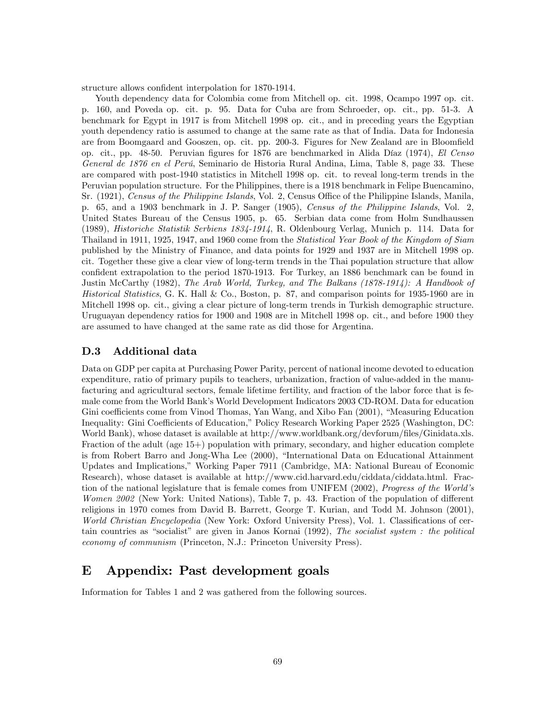structure allows confident interpolation for 1870-1914.

Youth dependency data for Colombia come from Mitchell op. cit. 1998, Ocampo 1997 op. cit. p. 160, and Poveda op. cit. p. 95. Data for Cuba are from Schroeder, op. cit., pp. 51-3. A benchmark for Egypt in 1917 is from Mitchell 1998 op. cit., and in preceding years the Egyptian youth dependency ratio is assumed to change at the same rate as that of India. Data for Indonesia are from Boomgaard and Gooszen, op. cit. pp. 200-3. Figures for New Zealand are in Bloomfield op. cit., pp. 48-50. Peruvian figures for  $1876$  are benchmarked in Alida Díaz (1974), El Censo General de 1876 en el Perú, Seminario de Historia Rural Andina, Lima, Table 8, page 33. These are compared with post-1940 statistics in Mitchell 1998 op. cit. to reveal long-term trends in the Peruvian population structure. For the Philippines, there is a 1918 benchmark in Felipe Buencamino, Sr. (1921), Census of the Philippine Islands, Vol. 2, Census Office of the Philippine Islands, Manila, p. 65, and a 1903 benchmark in J. P. Sanger (1905), Census of the Philippine Islands, Vol. 2, United States Bureau of the Census 1905, p. 65. Serbian data come from Holm Sundhaussen (1989), Historiche Statistik Serbiens 1834-1914, R. Oldenbourg Verlag, Munich p. 114. Data for Thailand in 1911, 1925, 1947, and 1960 come from the Statistical Year Book of the Kingdom of Siam published by the Ministry of Finance, and data points for 1929 and 1937 are in Mitchell 1998 op. cit. Together these give a clear view of long-term trends in the Thai population structure that allow confident extrapolation to the period 1870-1913. For Turkey, an 1886 benchmark can be found in Justin McCarthy (1982), The Arab World, Turkey, and The Balkans (1878-1914): A Handbook of Historical Statistics, G. K. Hall & Co., Boston, p. 87, and comparison points for 1935-1960 are in Mitchell 1998 op. cit., giving a clear picture of long-term trends in Turkish demographic structure. Uruguayan dependency ratios for 1900 and 1908 are in Mitchell 1998 op. cit., and before 1900 they are assumed to have changed at the same rate as did those for Argentina.

### D.3 Additional data

Data on GDP per capita at Purchasing Power Parity, percent of national income devoted to education expenditure, ratio of primary pupils to teachers, urbanization, fraction of value-added in the manufacturing and agricultural sectors, female lifetime fertility, and fraction of the labor force that is female come from the World Bankís World Development Indicators 2003 CD-ROM. Data for education Gini coefficients come from Vinod Thomas, Yan Wang, and Xibo Fan (2001), "Measuring Education Inequality: Gini Coefficients of Education," Policy Research Working Paper 2525 (Washington, DC: World Bank), whose dataset is available at http://www.worldbank.org/devforum/files/Ginidata.xls. Fraction of the adult (age 15+) population with primary, secondary, and higher education complete is from Robert Barro and Jong-Wha Lee (2000), "International Data on Educational Attainment Updates and Implications,î Working Paper 7911 (Cambridge, MA: National Bureau of Economic Research), whose dataset is available at http://www.cid.harvard.edu/ciddata/ciddata.html. Fraction of the national legislature that is female comes from UNIFEM (2002), Progress of the World's Women 2002 (New York: United Nations), Table 7, p. 43. Fraction of the population of different religions in 1970 comes from David B. Barrett, George T. Kurian, and Todd M. Johnson (2001), World Christian Encyclopedia (New York: Oxford University Press), Vol. 1. Classifications of certain countries as "socialist" are given in Janos Kornai  $(1992)$ , The socialist system : the political economy of communism (Princeton, N.J.: Princeton University Press).

# E Appendix: Past development goals

Information for Tables 1 and 2 was gathered from the following sources.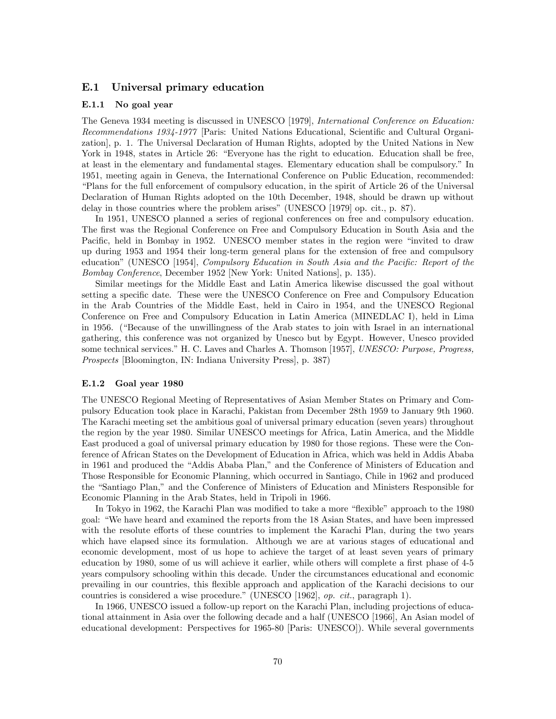### E.1 Universal primary education

### E.1.1 No goal year

The Geneva 1934 meeting is discussed in UNESCO [1979], International Conference on Education: Recommendations 1934-1977 [Paris: United Nations Educational, Scientific and Cultural Organization], p. 1. The Universal Declaration of Human Rights, adopted by the United Nations in New York in 1948, states in Article 26: "Everyone has the right to education. Education shall be free, at least in the elementary and fundamental stages. Elementary education shall be compulsory.î In 1951, meeting again in Geneva, the International Conference on Public Education, recommended: ìPlans for the full enforcement of compulsory education, in the spirit of Article 26 of the Universal Declaration of Human Rights adopted on the 10th December, 1948, should be drawn up without delay in those countries where the problem arises" (UNESCO [1979] op. cit., p. 87).

In 1951, UNESCO planned a series of regional conferences on free and compulsory education. The first was the Regional Conference on Free and Compulsory Education in South Asia and the Pacific, held in Bombay in 1952. UNESCO member states in the region were "invited to draw up during 1953 and 1954 their long-term general plans for the extension of free and compulsory education" (UNESCO [1954], *Compulsory Education in South Asia and the Pacific: Report of the* Bombay Conference, December 1952 [New York: United Nations], p. 135).

Similar meetings for the Middle East and Latin America likewise discussed the goal without setting a specific date. These were the UNESCO Conference on Free and Compulsory Education in the Arab Countries of the Middle East, held in Cairo in 1954, and the UNESCO Regional Conference on Free and Compulsory Education in Latin America (MINEDLAC I), held in Lima in 1956. ("Because of the unwillingness of the Arab states to join with Israel in an international gathering, this conference was not organized by Unesco but by Egypt. However, Unesco provided some technical services." H. C. Laves and Charles A. Thomson [1957], UNESCO: Purpose, Progress, Prospects [Bloomington, IN: Indiana University Press], p. 387)

### E.1.2 Goal year 1980

The UNESCO Regional Meeting of Representatives of Asian Member States on Primary and Compulsory Education took place in Karachi, Pakistan from December 28th 1959 to January 9th 1960. The Karachi meeting set the ambitious goal of universal primary education (seven years) throughout the region by the year 1980. Similar UNESCO meetings for Africa, Latin America, and the Middle East produced a goal of universal primary education by 1980 for those regions. These were the Conference of African States on the Development of Education in Africa, which was held in Addis Ababa in 1961 and produced the "Addis Ababa Plan," and the Conference of Ministers of Education and Those Responsible for Economic Planning, which occurred in Santiago, Chile in 1962 and produced the "Santiago Plan," and the Conference of Ministers of Education and Ministers Responsible for Economic Planning in the Arab States, held in Tripoli in 1966.

In Tokyo in 1962, the Karachi Plan was modified to take a more "flexible" approach to the 1980 goal: "We have heard and examined the reports from the 18 Asian States, and have been impressed with the resolute efforts of these countries to implement the Karachi Plan, during the two years which have elapsed since its formulation. Although we are at various stages of educational and economic development, most of us hope to achieve the target of at least seven years of primary education by 1980, some of us will achieve it earlier, while others will complete a first phase of 4-5 years compulsory schooling within this decade. Under the circumstances educational and economic prevailing in our countries, this áexible approach and application of the Karachi decisions to our countries is considered a wise procedure." (UNESCO [1962], op. cit., paragraph 1).

In 1966, UNESCO issued a follow-up report on the Karachi Plan, including projections of educational attainment in Asia over the following decade and a half (UNESCO [1966], An Asian model of educational development: Perspectives for 1965-80 [Paris: UNESCO]). While several governments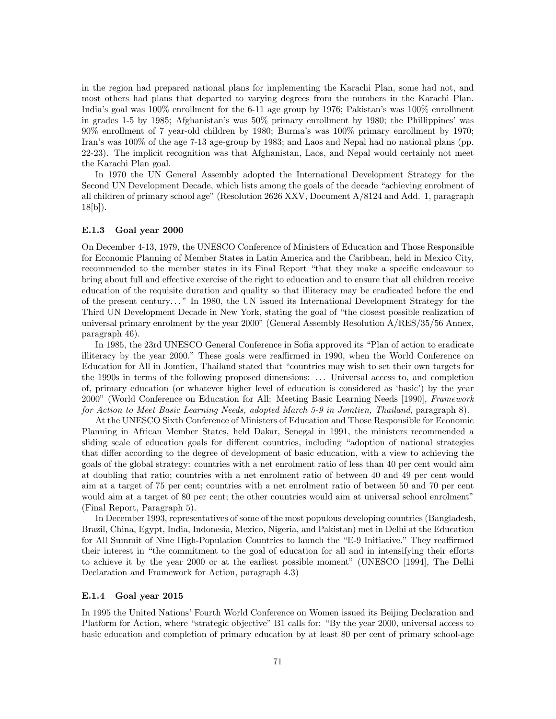in the region had prepared national plans for implementing the Karachi Plan, some had not, and most others had plans that departed to varying degrees from the numbers in the Karachi Plan. India's goal was 100% enrollment for the 6-11 age group by 1976; Pakistan's was 100% enrollment in grades 1-5 by 1985; Afghanistan's was  $50\%$  primary enrollment by 1980; the Phillippines' was 90% enrollment of 7 year-old children by 1980; Burmaís was 100% primary enrollment by 1970; Iranís was 100% of the age 7-13 age-group by 1983; and Laos and Nepal had no national plans (pp. 22-23). The implicit recognition was that Afghanistan, Laos, and Nepal would certainly not meet the Karachi Plan goal.

In 1970 the UN General Assembly adopted the International Development Strategy for the Second UN Development Decade, which lists among the goals of the decade "achieving enrolment of all children of primary school age" (Resolution 2626 XXV, Document  $A/8124$  and Add. 1, paragraph  $18[b]$ ).

### E.1.3 Goal year 2000

On December 4-13, 1979, the UNESCO Conference of Ministers of Education and Those Responsible for Economic Planning of Member States in Latin America and the Caribbean, held in Mexico City, recommended to the member states in its Final Report "that they make a specific endeavour to bring about full and effective exercise of the right to education and to ensure that all children receive education of the requisite duration and quality so that illiteracy may be eradicated before the end of the present century. . . î In 1980, the UN issued its International Development Strategy for the Third UN Development Decade in New York, stating the goal of "the closest possible realization of universal primary enrolment by the year  $2000$ <sup>"</sup> (General Assembly Resolution  $A/RES/35/56$  Annex, paragraph 46).

In 1985, the 23rd UNESCO General Conference in Sofia approved its "Plan of action to eradicate illiteracy by the year 2000." These goals were reaffirmed in 1990, when the World Conference on Education for All in Jomtien, Thailand stated that "countries may wish to set their own targets for the 1990s in terms of the following proposed dimensions: . . . Universal access to, and completion of, primary education (or whatever higher level of education is considered as 'basic') by the year 2000î (World Conference on Education for All: Meeting Basic Learning Needs [1990], Framework for Action to Meet Basic Learning Needs, adopted March 5-9 in Jomtien, Thailand, paragraph 8).

At the UNESCO Sixth Conference of Ministers of Education and Those Responsible for Economic Planning in African Member States, held Dakar, Senegal in 1991, the ministers recommended a sliding scale of education goals for different countries, including "adoption of national strategies that differ according to the degree of development of basic education, with a view to achieving the goals of the global strategy: countries with a net enrolment ratio of less than 40 per cent would aim at doubling that ratio; countries with a net enrolment ratio of between 40 and 49 per cent would aim at a target of 75 per cent; countries with a net enrolment ratio of between 50 and 70 per cent would aim at a target of 80 per cent; the other countries would aim at universal school enrolment" (Final Report, Paragraph 5).

In December 1993, representatives of some of the most populous developing countries (Bangladesh, Brazil, China, Egypt, India, Indonesia, Mexico, Nigeria, and Pakistan) met in Delhi at the Education for All Summit of Nine High-Population Countries to launch the "E-9 Initiative." They reaffirmed their interest in "the commitment to the goal of education for all and in intensifying their efforts to achieve it by the year 2000 or at the earliest possible moment" (UNESCO [1994], The Delhi Declaration and Framework for Action, paragraph 4.3)

### E.1.4 Goal year 2015

In 1995 the United Nations' Fourth World Conference on Women issued its Beijing Declaration and Platform for Action, where "strategic objective" B1 calls for: "By the year 2000, universal access to basic education and completion of primary education by at least 80 per cent of primary school-age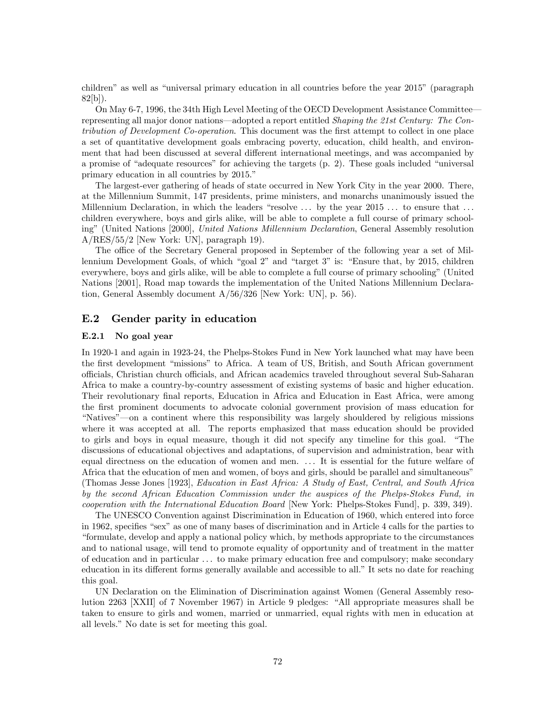children" as well as "universal primary education in all countries before the year  $2015$ " (paragraph 82[b]).

On May 6-7, 1996, the 34th High Level Meeting of the OECD Development Assistance Committee representing all major donor nations—adopted a report entitled Shaping the 21st Century: The Contribution of Development Co-operation. This document was the first attempt to collect in one place a set of quantitative development goals embracing poverty, education, child health, and environment that had been discussed at several different international meetings, and was accompanied by a promise of "adequate resources" for achieving the targets  $(p, 2)$ . These goals included "universal" primary education in all countries by 2015.<sup>n</sup>

The largest-ever gathering of heads of state occurred in New York City in the year 2000. There, at the Millennium Summit, 147 presidents, prime ministers, and monarchs unanimously issued the Millennium Declaration, in which the leaders "resolve  $\ldots$  by the year 2015  $\ldots$  to ensure that  $\ldots$ children everywhere, boys and girls alike, will be able to complete a full course of primary schoolingî (United Nations [2000], United Nations Millennium Declaration, General Assembly resolution A/RES/55/2 [New York: UN], paragraph 19).

The office of the Secretary General proposed in September of the following year a set of Millennium Development Goals, of which "goal  $2$ " and "target  $3$ " is: "Ensure that, by 2015, children everywhere, boys and girls alike, will be able to complete a full course of primary schooling" (United Nations [2001], Road map towards the implementation of the United Nations Millennium Declaration, General Assembly document A/56/326 [New York: UN], p. 56).

# E.2 Gender parity in education

# E.2.1 No goal year

In 1920-1 and again in 1923-24, the Phelps-Stokes Fund in New York launched what may have been the first development "missions" to Africa. A team of US, British, and South African government o¢ cials, Christian church o¢ cials, and African academics traveled throughout several Sub-Saharan Africa to make a country-by-country assessment of existing systems of basic and higher education. Their revolutionary final reports, Education in Africa and Education in East Africa, were among the first prominent documents to advocate colonial government provision of mass education for "Natives"—on a continent where this responsibility was largely shouldered by religious missions where it was accepted at all. The reports emphasized that mass education should be provided to girls and boys in equal measure, though it did not specify any timeline for this goal. "The discussions of educational objectives and adaptations, of supervision and administration, bear with equal directness on the education of women and men. . . . It is essential for the future welfare of Africa that the education of men and women, of boys and girls, should be parallel and simultaneous" (Thomas Jesse Jones [1923], Education in East Africa: A Study of East, Central, and South Africa by the second African Education Commission under the auspices of the Phelps-Stokes Fund, in cooperation with the International Education Board [New York: Phelps-Stokes Fund], p. 339, 349).

The UNESCO Convention against Discrimination in Education of 1960, which entered into force in 1962, specifies "sex" as one of many bases of discrimination and in Article 4 calls for the parties to ìformulate, develop and apply a national policy which, by methods appropriate to the circumstances and to national usage, will tend to promote equality of opportunity and of treatment in the matter of education and in particular . . . to make primary education free and compulsory; make secondary education in its different forms generally available and accessible to all." It sets no date for reaching this goal.

UN Declaration on the Elimination of Discrimination against Women (General Assembly resolution 2263 [XXII] of 7 November 1967) in Article 9 pledges: "All appropriate measures shall be taken to ensure to girls and women, married or unmarried, equal rights with men in education at all levels." No date is set for meeting this goal.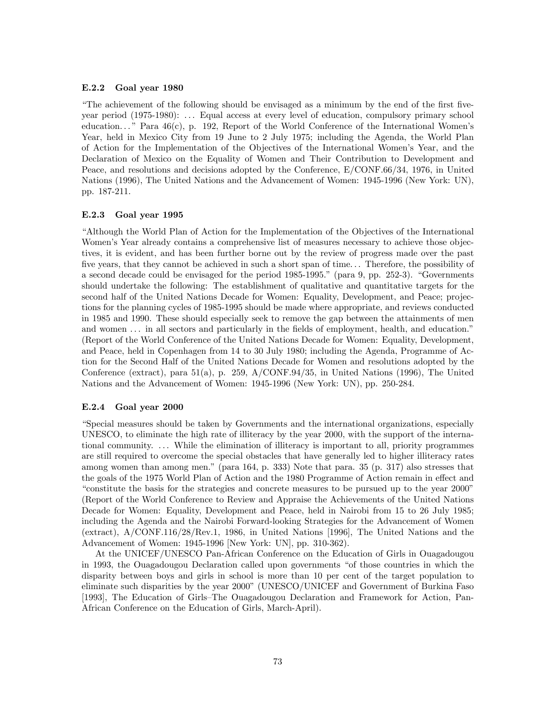## E.2.2 Goal year 1980

ìThe achievement of the following should be envisaged as a minimum by the end of the Örst Öveyear period (1975-1980): . . . Equal access at every level of education, compulsory primary school education..." Para  $46(c)$ , p. 192, Report of the World Conference of the International Women's Year, held in Mexico City from 19 June to 2 July 1975; including the Agenda, the World Plan of Action for the Implementation of the Objectives of the International Womenís Year, and the Declaration of Mexico on the Equality of Women and Their Contribution to Development and Peace, and resolutions and decisions adopted by the Conference, E/CONF.66/34, 1976, in United Nations (1996), The United Nations and the Advancement of Women: 1945-1996 (New York: UN), pp. 187-211.

#### E.2.3 Goal year 1995

ìAlthough the World Plan of Action for the Implementation of the Objectives of the International Women's Year already contains a comprehensive list of measures necessary to achieve those objectives, it is evident, and has been further borne out by the review of progress made over the past five years, that they cannot be achieved in such a short span of time... Therefore, the possibility of a second decade could be envisaged for the period 1985-1995." (para 9, pp. 252-3). "Governments should undertake the following: The establishment of qualitative and quantitative targets for the second half of the United Nations Decade for Women: Equality, Development, and Peace; projections for the planning cycles of 1985-1995 should be made where appropriate, and reviews conducted in 1985 and 1990. These should especially seek to remove the gap between the attainments of men and women ... in all sectors and particularly in the fields of employment, health, and education." (Report of the World Conference of the United Nations Decade for Women: Equality, Development, and Peace, held in Copenhagen from 14 to 30 July 1980; including the Agenda, Programme of Action for the Second Half of the United Nations Decade for Women and resolutions adopted by the Conference (extract), para 51(a), p. 259, A/CONF.94/35, in United Nations (1996), The United Nations and the Advancement of Women: 1945-1996 (New York: UN), pp. 250-284.

#### E.2.4 Goal year 2000

ìSpecial measures should be taken by Governments and the international organizations, especially UNESCO, to eliminate the high rate of illiteracy by the year 2000, with the support of the international community. . . . While the elimination of illiteracy is important to all, priority programmes are still required to overcome the special obstacles that have generally led to higher illiteracy rates among women than among men.î (para 164, p. 333) Note that para. 35 (p. 317) also stresses that the goals of the 1975 World Plan of Action and the 1980 Programme of Action remain in effect and ìconstitute the basis for the strategies and concrete measures to be pursued up to the year 2000î (Report of the World Conference to Review and Appraise the Achievements of the United Nations Decade for Women: Equality, Development and Peace, held in Nairobi from 15 to 26 July 1985; including the Agenda and the Nairobi Forward-looking Strategies for the Advancement of Women (extract), A/CONF.116/28/Rev.1, 1986, in United Nations [1996], The United Nations and the Advancement of Women: 1945-1996 [New York: UN], pp. 310-362).

At the UNICEF/UNESCO Pan-African Conference on the Education of Girls in Ouagadougou in 1993, the Ouagadougou Declaration called upon governments "of those countries in which the disparity between boys and girls in school is more than 10 per cent of the target population to eliminate such disparities by the year 2000î (UNESCO/UNICEF and Government of Burkina Faso [1993], The Education of Girls–The Ouagadougou Declaration and Framework for Action, Pan-African Conference on the Education of Girls, March-April).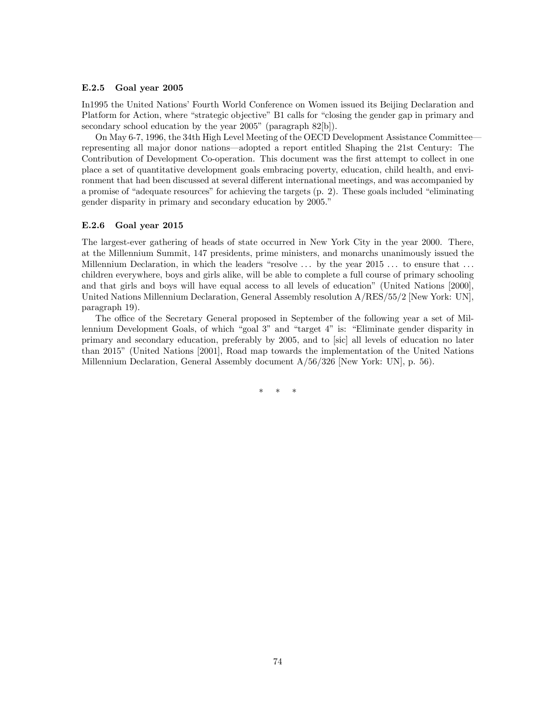### E.2.5 Goal year 2005

In1995 the United Nations' Fourth World Conference on Women issued its Beijing Declaration and Platform for Action, where "strategic objective" B1 calls for "closing the gender gap in primary and secondary school education by the year  $2005$ " (paragraph  $82[b]$ ).

On May 6-7, 1996, the 34th High Level Meeting of the OECD Development Assistance Committee representing all major donor nations—adopted a report entitled Shaping the 21st Century: The Contribution of Development Co-operation. This document was the first attempt to collect in one place a set of quantitative development goals embracing poverty, education, child health, and environment that had been discussed at several different international meetings, and was accompanied by a promise of "adequate resources" for achieving the targets  $(p, 2)$ . These goals included "eliminating" gender disparity in primary and secondary education by 2005.<sup>n</sup>

## E.2.6 Goal year 2015

The largest-ever gathering of heads of state occurred in New York City in the year 2000. There, at the Millennium Summit, 147 presidents, prime ministers, and monarchs unanimously issued the Millennium Declaration, in which the leaders "resolve  $\dots$  by the year  $2015\dots$  to ensure that  $\dots$ children everywhere, boys and girls alike, will be able to complete a full course of primary schooling and that girls and boys will have equal access to all levels of educationî (United Nations [2000], United Nations Millennium Declaration, General Assembly resolution A/RES/55/2 [New York: UN], paragraph 19).

The office of the Secretary General proposed in September of the following year a set of Millennium Development Goals, of which "goal 3" and "target 4" is: "Eliminate gender disparity in primary and secondary education, preferably by 2005, and to [sic] all levels of education no later than 2015î (United Nations [2001], Road map towards the implementation of the United Nations Millennium Declaration, General Assembly document A/56/326 [New York: UN], p. 56).

\* \* \*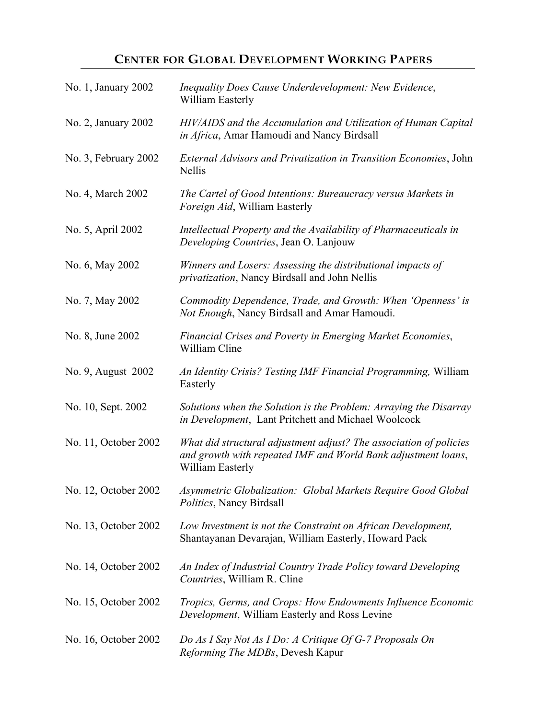# **CENTER FOR GLOBAL DEVELOPMENT WORKING PAPERS**

| No. 1, January 2002  | Inequality Does Cause Underdevelopment: New Evidence,<br>William Easterly                                                                               |
|----------------------|---------------------------------------------------------------------------------------------------------------------------------------------------------|
| No. 2, January 2002  | HIV/AIDS and the Accumulation and Utilization of Human Capital<br>in Africa, Amar Hamoudi and Nancy Birdsall                                            |
| No. 3, February 2002 | External Advisors and Privatization in Transition Economies, John<br><b>Nellis</b>                                                                      |
| No. 4, March 2002    | The Cartel of Good Intentions: Bureaucracy versus Markets in<br>Foreign Aid, William Easterly                                                           |
| No. 5, April 2002    | Intellectual Property and the Availability of Pharmaceuticals in<br>Developing Countries, Jean O. Lanjouw                                               |
| No. 6, May 2002      | Winners and Losers: Assessing the distributional impacts of<br>privatization, Nancy Birdsall and John Nellis                                            |
| No. 7, May 2002      | Commodity Dependence, Trade, and Growth: When 'Openness' is<br>Not Enough, Nancy Birdsall and Amar Hamoudi.                                             |
| No. 8, June 2002     | Financial Crises and Poverty in Emerging Market Economies,<br>William Cline                                                                             |
| No. 9, August 2002   | An Identity Crisis? Testing IMF Financial Programming, William<br>Easterly                                                                              |
| No. 10, Sept. 2002   | Solutions when the Solution is the Problem: Arraying the Disarray<br>in Development, Lant Pritchett and Michael Woolcock                                |
| No. 11, October 2002 | What did structural adjustment adjust? The association of policies<br>and growth with repeated IMF and World Bank adjustment loans,<br>William Easterly |
| No. 12, October 2002 | Asymmetric Globalization: Global Markets Require Good Global<br><i>Politics</i> , Nancy Birdsall                                                        |
| No. 13, October 2002 | Low Investment is not the Constraint on African Development,<br>Shantayanan Devarajan, William Easterly, Howard Pack                                    |
| No. 14, October 2002 | An Index of Industrial Country Trade Policy toward Developing<br>Countries, William R. Cline                                                            |
| No. 15, October 2002 | Tropics, Germs, and Crops: How Endowments Influence Economic<br>Development, William Easterly and Ross Levine                                           |
| No. 16, October 2002 | Do As I Say Not As I Do: A Critique Of G-7 Proposals On<br>Reforming The MDBs, Devesh Kapur                                                             |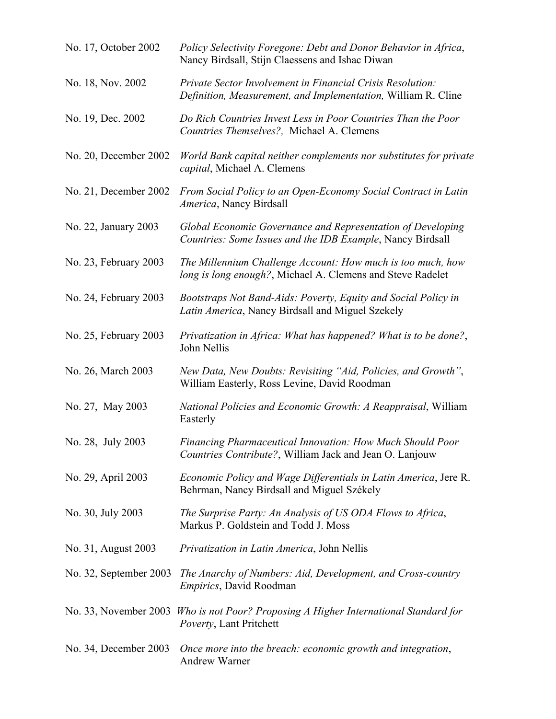| No. 17, October 2002   | Policy Selectivity Foregone: Debt and Donor Behavior in Africa,<br>Nancy Birdsall, Stijn Claessens and Ishac Diwan          |
|------------------------|-----------------------------------------------------------------------------------------------------------------------------|
| No. 18, Nov. 2002      | Private Sector Involvement in Financial Crisis Resolution:<br>Definition, Measurement, and Implementation, William R. Cline |
| No. 19, Dec. 2002      | Do Rich Countries Invest Less in Poor Countries Than the Poor<br>Countries Themselves?, Michael A. Clemens                  |
| No. 20, December 2002  | World Bank capital neither complements nor substitutes for private<br>capital, Michael A. Clemens                           |
| No. 21, December 2002  | From Social Policy to an Open-Economy Social Contract in Latin<br>America, Nancy Birdsall                                   |
| No. 22, January 2003   | Global Economic Governance and Representation of Developing<br>Countries: Some Issues and the IDB Example, Nancy Birdsall   |
| No. 23, February 2003  | The Millennium Challenge Account: How much is too much, how<br>long is long enough?, Michael A. Clemens and Steve Radelet   |
| No. 24, February 2003  | Bootstraps Not Band-Aids: Poverty, Equity and Social Policy in<br>Latin America, Nancy Birdsall and Miguel Szekely          |
| No. 25, February 2003  | Privatization in Africa: What has happened? What is to be done?,<br>John Nellis                                             |
| No. 26, March 2003     | New Data, New Doubts: Revisiting "Aid, Policies, and Growth",<br>William Easterly, Ross Levine, David Roodman               |
| No. 27, May 2003       | National Policies and Economic Growth: A Reappraisal, William<br>Easterly                                                   |
| No. 28, July 2003      | Financing Pharmaceutical Innovation: How Much Should Poor<br>Countries Contribute?, William Jack and Jean O. Lanjouw        |
| No. 29, April 2003     | Economic Policy and Wage Differentials in Latin America, Jere R.<br>Behrman, Nancy Birdsall and Miguel Székely              |
| No. 30, July 2003      | The Surprise Party: An Analysis of US ODA Flows to Africa,<br>Markus P. Goldstein and Todd J. Moss                          |
| No. 31, August 2003    | Privatization in Latin America, John Nellis                                                                                 |
| No. 32, September 2003 | The Anarchy of Numbers: Aid, Development, and Cross-country<br><i>Empirics</i> , David Roodman                              |
|                        | No. 33, November 2003 Who is not Poor? Proposing A Higher International Standard for<br>Poverty, Lant Pritchett             |
| No. 34, December 2003  | Once more into the breach: economic growth and integration,<br>Andrew Warner                                                |